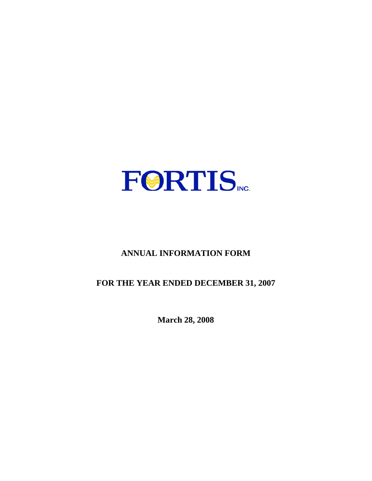

# **ANNUAL INFORMATION FORM**

# **FOR THE YEAR ENDED DECEMBER 31, 2007**

**March 28, 2008**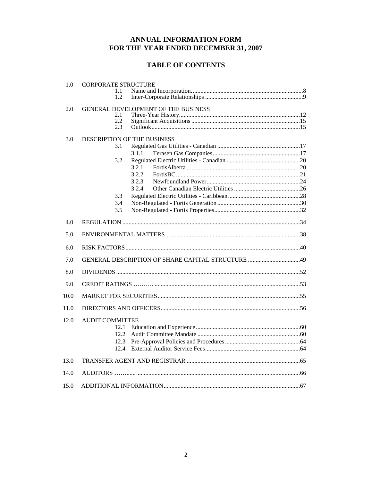# ANNUAL INFORMATION FORM FOR THE YEAR ENDED DECEMBER 31, 2007

# **TABLE OF CONTENTS**

|              | <b>CORPORATE STRUCTURE</b><br>1.1<br>1.2                                                                    |  |
|--------------|-------------------------------------------------------------------------------------------------------------|--|
| 2.0          | GENERAL DEVELOPMENT OF THE BUSINESS<br>2.1<br>2.2<br>2.3                                                    |  |
| 3.0          | DESCRIPTION OF THE BUSINESS<br>3.1<br>3.1.1<br>3.2<br>3.2.1<br>3.2.2<br>3.2.3<br>3.2.4<br>3.3<br>3.4<br>3.5 |  |
|              |                                                                                                             |  |
| 4.0          |                                                                                                             |  |
| 5.0          |                                                                                                             |  |
| 6.0          |                                                                                                             |  |
| 7.0          | GENERAL DESCRIPTION OF SHARE CAPITAL STRUCTURE 49                                                           |  |
| 8.0          |                                                                                                             |  |
| 9.0          |                                                                                                             |  |
|              |                                                                                                             |  |
| 10.0<br>11.0 |                                                                                                             |  |
| 12.0         | <b>AUDIT COMMITTEE</b><br>12.1<br>12.2<br>12.3<br>12.4                                                      |  |
| 13.0         |                                                                                                             |  |
| 14.0         |                                                                                                             |  |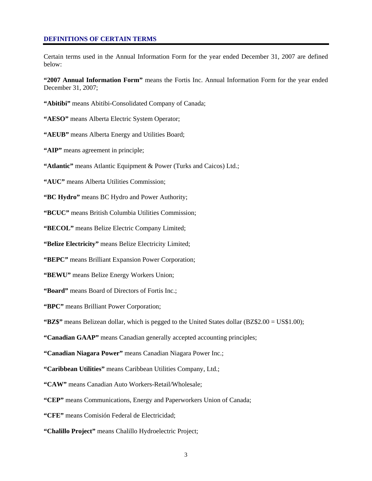#### **DEFINITIONS OF CERTAIN TERMS**

Certain terms used in the Annual Information Form for the year ended December 31, 2007 are defined below:

**"2007 Annual Information Form"** means the Fortis Inc. Annual Information Form for the year ended December 31, 2007;

**"Abitibi"** means Abitibi-Consolidated Company of Canada;

**"AESO"** means Alberta Electric System Operator;

**"AEUB"** means Alberta Energy and Utilities Board;

**"AIP"** means agreement in principle;

**"Atlantic"** means Atlantic Equipment & Power (Turks and Caicos) Ltd.;

**"AUC"** means Alberta Utilities Commission;

**"BC Hydro"** means BC Hydro and Power Authority;

**"BCUC"** means British Columbia Utilities Commission;

**"BECOL"** means Belize Electric Company Limited;

**"Belize Electricity"** means Belize Electricity Limited;

**"BEPC"** means Brilliant Expansion Power Corporation;

**"BEWU"** means Belize Energy Workers Union;

**"Board"** means Board of Directors of Fortis Inc.;

**"BPC"** means Brilliant Power Corporation;

**"BZ\$"** means Belizean dollar, which is pegged to the United States dollar (BZ\$2.00 = US\$1.00);

**"Canadian GAAP"** means Canadian generally accepted accounting principles;

**"Canadian Niagara Power"** means Canadian Niagara Power Inc.;

**"Caribbean Utilities"** means Caribbean Utilities Company, Ltd.;

**"CAW"** means Canadian Auto Workers-Retail/Wholesale;

**"CEP"** means Communications, Energy and Paperworkers Union of Canada;

**"CFE"** means Comisión Federal de Electricidad;

**"Chalillo Project"** means Chalillo Hydroelectric Project;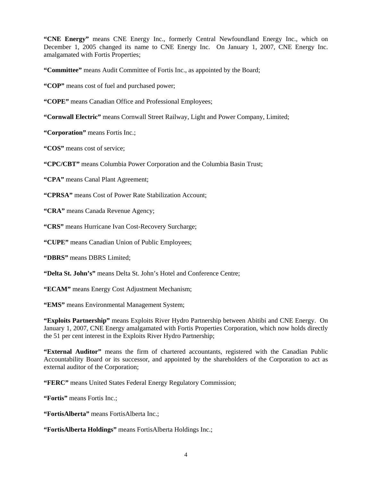**"CNE Energy"** means CNE Energy Inc., formerly Central Newfoundland Energy Inc., which on December 1, 2005 changed its name to CNE Energy Inc. On January 1, 2007, CNE Energy Inc. amalgamated with Fortis Properties;

**"Committee"** means Audit Committee of Fortis Inc., as appointed by the Board;

**"COP"** means cost of fuel and purchased power;

**"COPE"** means Canadian Office and Professional Employees;

**"Cornwall Electric"** means Cornwall Street Railway, Light and Power Company, Limited;

**"Corporation"** means Fortis Inc.;

**"COS"** means cost of service;

**"CPC/CBT"** means Columbia Power Corporation and the Columbia Basin Trust;

**"CPA"** means Canal Plant Agreement;

**"CPRSA"** means Cost of Power Rate Stabilization Account;

**"CRA"** means Canada Revenue Agency;

**"CRS"** means Hurricane Ivan Cost-Recovery Surcharge;

**"CUPE"** means Canadian Union of Public Employees;

**"DBRS"** means DBRS Limited;

**"Delta St. John's"** means Delta St. John's Hotel and Conference Centre;

**"ECAM"** means Energy Cost Adjustment Mechanism;

**"EMS"** means Environmental Management System;

**"Exploits Partnership"** means Exploits River Hydro Partnership between Abitibi and CNE Energy. On January 1, 2007, CNE Energy amalgamated with Fortis Properties Corporation, which now holds directly the 51 per cent interest in the Exploits River Hydro Partnership;

**"External Auditor"** means the firm of chartered accountants, registered with the Canadian Public Accountability Board or its successor, and appointed by the shareholders of the Corporation to act as external auditor of the Corporation;

**"FERC"** means United States Federal Energy Regulatory Commission;

**"Fortis"** means Fortis Inc.;

**"FortisAlberta"** means FortisAlberta Inc.;

**"FortisAlberta Holdings"** means FortisAlberta Holdings Inc.;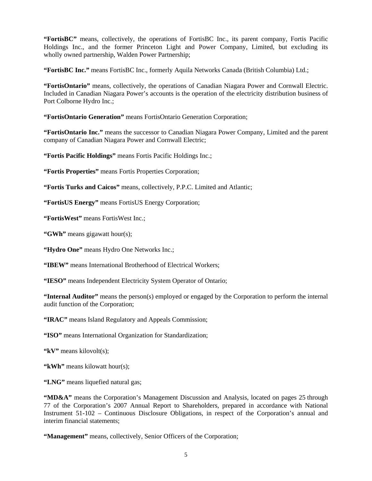**"FortisBC"** means, collectively, the operations of FortisBC Inc., its parent company, Fortis Pacific Holdings Inc., and the former Princeton Light and Power Company, Limited, but excluding its wholly owned partnership, Walden Power Partnership;

**"FortisBC Inc."** means FortisBC Inc., formerly Aquila Networks Canada (British Columbia) Ltd.;

**"FortisOntario"** means, collectively, the operations of Canadian Niagara Power and Cornwall Electric. Included in Canadian Niagara Power's accounts is the operation of the electricity distribution business of Port Colborne Hydro Inc.;

**"FortisOntario Generation"** means FortisOntario Generation Corporation;

**"FortisOntario Inc."** means the successor to Canadian Niagara Power Company, Limited and the parent company of Canadian Niagara Power and Cornwall Electric;

**"Fortis Pacific Holdings"** means Fortis Pacific Holdings Inc.;

**"Fortis Properties"** means Fortis Properties Corporation;

**"Fortis Turks and Caicos"** means, collectively, P.P.C. Limited and Atlantic;

**"FortisUS Energy"** means FortisUS Energy Corporation;

**"FortisWest"** means FortisWest Inc.;

**"GWh"** means gigawatt hour(s);

**"Hydro One"** means Hydro One Networks Inc.;

**"IBEW"** means International Brotherhood of Electrical Workers;

**"IESO"** means Independent Electricity System Operator of Ontario;

**"Internal Auditor"** means the person(s) employed or engaged by the Corporation to perform the internal audit function of the Corporation;

**"IRAC"** means Island Regulatory and Appeals Commission;

**"ISO"** means International Organization for Standardization;

**"kV"** means kilovolt(s);

**"kWh"** means kilowatt hour(s);

**"LNG"** means liquefied natural gas;

"MD&A" means the Corporation's Management Discussion and Analysis, located on pages 25 through 77 of the Corporation's 2007 Annual Report to Shareholders, prepared in accordance with National Instrument 51-102 – Continuous Disclosure Obligations, in respect of the Corporation's annual and interim financial statements;

**"Management"** means, collectively, Senior Officers of the Corporation;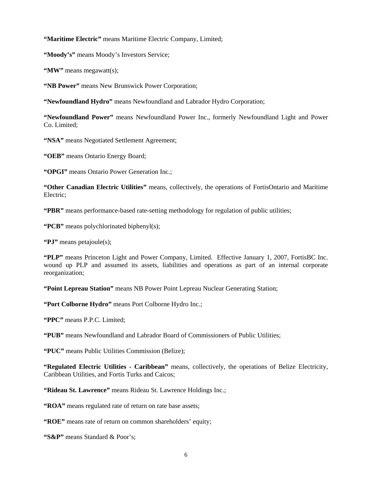**"Maritime Electric"** means Maritime Electric Company, Limited;

**"Moody's"** means Moody's Investors Service;

**"MW"** means megawatt(s);

**"NB Power"** means New Brunswick Power Corporation;

**"Newfoundland Hydro"** means Newfoundland and Labrador Hydro Corporation;

**"Newfoundland Power"** means Newfoundland Power Inc., formerly Newfoundland Light and Power Co. Limited;

**"NSA"** means Negotiated Settlement Agreement;

**"OEB"** means Ontario Energy Board;

**"OPGI"** means Ontario Power Generation Inc.;

**"Other Canadian Electric Utilities"** means, collectively, the operations of FortisOntario and Maritime Electric;

**"PBR"** means performance-based rate-setting methodology for regulation of public utilities;

**"PCB"** means polychlorinated biphenyl(s);

**"PJ"** means petajoule(s);

**"PLP"** means Princeton Light and Power Company, Limited. Effective January 1, 2007, FortisBC Inc. wound up PLP and assumed its assets, liabilities and operations as part of an internal corporate reorganization;

**"Point Lepreau Station"** means NB Power Point Lepreau Nuclear Generating Station;

**"Port Colborne Hydro"** means Port Colborne Hydro Inc.;

**"PPC"** means P.P.C. Limited;

**"PUB"** means Newfoundland and Labrador Board of Commissioners of Public Utilities;

**"PUC"** means Public Utilities Commission (Belize);

**"Regulated Electric Utilities - Caribbean"** means, collectively, the operations of Belize Electricity, Caribbean Utilities, and Fortis Turks and Caicos;

**"Rideau St. Lawrence"** means Rideau St. Lawrence Holdings Inc.;

**"ROA"** means regulated rate of return on rate base assets;

**"ROE"** means rate of return on common shareholders' equity;

**"S&P"** means Standard & Poor's;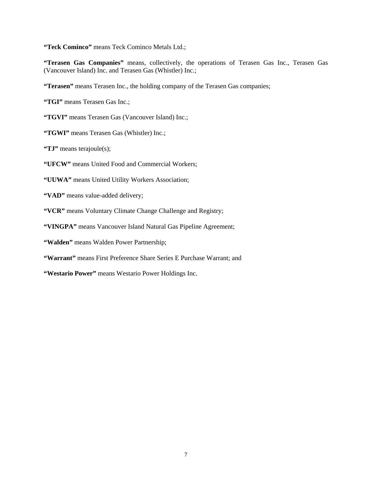**"Teck Cominco"** means Teck Cominco Metals Ltd.;

**"Terasen Gas Companies"** means, collectively, the operations of Terasen Gas Inc., Terasen Gas (Vancouver Island) Inc. and Terasen Gas (Whistler) Inc.;

**"Terasen"** means Terasen Inc., the holding company of the Terasen Gas companies;

**"TGI"** means Terasen Gas Inc.;

**"TGVI"** means Terasen Gas (Vancouver Island) Inc.;

**"TGWI"** means Terasen Gas (Whistler) Inc.;

**"TJ"** means terajoule(s);

**"UFCW"** means United Food and Commercial Workers;

**"UUWA"** means United Utility Workers Association;

**"VAD"** means value-added delivery;

**"VCR"** means Voluntary Climate Change Challenge and Registry;

**"VINGPA"** means Vancouver Island Natural Gas Pipeline Agreement;

**"Walden"** means Walden Power Partnership;

**"Warrant"** means First Preference Share Series E Purchase Warrant; and

**"Westario Power"** means Westario Power Holdings Inc.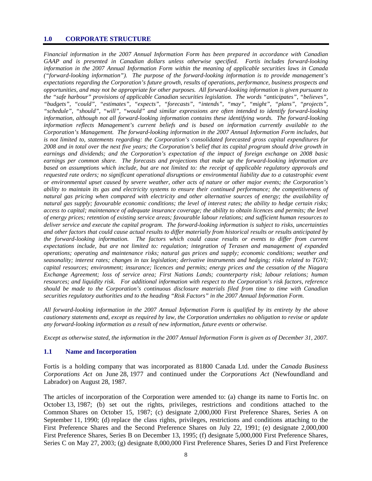#### **1.0 CORPORATE STRUCTURE**

*Financial information in the 2007 Annual Information Form has been prepared in accordance with Canadian GAAP and is presented in Canadian dollars unless otherwise specified. Fortis includes forward-looking information in the 2007 Annual Information Form within the meaning of applicable securities laws in Canada ("forward-looking information"). The purpose of the forward-looking information is to provide management's expectations regarding the Corporation's future growth, results of operations, performance, business prospects and opportunities, and may not be appropriate for other purposes. All forward-looking information is given pursuant to the "safe harbour" provisions of applicable Canadian securities legislation. The words "anticipates", "believes", "budgets", "could", "estimates", "expects", "forecasts", "intends", "may", "might", "plans", "projects", "schedule", "should", "will", "would" and similar expressions are often intended to identify forward-looking information, although not all forward-looking information contains these identifying words. The forward-looking information reflects Management's current beliefs and is based on information currently available to the Corporation's Management. The forward-looking information in the 2007 Annual Information Form includes, but is not limited to, statements regarding: the Corporation's consolidated forecasted gross capital expenditures for 2008 and in total over the next five years; the Corporation's belief that its capital program should drive growth in earnings and dividends; and the Corporation's expectation of the impact of foreign exchange on 2008 basic earnings per common share. The forecasts and projections that make up the forward-looking information are based on assumptions which include, but are not limited to: the receipt of applicable regulatory approvals and requested rate orders; no significant operational disruptions or environmental liability due to a catastrophic event or environmental upset caused by severe weather, other acts of nature or other major events; the Corporation's ability to maintain its gas and electricity systems to ensure their continued performance; the competitiveness of natural gas pricing when compared with electricity and other alternative sources of energy; the availability of natural gas supply; favourable economic conditions; the level of interest rates; the ability to hedge certain risks; access to capital; maintenance of adequate insurance coverage; the ability to obtain licences and permits; the level of energy prices; retention of existing service areas; favourable labour relations; and sufficient human resources to deliver service and execute the capital program. The forward-looking information is subject to risks, uncertainties and other factors that could cause actual results to differ materially from historical results or results anticipated by the forward-looking information. The factors which could cause results or events to differ from current expectations include, but are not limited to: regulation; integration of Terasen and management of expanded operations; operating and maintenance risks; natural gas prices and supply; economic conditions; weather and seasonality; interest rates; changes in tax legislation; derivative instruments and hedging; risks related to TGVI; capital resources; environment; insurance; licences and permits; energy prices and the cessation of the Niagara Exchange Agreement; loss of service area; First Nations Lands; counterparty risk; labour relations; human resources; and liquidity risk. For additional information with respect to the Corporation's risk factors, reference should be made to the Corporation's continuous disclosure materials filed from time to time with Canadian securities regulatory authorities and to the heading "Risk Factors" in the 2007 Annual Information Form.* 

*All forward-looking information in the 2007 Annual Information Form is qualified by its entirety by the above cautionary statements and, except as required by law, the Corporation undertakes no obligation to revise or update any forward-looking information as a result of new information, future events or otherwise.* 

*Except as otherwise stated, the information in the 2007 Annual Information Form is given as of December 31, 2007.* 

#### **1.1 Name and Incorporation**

Fortis is a holding company that was incorporated as 81800 Canada Ltd. under the *Canada Business Corporations Act* on June 28, 1977 and continued under the *Corporations Act* (Newfoundland and Labrador) on August 28, 1987.

The articles of incorporation of the Corporation were amended to: (a) change its name to Fortis Inc. on October 13, 1987; (b) set out the rights, privileges, restrictions and conditions attached to the Common Shares on October 15, 1987; (c) designate 2,000,000 First Preference Shares, Series A on September 11, 1990; (d) replace the class rights, privileges, restrictions and conditions attaching to the First Preference Shares and the Second Preference Shares on July 22, 1991; (e) designate 2,000,000 First Preference Shares, Series B on December 13, 1995; (f) designate 5,000,000 First Preference Shares, Series C on May 27, 2003; (g) designate 8,000,000 First Preference Shares, Series D and First Preference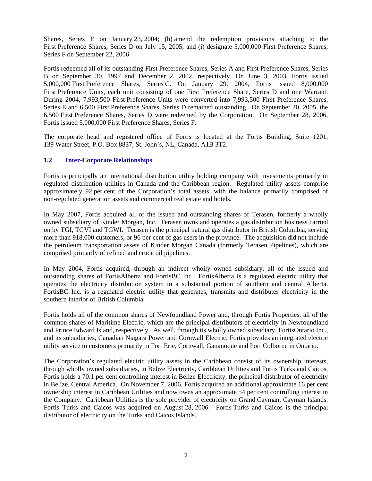Shares, Series E on January 23, 2004; (h) amend the redemption provisions attaching to the First Preference Shares, Series D on July 15, 2005; and (i) designate 5,000,000 First Preference Shares, Series F on September 22, 2006.

Fortis redeemed all of its outstanding First Preference Shares, Series A and First Preference Shares, Series B on September 30, 1997 and December 2, 2002, respectively. On June 3, 2003, Fortis issued 5,000,000 First Preference Shares, Series C. On January 29, 2004, Fortis issued 8,000,000 First Preference Units, each unit consisting of one First Preference Share, Series D and one Warrant. During 2004, 7,993,500 First Preference Units were converted into 7,993,500 First Preference Shares, Series E and 6,500 First Preference Shares, Series D remained outstanding. On September 20, 2005, the 6,500 First Preference Shares, Series D were redeemed by the Corporation. On September 28, 2006, Fortis issued 5,000,000 First Preference Shares, Series F.

The corporate head and registered office of Fortis is located at the Fortis Building, Suite 1201, 139 Water Street, P.O. Box 8837, St. John's, NL, Canada, A1B 3T2.

# **1.2 Inter-Corporate Relationships**

Fortis is principally an international distribution utility holding company with investments primarily in regulated distribution utilities in Canada and the Caribbean region. Regulated utility assets comprise approximately 92 per cent of the Corporation's total assets, with the balance primarily comprised of non-regulated generation assets and commercial real estate and hotels.

In May 2007, Fortis acquired all of the issued and outstanding shares of Terasen, formerly a wholly owned subsidiary of Kinder Morgan, Inc. Terasen owns and operates a gas distribution business carried on by TGI, TGVI and TGWI. Terasen is the principal natural gas distributor in British Columbia, serving more than 918,000 customers, or 96 per cent of gas users in the province. The acquisition did not include the petroleum transportation assets of Kinder Morgan Canada (formerly Terasen Pipelines), which are comprised primarily of refined and crude oil pipelines.

In May 2004, Fortis acquired, through an indirect wholly owned subsidiary, all of the issued and outstanding shares of FortisAlberta and FortisBC Inc. FortisAlberta is a regulated electric utility that operates the electricity distribution system in a substantial portion of southern and central Alberta. FortisBC Inc. is a regulated electric utility that generates, transmits and distributes electricity in the southern interior of British Columbia.

Fortis holds all of the common shares of Newfoundland Power and, through Fortis Properties, all of the common shares of Maritime Electric, which are the principal distributors of electricity in Newfoundland and Prince Edward Island, respectively. As well, through its wholly owned subsidiary, FortisOntario Inc., and its subsidiaries, Canadian Niagara Power and Cornwall Electric, Fortis provides an integrated electric utility service to customers primarily in Fort Erie, Cornwall, Gananoque and Port Colborne in Ontario.

The Corporation's regulated electric utility assets in the Caribbean consist of its ownership interests, through wholly owned subsidiaries, in Belize Electricity, Caribbean Utilities and Fortis Turks and Caicos. Fortis holds a 70.1 per cent controlling interest in Belize Electricity, the principal distributor of electricity in Belize, Central America. On November 7, 2006, Fortis acquired an additional approximate 16 per cent ownership interest in Caribbean Utilities and now owns an approximate 54 per cent controlling interest in the Company. Caribbean Utilities is the sole provider of electricity on Grand Cayman, Cayman Islands. Fortis Turks and Caicos was acquired on August 28, 2006. Fortis Turks and Caicos is the principal distributor of electricity on the Turks and Caicos Islands.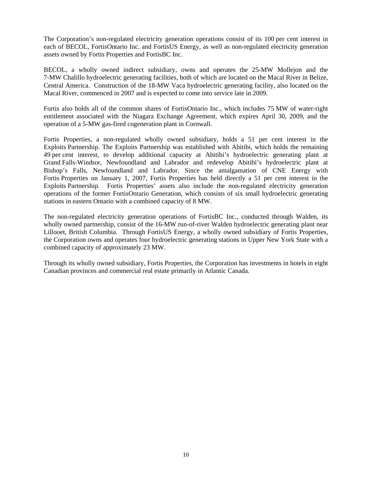The Corporation's non-regulated electricity generation operations consist of its 100 per cent interest in each of BECOL, FortisOntario Inc. and FortisUS Energy, as well as non-regulated electricity generation assets owned by Fortis Properties and FortisBC Inc.

BECOL, a wholly owned indirect subsidiary, owns and operates the 25-MW Mollejon and the 7-MW Chalillo hydroelectric generating facilities, both of which are located on the Macal River in Belize, Central America. Construction of the 18-MW Vaca hydroelectric generating facility, also located on the Macal River, commenced in 2007 and is expected to come into service late in 2009.

Fortis also holds all of the common shares of FortisOntario Inc., which includes 75 MW of water-right entitlement associated with the Niagara Exchange Agreement, which expires April 30, 2009, and the operation of a 5-MW gas-fired cogeneration plant in Cornwall.

Fortis Properties, a non-regulated wholly owned subsidiary, holds a 51 per cent interest in the Exploits Partnership. The Exploits Partnership was established with Abitibi, which holds the remaining 49 per cent interest, to develop additional capacity at Abitibi's hydroelectric generating plant at Grand Falls-Windsor, Newfoundland and Labrador and redevelop Abitibi's hydroelectric plant at Bishop's Falls, Newfoundland and Labrador. Since the amalgamation of CNE Energy with Fortis Properties on January 1, 2007, Fortis Properties has held directly a 51 per cent interest in the Exploits Partnership. Fortis Properties' assets also include the non-regulated electricity generation operations of the former FortisOntario Generation, which consists of six small hydroelectric generating stations in eastern Ontario with a combined capacity of 8 MW.

The non-regulated electricity generation operations of FortisBC Inc., conducted through Walden, its wholly owned partnership, consist of the 16-MW run-of-river Walden hydroelectric generating plant near Lillooet, British Columbia. Through FortisUS Energy, a wholly owned subsidiary of Fortis Properties, the Corporation owns and operates four hydroelectric generating stations in Upper New York State with a combined capacity of approximately 23 MW.

Through its wholly owned subsidiary, Fortis Properties, the Corporation has investments in hotels in eight Canadian provinces and commercial real estate primarily in Atlantic Canada.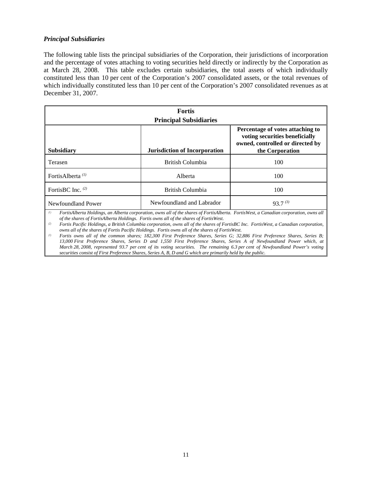#### *Principal Subsidiaries*

The following table lists the principal subsidiaries of the Corporation, their jurisdictions of incorporation and the percentage of votes attaching to voting securities held directly or indirectly by the Corporation as at March 28, 2008. This table excludes certain subsidiaries, the total assets of which individually constituted less than 10 per cent of the Corporation's 2007 consolidated assets, or the total revenues of which individually constituted less than 10 per cent of the Corporation's 2007 consolidated revenues as at December 31, 2007.

| <b>Fortis</b>                |                                      |                                                                                                                                       |  |  |  |
|------------------------------|--------------------------------------|---------------------------------------------------------------------------------------------------------------------------------------|--|--|--|
|                              | <b>Principal Subsidiaries</b>        |                                                                                                                                       |  |  |  |
| <b>Subsidiary</b>            | <b>Jurisdiction of Incorporation</b> | Percentage of votes attaching to<br>voting securities beneficially<br>owned, controlled or directed by<br>the Corporation             |  |  |  |
| Terasen                      | British Columbia                     | 100                                                                                                                                   |  |  |  |
| FortisAlberta <sup>(1)</sup> | Alberta                              | 100                                                                                                                                   |  |  |  |
| FortisBC Inc. $(2)$          | British Columbia                     | 100                                                                                                                                   |  |  |  |
| Newfoundland Power           | Newfoundland and Labrador            | $93.7^{(3)}$                                                                                                                          |  |  |  |
| (1)                          |                                      | FortisAlberta Holdings, an Alberta corporation, owns all of the shares of FortisAlberta, FortisWest, a Canadian corporation, owns all |  |  |  |

*(1) FortisAlberta Holdings, an Alberta corporation, owns all of the shares of FortisAlberta. FortisWest, a Canadian corporation, owns all of the shares of FortisAlberta Holdings. Fortis owns all of the shares of FortisWest.* 

*(2) Fortis Pacific Holdings, a British Columbia corporation, owns all of the shares of FortisBC Inc. FortisWest, a Canadian corporation, owns all of the shares of Fortis Pacific Holdings. Fortis owns all of the shares of FortisWest.* 

*(3) Fortis owns all of the common shares; 182,300 First Preference Shares, Series G; 32,886 First Preference Shares, Series B; 13,000 First Preference Shares, Series D and 1,550 First Preference Shares, Series A of Newfoundland Power which, at March 28, 2008, represented 93.7 per cent of its voting securities. The remaining 6.3 per cent of Newfoundland Power's voting securities consist of First Preference Shares, Series A, B, D and G which are primarily held by the public.*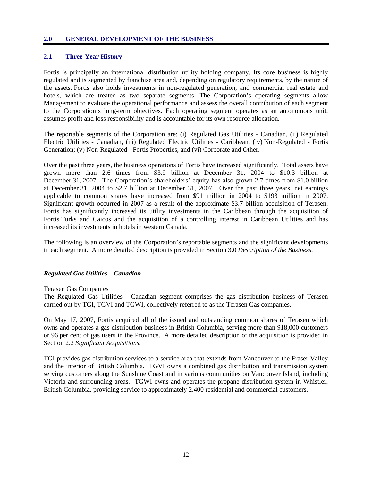#### **2.0 GENERAL DEVELOPMENT OF THE BUSINESS**

#### **2.1 Three-Year History**

Fortis is principally an international distribution utility holding company. Its core business is highly regulated and is segmented by franchise area and, depending on regulatory requirements, by the nature of the assets. Fortis also holds investments in non-regulated generation, and commercial real estate and hotels, which are treated as two separate segments. The Corporation's operating segments allow Management to evaluate the operational performance and assess the overall contribution of each segment to the Corporation's long-term objectives. Each operating segment operates as an autonomous unit, assumes profit and loss responsibility and is accountable for its own resource allocation.

The reportable segments of the Corporation are: (i) Regulated Gas Utilities - Canadian, (ii) Regulated Electric Utilities - Canadian, (iii) Regulated Electric Utilities - Caribbean, (iv) Non-Regulated - Fortis Generation; (v) Non-Regulated - Fortis Properties, and (vi) Corporate and Other.

Over the past three years, the business operations of Fortis have increased significantly. Total assets have grown more than 2.6 times from \$3.9 billion at December 31, 2004 to \$10.3 billion at December 31, 2007. The Corporation's shareholders' equity has also grown 2.7 times from \$1.0 billion at December 31, 2004 to \$2.7 billion at December 31, 2007. Over the past three years, net earnings applicable to common shares have increased from \$91 million in 2004 to \$193 million in 2007. Significant growth occurred in 2007 as a result of the approximate \$3.7 billion acquisition of Terasen. Fortis has significantly increased its utility investments in the Caribbean through the acquisition of Fortis Turks and Caicos and the acquisition of a controlling interest in Caribbean Utilities and has increased its investments in hotels in western Canada.

The following is an overview of the Corporation's reportable segments and the significant developments in each segment. A more detailed description is provided in Section 3.0 *Description of the Business*.

#### *Regulated Gas Utilities – Canadian*

#### Terasen Gas Companies

The Regulated Gas Utilities - Canadian segment comprises the gas distribution business of Terasen carried out by TGI, TGVI and TGWI, collectively referred to as the Terasen Gas companies.

On May 17, 2007, Fortis acquired all of the issued and outstanding common shares of Terasen which owns and operates a gas distribution business in British Columbia, serving more than 918,000 customers or 96 per cent of gas users in the Province. A more detailed description of the acquisition is provided in Section 2.2 *Significant Acquisitions*.

TGI provides gas distribution services to a service area that extends from Vancouver to the Fraser Valley and the interior of British Columbia. TGVI owns a combined gas distribution and transmission system serving customers along the Sunshine Coast and in various communities on Vancouver Island, including Victoria and surrounding areas. TGWI owns and operates the propane distribution system in Whistler, British Columbia, providing service to approximately 2,400 residential and commercial customers.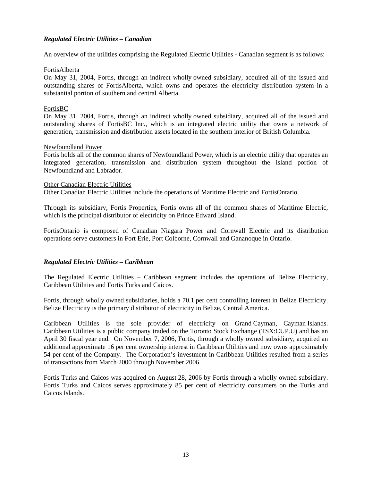## *Regulated Electric Utilities – Canadian*

An overview of the utilities comprising the Regulated Electric Utilities - Canadian segment is as follows:

#### FortisAlberta

On May 31, 2004, Fortis, through an indirect wholly owned subsidiary, acquired all of the issued and outstanding shares of FortisAlberta, which owns and operates the electricity distribution system in a substantial portion of southern and central Alberta.

## FortisBC

On May 31, 2004, Fortis, through an indirect wholly owned subsidiary, acquired all of the issued and outstanding shares of FortisBC Inc., which is an integrated electric utility that owns a network of generation, transmission and distribution assets located in the southern interior of British Columbia.

#### Newfoundland Power

Fortis holds all of the common shares of Newfoundland Power, which is an electric utility that operates an integrated generation, transmission and distribution system throughout the island portion of Newfoundland and Labrador.

#### Other Canadian Electric Utilities

Other Canadian Electric Utilities include the operations of Maritime Electric and FortisOntario.

Through its subsidiary, Fortis Properties, Fortis owns all of the common shares of Maritime Electric, which is the principal distributor of electricity on Prince Edward Island.

FortisOntario is composed of Canadian Niagara Power and Cornwall Electric and its distribution operations serve customers in Fort Erie, Port Colborne, Cornwall and Gananoque in Ontario.

## *Regulated Electric Utilities – Caribbean*

The Regulated Electric Utilities – Caribbean segment includes the operations of Belize Electricity, Caribbean Utilities and Fortis Turks and Caicos.

Fortis, through wholly owned subsidiaries, holds a 70.1 per cent controlling interest in Belize Electricity. Belize Electricity is the primary distributor of electricity in Belize, Central America.

Caribbean Utilities is the sole provider of electricity on Grand Cayman, Cayman Islands. Caribbean Utilities is a public company traded on the Toronto Stock Exchange (TSX:CUP.U) and has an April 30 fiscal year end. On November 7, 2006, Fortis, through a wholly owned subsidiary, acquired an additional approximate 16 per cent ownership interest in Caribbean Utilities and now owns approximately 54 per cent of the Company. The Corporation's investment in Caribbean Utilities resulted from a series of transactions from March 2000 through November 2006.

Fortis Turks and Caicos was acquired on August 28, 2006 by Fortis through a wholly owned subsidiary. Fortis Turks and Caicos serves approximately 85 per cent of electricity consumers on the Turks and Caicos Islands.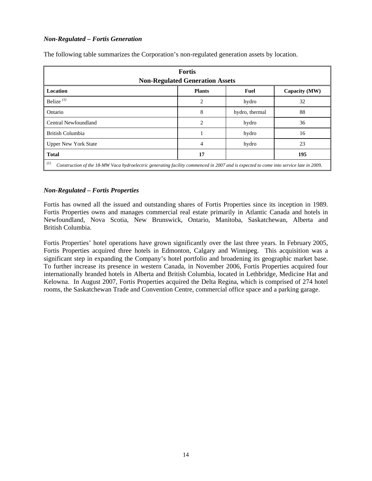## *Non-Regulated – Fortis Generation*

| <b>Fortis</b><br><b>Non-Regulated Generation Assets</b>                                                                                      |    |                |     |  |  |  |
|----------------------------------------------------------------------------------------------------------------------------------------------|----|----------------|-----|--|--|--|
| Location<br><b>Plants</b><br><b>Fuel</b><br>Capacity (MW)                                                                                    |    |                |     |  |  |  |
| Belize $^{(1)}$                                                                                                                              | 2  | hydro          | 32  |  |  |  |
| Ontario                                                                                                                                      | 8  | hydro, thermal | 88  |  |  |  |
| Central Newfoundland                                                                                                                         | 2  | hydro          | 36  |  |  |  |
| British Columbia                                                                                                                             |    | hydro          | 16  |  |  |  |
| <b>Upper New York State</b>                                                                                                                  | 4  | hydro          | 23  |  |  |  |
| <b>Total</b>                                                                                                                                 | 17 |                | 195 |  |  |  |
| (I)<br>Construction of the 18-MW Vaca hydroelectric generating facility commenced in 2007 and is expected to come into service late in 2009. |    |                |     |  |  |  |

The following table summarizes the Corporation's non-regulated generation assets by location.

# *Non-Regulated – Fortis Properties*

Fortis has owned all the issued and outstanding shares of Fortis Properties since its inception in 1989. Fortis Properties owns and manages commercial real estate primarily in Atlantic Canada and hotels in Newfoundland, Nova Scotia, New Brunswick, Ontario, Manitoba, Saskatchewan, Alberta and British Columbia.

Fortis Properties' hotel operations have grown significantly over the last three years. In February 2005, Fortis Properties acquired three hotels in Edmonton, Calgary and Winnipeg. This acquisition was a significant step in expanding the Company's hotel portfolio and broadening its geographic market base. To further increase its presence in western Canada, in November 2006, Fortis Properties acquired four internationally branded hotels in Alberta and British Columbia, located in Lethbridge, Medicine Hat and Kelowna. In August 2007, Fortis Properties acquired the Delta Regina, which is comprised of 274 hotel rooms, the Saskatchewan Trade and Convention Centre, commercial office space and a parking garage.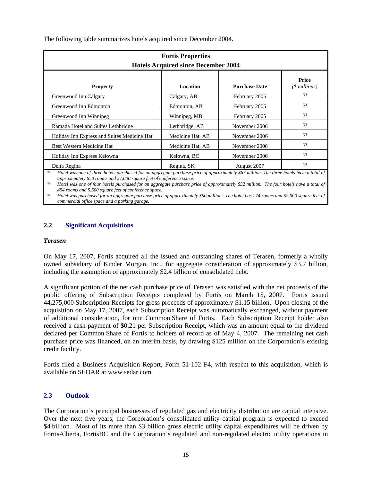| <b>Fortis Properties</b><br><b>Hotels Acquired since December 2004</b>                                                                                          |                  |               |     |  |  |  |
|-----------------------------------------------------------------------------------------------------------------------------------------------------------------|------------------|---------------|-----|--|--|--|
| Price<br><b>Purchase Date</b><br>(\$ millions)<br>Location<br><b>Property</b>                                                                                   |                  |               |     |  |  |  |
| Greenwood Inn Calgary                                                                                                                                           | Calgary, AB      | February 2005 | (I) |  |  |  |
| Greenwood Inn Edmonton                                                                                                                                          | Edmonton, AB     | February 2005 | (I) |  |  |  |
| Greenwood Inn Winnipeg                                                                                                                                          | Winnipeg, MB     | February 2005 | (I) |  |  |  |
| Ramada Hotel and Suites Lethbridge                                                                                                                              | Lethbridge, AB   | November 2006 | (2) |  |  |  |
| Holiday Inn Express and Suites Medicine Hat                                                                                                                     | Medicine Hat, AB | November 2006 | (2) |  |  |  |
| Best Western Medicine Hat                                                                                                                                       | Medicine Hat, AB | November 2006 | (2) |  |  |  |
| Holiday Inn Express Kelowna                                                                                                                                     | Kelowna, BC      | November 2006 | (2) |  |  |  |
| Delta Regina<br>(1)<br>Hotel was one of three hotels purchased for an aggregate purchase price of approximately $663$ million. The three hotels have a total of | Regina, SK       | August 2007   | (3) |  |  |  |

The following table summarizes hotels acquired since December 2004.

*(1) Hotel was one of three hotels purchased for an aggregate purchase price of approximately \$63 million. The three hotels have a total of approximately 650 rooms and 27,000 square feet of conference space.*

*(2) Hotel was one of four hotels purchased for an aggregate purchase price of approximately \$52 million. The four hotels have a total of 454 rooms and 5,500 square feet of conference space.*

*(3) Hotel was purchased for an aggregate purchase price of approximately \$50 million. The hotel has 274 rooms and 52,000 square feet of commercial office space and a parking garage.*

# **2.2 Significant Acquisitions**

#### *Terasen*

On May 17, 2007, Fortis acquired all the issued and outstanding shares of Terasen, formerly a wholly owned subsidiary of Kinder Morgan, Inc., for aggregate consideration of approximately \$3.7 billion, including the assumption of approximately \$2.4 billion of consolidated debt.

A significant portion of the net cash purchase price of Terasen was satisfied with the net proceeds of the public offering of Subscription Receipts completed by Fortis on March 15, 2007. Fortis issued 44,275,000 Subscription Receipts for gross proceeds of approximately \$1.15 billion. Upon closing of the acquisition on May 17, 2007, each Subscription Receipt was automatically exchanged, without payment of additional consideration, for one Common Share of Fortis. Each Subscription Receipt holder also received a cash payment of \$0.21 per Subscription Receipt, which was an amount equal to the dividend declared per Common Share of Fortis to holders of record as of May 4, 2007. The remaining net cash purchase price was financed, on an interim basis, by drawing \$125 million on the Corporation's existing credit facility.

Fortis filed a Business Acquisition Report, Form 51-102 F4, with respect to this acquisition, which is available on SEDAR at www.sedar.com.

## **2.3 Outlook**

The Corporation's principal businesses of regulated gas and electricity distribution are capital intensive. Over the next five years, the Corporation's consolidated utility capital program is expected to exceed \$4 billion. Most of its more than \$3 billion gross electric utility capital expenditures will be driven by FortisAlberta, FortisBC and the Corporation's regulated and non-regulated electric utility operations in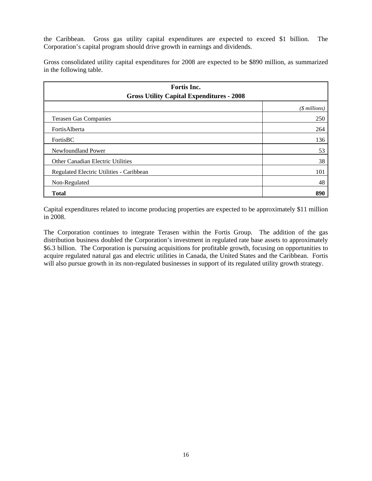the Caribbean. Gross gas utility capital expenditures are expected to exceed \$1 billion. The Corporation's capital program should drive growth in earnings and dividends.

Gross consolidated utility capital expenditures for 2008 are expected to be \$890 million, as summarized in the following table.

| Fortis Inc.<br><b>Gross Utility Capital Expenditures - 2008</b> |                |  |  |
|-----------------------------------------------------------------|----------------|--|--|
|                                                                 | $($$ millions) |  |  |
| <b>Terasen Gas Companies</b>                                    | 250            |  |  |
| FortisAlberta                                                   | 264            |  |  |
| FortisBC                                                        | 136            |  |  |
| Newfoundland Power                                              | 53             |  |  |
| <b>Other Canadian Electric Utilities</b>                        | 38             |  |  |
| Regulated Electric Utilities - Caribbean                        | 101            |  |  |
| Non-Regulated                                                   | 48             |  |  |
| <b>Total</b>                                                    | 890            |  |  |

Capital expenditures related to income producing properties are expected to be approximately \$11 million in 2008.

The Corporation continues to integrate Terasen within the Fortis Group. The addition of the gas distribution business doubled the Corporation's investment in regulated rate base assets to approximately \$6.3 billion. The Corporation is pursuing acquisitions for profitable growth, focusing on opportunities to acquire regulated natural gas and electric utilities in Canada, the United States and the Caribbean. Fortis will also pursue growth in its non-regulated businesses in support of its regulated utility growth strategy.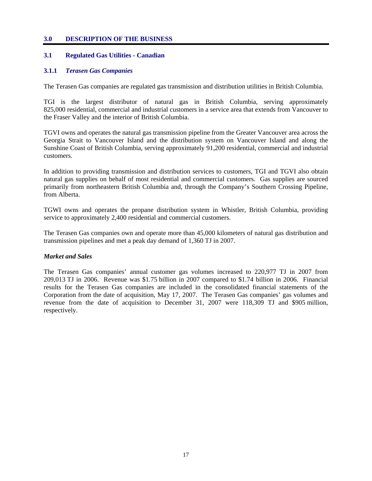#### **3.0 DESCRIPTION OF THE BUSINESS**

## **3.1 Regulated Gas Utilities - Canadian**

#### **3.1.1** *Terasen Gas Companies*

The Terasen Gas companies are regulated gas transmission and distribution utilities in British Columbia.

TGI is the largest distributor of natural gas in British Columbia, serving approximately 825,000 residential, commercial and industrial customers in a service area that extends from Vancouver to the Fraser Valley and the interior of British Columbia.

TGVI owns and operates the natural gas transmission pipeline from the Greater Vancouver area across the Georgia Strait to Vancouver Island and the distribution system on Vancouver Island and along the Sunshine Coast of British Columbia, serving approximately 91,200 residential, commercial and industrial customers.

In addition to providing transmission and distribution services to customers, TGI and TGVI also obtain natural gas supplies on behalf of most residential and commercial customers. Gas supplies are sourced primarily from northeastern British Columbia and, through the Company's Southern Crossing Pipeline, from Alberta.

TGWI owns and operates the propane distribution system in Whistler, British Columbia, providing service to approximately 2,400 residential and commercial customers.

The Terasen Gas companies own and operate more than 45,000 kilometers of natural gas distribution and transmission pipelines and met a peak day demand of 1,360 TJ in 2007.

#### *Market and Sales*

The Terasen Gas companies' annual customer gas volumes increased to 220,977 TJ in 2007 from 209,013 TJ in 2006. Revenue was \$1.75 billion in 2007 compared to \$1.74 billion in 2006. Financial results for the Terasen Gas companies are included in the consolidated financial statements of the Corporation from the date of acquisition, May 17, 2007. The Terasen Gas companies' gas volumes and revenue from the date of acquisition to December 31, 2007 were 118,309 TJ and \$905 million, respectively.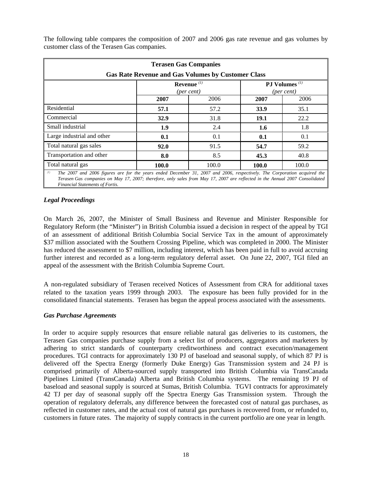The following table compares the composition of 2007 and 2006 gas rate revenue and gas volumes by customer class of the Terasen Gas companies.

| <b>Terasen Gas Companies</b> |                                                                        |       |       |       |  |  |
|------------------------------|------------------------------------------------------------------------|-------|-------|-------|--|--|
|                              | <b>Gas Rate Revenue and Gas Volumes by Customer Class</b>              |       |       |       |  |  |
|                              | Revenue $(1)$<br>PJ Volumes <sup>(1)</sup><br>(per cent)<br>(per cent) |       |       |       |  |  |
|                              | 2007                                                                   | 2006  | 2007  | 2006  |  |  |
| Residential                  | 57.1                                                                   | 57.2  | 33.9  | 35.1  |  |  |
| Commercial                   | 32.9                                                                   | 31.8  | 19.1  | 22.2  |  |  |
| Small industrial             | 1.9                                                                    | 2.4   | 1.6   | 1.8   |  |  |
| Large industrial and other   | 0.1                                                                    | 0.1   | 0.1   | 0.1   |  |  |
| Total natural gas sales      | 92.0                                                                   | 91.5  | 54.7  | 59.2  |  |  |
| Transportation and other     | 8.0                                                                    | 8.5   | 45.3  | 40.8  |  |  |
| Total natural gas            | 100.0                                                                  | 100.0 | 100.0 | 100.0 |  |  |

*(1) The 2007 and 2006 figures are for the years ended December 31, 2007 and 2006, respectively. The Corporation acquired the Terasen Gas companies on May 17, 2007; therefore, only sales from May 17, 2007 are reflected in the Annual 2007 Consolidated Financial Statements of Fortis.* 

# *Legal Proceedings*

On March 26, 2007, the Minister of Small Business and Revenue and Minister Responsible for Regulatory Reform (the "Minister") in British Columbia issued a decision in respect of the appeal by TGI of an assessment of additional British Columbia Social Service Tax in the amount of approximately \$37 million associated with the Southern Crossing Pipeline, which was completed in 2000. The Minister has reduced the assessment to \$7 million, including interest, which has been paid in full to avoid accruing further interest and recorded as a long-term regulatory deferral asset. On June 22, 2007, TGI filed an appeal of the assessment with the British Columbia Supreme Court.

A non-regulated subsidiary of Terasen received Notices of Assessment from CRA for additional taxes related to the taxation years 1999 through 2003. The exposure has been fully provided for in the consolidated financial statements. Terasen has begun the appeal process associated with the assessments.

## *Gas Purchase Agreements*

In order to acquire supply resources that ensure reliable natural gas deliveries to its customers, the Terasen Gas companies purchase supply from a select list of producers, aggregators and marketers by adhering to strict standards of counterparty creditworthiness and contract execution/management procedures. TGI contracts for approximately 130 PJ of baseload and seasonal supply, of which 87 PJ is delivered off the Spectra Energy (formerly Duke Energy) Gas Transmission system and 24 PJ is comprised primarily of Alberta-sourced supply transported into British Columbia via TransCanada Pipelines Limited (TransCanada) Alberta and British Columbia systems. The remaining 19 PJ of baseload and seasonal supply is sourced at Sumas, British Columbia. TGVI contracts for approximately 42 TJ per day of seasonal supply off the Spectra Energy Gas Transmission system. Through the operation of regulatory deferrals, any difference between the forecasted cost of natural gas purchases, as reflected in customer rates, and the actual cost of natural gas purchases is recovered from, or refunded to, customers in future rates. The majority of supply contracts in the current portfolio are one year in length.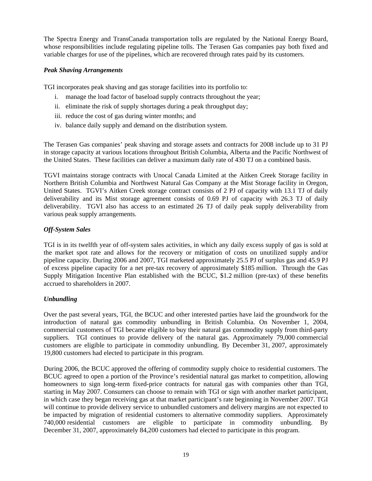The Spectra Energy and TransCanada transportation tolls are regulated by the National Energy Board, whose responsibilities include regulating pipeline tolls. The Terasen Gas companies pay both fixed and variable charges for use of the pipelines, which are recovered through rates paid by its customers.

## *Peak Shaving Arrangements*

TGI incorporates peak shaving and gas storage facilities into its portfolio to:

- i. manage the load factor of baseload supply contracts throughout the year;
- ii. eliminate the risk of supply shortages during a peak throughput day;
- iii. reduce the cost of gas during winter months; and
- iv. balance daily supply and demand on the distribution system.

The Terasen Gas companies' peak shaving and storage assets and contracts for 2008 include up to 31 PJ in storage capacity at various locations throughout British Columbia, Alberta and the Pacific Northwest of the United States. These facilities can deliver a maximum daily rate of 430 TJ on a combined basis.

TGVI maintains storage contracts with Unocal Canada Limited at the Aitken Creek Storage facility in Northern British Columbia and Northwest Natural Gas Company at the Mist Storage facility in Oregon, United States. TGVI's Aitken Creek storage contract consists of 2 PJ of capacity with 13.1 TJ of daily deliverability and its Mist storage agreement consists of 0.69 PJ of capacity with 26.3 TJ of daily deliverability. TGVI also has access to an estimated 26 TJ of daily peak supply deliverability from various peak supply arrangements.

# *Off-System Sales*

TGI is in its twelfth year of off-system sales activities, in which any daily excess supply of gas is sold at the market spot rate and allows for the recovery or mitigation of costs on unutilized supply and/or pipeline capacity. During 2006 and 2007, TGI marketed approximately 25.5 PJ of surplus gas and 45.9 PJ of excess pipeline capacity for a net pre-tax recovery of approximately \$185 million. Through the Gas Supply Mitigation Incentive Plan established with the BCUC, \$1.2 million (pre-tax) of these benefits accrued to shareholders in 2007.

# *Unbundling*

Over the past several years, TGI, the BCUC and other interested parties have laid the groundwork for the introduction of natural gas commodity unbundling in British Columbia. On November 1, 2004, commercial customers of TGI became eligible to buy their natural gas commodity supply from third-party suppliers. TGI continues to provide delivery of the natural gas. Approximately 79,000 commercial customers are eligible to participate in commodity unbundling. By December 31, 2007, approximately 19,800 customers had elected to participate in this program.

During 2006, the BCUC approved the offering of commodity supply choice to residential customers. The BCUC agreed to open a portion of the Province's residential natural gas market to competition, allowing homeowners to sign long-term fixed-price contracts for natural gas with companies other than TGI, starting in May 2007. Consumers can choose to remain with TGI or sign with another market participant, in which case they began receiving gas at that market participant's rate beginning in November 2007. TGI will continue to provide delivery service to unbundled customers and delivery margins are not expected to be impacted by migration of residential customers to alternative commodity suppliers. Approximately 740,000 residential customers are eligible to participate in commodity unbundling. By December 31, 2007, approximately 84,200 customers had elected to participate in this program.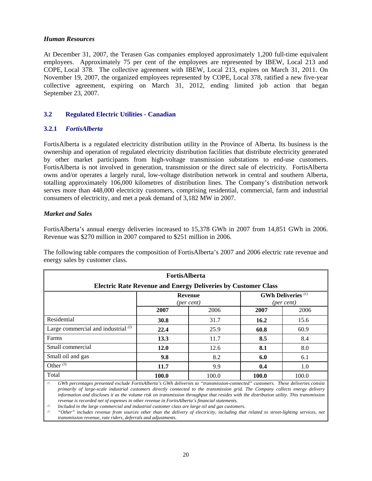#### *Human Resources*

At December 31, 2007, the Terasen Gas companies employed approximately 1,200 full-time equivalent employees. Approximately 75 per cent of the employees are represented by IBEW, Local 213 and COPE, Local 378. The collective agreement with IBEW, Local 213, expires on March 31, 2011. On November 19, 2007, the organized employees represented by COPE, Local 378, ratified a new five-year collective agreement, expiring on March 31, 2012, ending limited job action that began September 23, 2007.

## **3.2 Regulated Electric Utilities - Canadian**

# **3.2.1** *FortisAlberta*

FortisAlberta is a regulated electricity distribution utility in the Province of Alberta. Its business is the ownership and operation of regulated electricity distribution facilities that distribute electricity generated by other market participants from high-voltage transmission substations to end-use customers. FortisAlberta is not involved in generation, transmission or the direct sale of electricity. FortisAlberta owns and/or operates a largely rural, low-voltage distribution network in central and southern Alberta, totalling approximately 106,000 kilometres of distribution lines. The Company's distribution network serves more than 448,000 electricity customers, comprising residential, commercial, farm and industrial consumers of electricity, and met a peak demand of 3,182 MW in 2007.

# *Market and Sales*

FortisAlberta's annual energy deliveries increased to 15,378 GWh in 2007 from 14,851 GWh in 2006. Revenue was \$270 million in 2007 compared to \$251 million in 2006.

The following table compares the composition of FortisAlberta's 2007 and 2006 electric rate revenue and energy sales by customer class.

| <b>FortisAlberta</b><br><b>Electric Rate Revenue and Energy Deliveries by Customer Class</b> |                      |       |       |       |  |
|----------------------------------------------------------------------------------------------|----------------------|-------|-------|-------|--|
| <b>GWh Deliveries</b> <sup>(1)</sup><br><b>Revenue</b><br>(per cent)<br>(per cent)           |                      |       |       |       |  |
|                                                                                              | 2007<br>2006<br>2007 |       |       | 2006  |  |
| Residential                                                                                  | 30.8                 | 31.7  | 16.2  | 15.6  |  |
| Large commercial and industrial $(2)$                                                        | 22.4                 | 25.9  | 60.8  | 60.9  |  |
| Farms                                                                                        | 13.3                 | 11.7  | 8.5   | 8.4   |  |
| Small commercial                                                                             | 12.0                 | 12.6  | 8.1   | 8.0   |  |
| Small oil and gas                                                                            | 9.8                  | 8.2   | 6.0   | 6.1   |  |
| Other $(3)$                                                                                  | 11.7                 | 9.9   | 0.4   | 1.0   |  |
| Total                                                                                        | 100.0                | 100.0 | 100.0 | 100.0 |  |

*(1) GWh percentages presented exclude FortisAlberta's GWh deliveries to "transmission-connected" customers. These deliveries consist primarily of large-scale industrial customers directly connected to the transmission grid. The Company collects energy delivery information and discloses it as the volume risk on transmission throughput that resides with the distribution utility. This transmission revenue is recorded net of expenses in other revenue in FortisAlberta's financial statements.* 

*(2) Included in the large commercial and industrial customer class are large oil and gas customers.* 

*(3) "Other" includes revenue from sources other than the delivery of electricity, including that related to street-lighting services, net transmission revenue, rate riders, deferrals and adjustments.*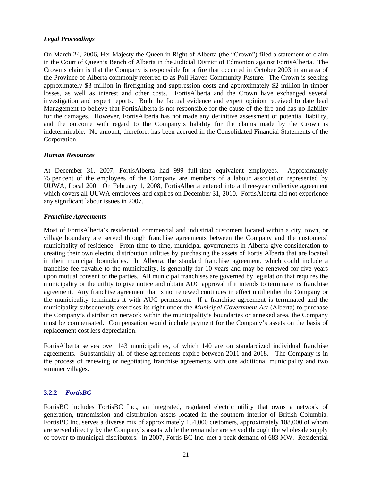## *Legal Proceedings*

On March 24, 2006, Her Majesty the Queen in Right of Alberta (the "Crown") filed a statement of claim in the Court of Queen's Bench of Alberta in the Judicial District of Edmonton against FortisAlberta. The Crown's claim is that the Company is responsible for a fire that occurred in October 2003 in an area of the Province of Alberta commonly referred to as Poll Haven Community Pasture. The Crown is seeking approximately \$3 million in firefighting and suppression costs and approximately \$2 million in timber losses, as well as interest and other costs. FortisAlberta and the Crown have exchanged several investigation and expert reports. Both the factual evidence and expert opinion received to date lead Management to believe that FortisAlberta is not responsible for the cause of the fire and has no liability for the damages. However, FortisAlberta has not made any definitive assessment of potential liability, and the outcome with regard to the Company's liability for the claims made by the Crown is indeterminable. No amount, therefore, has been accrued in the Consolidated Financial Statements of the Corporation.

## *Human Resources*

At December 31, 2007, FortisAlberta had 999 full-time equivalent employees. Approximately 75 per cent of the employees of the Company are members of a labour association represented by UUWA, Local 200. On February 1, 2008, FortisAlberta entered into a three-year collective agreement which covers all UUWA employees and expires on December 31, 2010. FortisAlberta did not experience any significant labour issues in 2007.

## *Franchise Agreements*

Most of FortisAlberta's residential, commercial and industrial customers located within a city, town, or village boundary are served through franchise agreements between the Company and the customers' municipality of residence. From time to time, municipal governments in Alberta give consideration to creating their own electric distribution utilities by purchasing the assets of Fortis Alberta that are located in their municipal boundaries. In Alberta, the standard franchise agreement, which could include a franchise fee payable to the municipality, is generally for 10 years and may be renewed for five years upon mutual consent of the parties. All municipal franchises are governed by legislation that requires the municipality or the utility to give notice and obtain AUC approval if it intends to terminate its franchise agreement. Any franchise agreement that is not renewed continues in effect until either the Company or the municipality terminates it with AUC permission. If a franchise agreement is terminated and the municipality subsequently exercises its right under the *Municipal Government Act* (Alberta) to purchase the Company's distribution network within the municipality's boundaries or annexed area, the Company must be compensated. Compensation would include payment for the Company's assets on the basis of replacement cost less depreciation.

FortisAlberta serves over 143 municipalities, of which 140 are on standardized individual franchise agreements. Substantially all of these agreements expire between 2011 and 2018. The Company is in the process of renewing or negotiating franchise agreements with one additional municipality and two summer villages.

## **3.2.2** *FortisBC*

FortisBC includes FortisBC Inc., an integrated, regulated electric utility that owns a network of generation, transmission and distribution assets located in the southern interior of British Columbia. FortisBC Inc. serves a diverse mix of approximately 154,000 customers, approximately 108,000 of whom are served directly by the Company's assets while the remainder are served through the wholesale supply of power to municipal distributors. In 2007, Fortis BC Inc. met a peak demand of 683 MW. Residential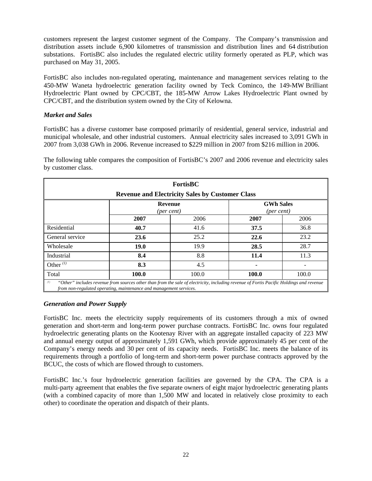customers represent the largest customer segment of the Company. The Company's transmission and distribution assets include 6,900 kilometres of transmission and distribution lines and 64 distribution substations. FortisBC also includes the regulated electric utility formerly operated as PLP, which was purchased on May 31, 2005.

FortisBC also includes non-regulated operating, maintenance and management services relating to the 450-MW Waneta hydroelectric generation facility owned by Teck Cominco, the 149-MW Brilliant Hydroelectric Plant owned by CPC/CBT, the 185-MW Arrow Lakes Hydroelectric Plant owned by CPC/CBT, and the distribution system owned by the City of Kelowna.

# *Market and Sales*

FortisBC has a diverse customer base composed primarily of residential, general service, industrial and municipal wholesale, and other industrial customers. Annual electricity sales increased to 3,091 GWh in 2007 from 3,038 GWh in 2006. Revenue increased to \$229 million in 2007 from \$216 million in 2006.

The following table compares the composition of FortisBC's 2007 and 2006 revenue and electricity sales by customer class.

| FortisBC                                                                  |                                                                                                                                                                                                               |                                                        |       |       |  |  |
|---------------------------------------------------------------------------|---------------------------------------------------------------------------------------------------------------------------------------------------------------------------------------------------------------|--------------------------------------------------------|-------|-------|--|--|
|                                                                           |                                                                                                                                                                                                               | <b>Revenue and Electricity Sales by Customer Class</b> |       |       |  |  |
| <b>GWh Sales</b><br><b>Revenue</b><br>${\rm (per \, cent)}$<br>(per cent) |                                                                                                                                                                                                               |                                                        |       |       |  |  |
|                                                                           | 2007                                                                                                                                                                                                          | 2006                                                   | 2007  | 2006  |  |  |
| Residential                                                               | 40.7                                                                                                                                                                                                          | 41.6                                                   | 37.5  | 36.8  |  |  |
| General service                                                           | 23.6                                                                                                                                                                                                          | 25.2                                                   | 22.6  | 23.2  |  |  |
| Wholesale                                                                 | <b>19.0</b>                                                                                                                                                                                                   | 19.9                                                   | 28.5  | 28.7  |  |  |
| Industrial                                                                | 8.4                                                                                                                                                                                                           | 8.8                                                    | 11.4  | 11.3  |  |  |
| Other $(1)$                                                               | 8.3                                                                                                                                                                                                           | 4.5                                                    |       |       |  |  |
| Total                                                                     | 100.0                                                                                                                                                                                                         | 100.0                                                  | 100.0 | 100.0 |  |  |
| (1)                                                                       | "Other" includes revenue from sources other than from the sale of electricity, including revenue of Fortis Pacific Holdings and revenue<br>from non-regulated operating, maintenance and management services. |                                                        |       |       |  |  |

# *Generation and Power Supply*

FortisBC Inc. meets the electricity supply requirements of its customers through a mix of owned generation and short-term and long-term power purchase contracts. FortisBC Inc. owns four regulated hydroelectric generating plants on the Kootenay River with an aggregate installed capacity of 223 MW and annual energy output of approximately 1,591 GWh, which provide approximately 45 per cent of the Company's energy needs and 30 per cent of its capacity needs. FortisBC Inc. meets the balance of its requirements through a portfolio of long-term and short-term power purchase contracts approved by the BCUC, the costs of which are flowed through to customers.

FortisBC Inc.'s four hydroelectric generation facilities are governed by the CPA. The CPA is a multi-party agreement that enables the five separate owners of eight major hydroelectric generating plants (with a combined capacity of more than 1,500 MW and located in relatively close proximity to each other) to coordinate the operation and dispatch of their plants.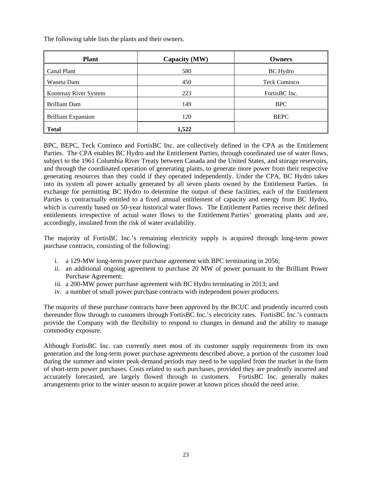The following table lists the plants and their owners.

| <b>Plant</b>               | Capacity (MW) | Owners          |  |
|----------------------------|---------------|-----------------|--|
| Canal Plant                | 580           | <b>BC</b> Hydro |  |
| Waneta Dam                 | 450           | Teck Cominco    |  |
| Kootenay River System      | 223           | FortisBC Inc.   |  |
| <b>Brilliant Dam</b>       | 149           | <b>BPC</b>      |  |
| <b>Brilliant Expansion</b> | 120           |                 |  |
| <b>Total</b>               | 1,522         |                 |  |

BPC, BEPC, Teck Cominco and FortisBC Inc. are collectively defined in the CPA as the Entitlement Parties. The CPA enables BC Hydro and the Entitlement Parties, through coordinated use of water flows, subject to the 1961 Columbia River Treaty between Canada and the United States, and storage reservoirs, and through the coordinated operation of generating plants, to generate more power from their respective generating resources than they could if they operated independently. Under the CPA, BC Hydro takes into its system all power actually generated by all seven plants owned by the Entitlement Parties. In exchange for permitting BC Hydro to determine the output of these facilities, each of the Entitlement Parties is contractually entitled to a fixed annual entitlement of capacity and energy from BC Hydro, which is currently based on 50-year historical water flows. The Entitlement Parties receive their defined entitlements irrespective of actual water flows to the Entitlement Parties' generating plants and are, accordingly, insulated from the risk of water availability.

The majority of FortisBC Inc.'s remaining electricity supply is acquired through long-term power purchase contracts, consisting of the following:

- i. a 129-MW long-term power purchase agreement with BPC terminating in 2056;
- ii. an additional ongoing agreement to purchase 20 MW of power pursuant to the Brilliant Power Purchase Agreement;
- iii. a 200-MW power purchase agreement with BC Hydro terminating in 2013; and
- iv. a number of small power purchase contracts with independent power producers.

The majority of these purchase contracts have been approved by the BCUC and prudently incurred costs thereunder flow through to customers through FortisBC Inc.'s electricity rates. FortisBC Inc.'s contracts provide the Company with the flexibility to respond to changes in demand and the ability to manage commodity exposure.

Although FortisBC Inc. can currently meet most of its customer supply requirements from its own generation and the long-term power purchase agreements described above, a portion of the customer load during the summer and winter peak-demand periods may need to be supplied from the market in the form of short-term power purchases. Costs related to such purchases, provided they are prudently incurred and accurately forecasted, are largely flowed through to customers. FortisBC Inc. generally makes arrangements prior to the winter season to acquire power at known prices should the need arise.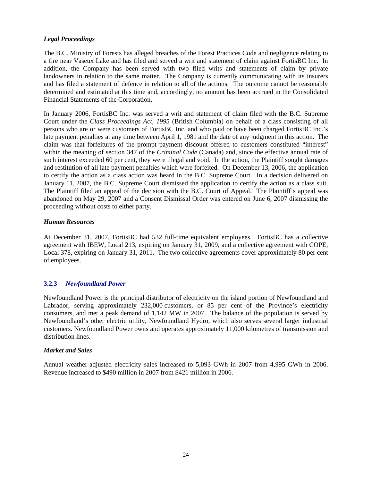## *Legal Proceedings*

The B.C. Ministry of Forests has alleged breaches of the Forest Practices Code and negligence relating to a fire near Vaseux Lake and has filed and served a writ and statement of claim against FortisBC Inc. In addition, the Company has been served with two filed writs and statements of claim by private landowners in relation to the same matter. The Company is currently communicating with its insurers and has filed a statement of defence in relation to all of the actions. The outcome cannot be reasonably determined and estimated at this time and, accordingly, no amount has been accrued in the Consolidated Financial Statements of the Corporation.

In January 2006, FortisBC Inc. was served a writ and statement of claim filed with the B.C. Supreme Court under the *Class Proceedings Act*, *1995* (British Columbia) on behalf of a class consisting of all persons who are or were customers of FortisBC Inc. and who paid or have been charged FortisBC Inc.'s late payment penalties at any time between April 1, 1981 and the date of any judgment in this action. The claim was that forfeitures of the prompt payment discount offered to customers constituted "interest" within the meaning of section 347 of the *Criminal Code* (Canada) and, since the effective annual rate of such interest exceeded 60 per cent, they were illegal and void. In the action, the Plaintiff sought damages and restitution of all late payment penalties which were forfeited. On December 13, 2006, the application to certify the action as a class action was heard in the B.C. Supreme Court. In a decision delivered on January 11, 2007, the B.C. Supreme Court dismissed the application to certify the action as a class suit. The Plaintiff filed an appeal of the decision with the B.C. Court of Appeal. The Plaintiff's appeal was abandoned on May 29, 2007 and a Consent Dismissal Order was entered on June 6, 2007 dismissing the proceeding without costs to either party.

# *Human Resources*

At December 31, 2007, FortisBC had 532 full-time equivalent employees. FortisBC has a collective agreement with IBEW, Local 213, expiring on January 31, 2009, and a collective agreement with COPE, Local 378, expiring on January 31, 2011. The two collective agreements cover approximately 80 per cent of employees.

# **3.2.3** *Newfoundland Power*

Newfoundland Power is the principal distributor of electricity on the island portion of Newfoundland and Labrador, serving approximately 232,000 customers, or 85 per cent of the Province's electricity consumers, and met a peak demand of 1,142 MW in 2007. The balance of the population is served by Newfoundland's other electric utility, Newfoundland Hydro, which also serves several larger industrial customers. Newfoundland Power owns and operates approximately 11,000 kilometres of transmission and distribution lines.

## *Market and Sales*

Annual weather-adjusted electricity sales increased to 5,093 GWh in 2007 from 4,995 GWh in 2006. Revenue increased to \$490 million in 2007 from \$421 million in 2006.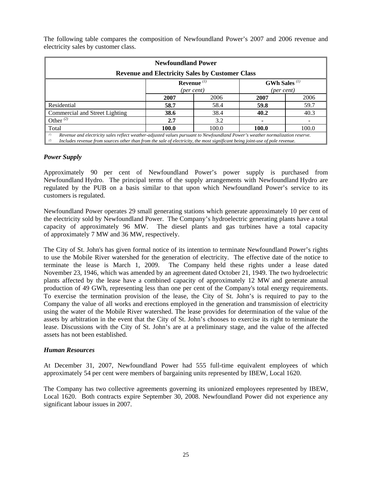The following table compares the composition of Newfoundland Power's 2007 and 2006 revenue and electricity sales by customer class.

| <b>Newfoundland Power</b>                 |                                                                                                                                                                                                                                                               |                                                        |                                 |      |  |
|-------------------------------------------|---------------------------------------------------------------------------------------------------------------------------------------------------------------------------------------------------------------------------------------------------------------|--------------------------------------------------------|---------------------------------|------|--|
|                                           |                                                                                                                                                                                                                                                               | <b>Revenue and Electricity Sales by Customer Class</b> |                                 |      |  |
|                                           |                                                                                                                                                                                                                                                               | Revenue $(1)$                                          | <b>GWh Sales</b> <sup>(1)</sup> |      |  |
|                                           |                                                                                                                                                                                                                                                               | (per cent)                                             | (per cent)                      |      |  |
|                                           | 2007                                                                                                                                                                                                                                                          | 2006                                                   |                                 |      |  |
| Residential                               | 58.7                                                                                                                                                                                                                                                          | 58.4                                                   | 59.8                            | 59.7 |  |
| Commercial and Street Lighting            | 38.6                                                                                                                                                                                                                                                          | 38.4                                                   | 40.2                            | 40.3 |  |
| Other $(2)$                               | 2.7                                                                                                                                                                                                                                                           | 3.2                                                    |                                 |      |  |
| 100.0<br>Total<br>100.0<br>100.0<br>100.0 |                                                                                                                                                                                                                                                               |                                                        |                                 |      |  |
| (1)<br>(2)                                | Revenue and electricity sales reflect weather-adjusted values pursuant to Newfoundland Power's weather normalization reserve.<br>Includes revenue from sources other than from the sale of electricity, the most significant being joint-use of pole revenue. |                                                        |                                 |      |  |

# *Power Supply*

Approximately 90 per cent of Newfoundland Power's power supply is purchased from Newfoundland Hydro. The principal terms of the supply arrangements with Newfoundland Hydro are regulated by the PUB on a basis similar to that upon which Newfoundland Power's service to its customers is regulated.

Newfoundland Power operates 29 small generating stations which generate approximately 10 per cent of the electricity sold by Newfoundland Power. The Company's hydroelectric generating plants have a total capacity of approximately 96 MW. The diesel plants and gas turbines have a total capacity of approximately 7 MW and 36 MW, respectively.

The City of St. John's has given formal notice of its intention to terminate Newfoundland Power's rights to use the Mobile River watershed for the generation of electricity. The effective date of the notice to terminate the lease is March 1, 2009. The Company held these rights under a lease dated November 23, 1946, which was amended by an agreement dated October 21, 1949. The two hydroelectric plants affected by the lease have a combined capacity of approximately 12 MW and generate annual production of 49 GWh, representing less than one per cent of the Company's total energy requirements. To exercise the termination provision of the lease, the City of St. John's is required to pay to the Company the value of all works and erections employed in the generation and transmission of electricity using the water of the Mobile River watershed. The lease provides for determination of the value of the assets by arbitration in the event that the City of St. John's chooses to exercise its right to terminate the lease. Discussions with the City of St. John's are at a preliminary stage, and the value of the affected assets has not been established.

## *Human Resources*

At December 31, 2007, Newfoundland Power had 555 full-time equivalent employees of which approximately 54 per cent were members of bargaining units represented by IBEW, Local 1620.

The Company has two collective agreements governing its unionized employees represented by IBEW, Local 1620. Both contracts expire September 30, 2008. Newfoundland Power did not experience any significant labour issues in 2007.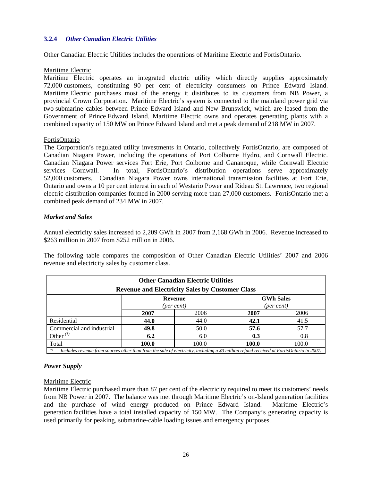## **3.2.4** *Other Canadian Electric Utilities*

Other Canadian Electric Utilities includes the operations of Maritime Electric and FortisOntario.

#### Maritime Electric

Maritime Electric operates an integrated electric utility which directly supplies approximately 72,000 customers, constituting 90 per cent of electricity consumers on Prince Edward Island. Maritime Electric purchases most of the energy it distributes to its customers from NB Power, a provincial Crown Corporation. Maritime Electric's system is connected to the mainland power grid via two submarine cables between Prince Edward Island and New Brunswick, which are leased from the Government of Prince Edward Island. Maritime Electric owns and operates generating plants with a combined capacity of 150 MW on Prince Edward Island and met a peak demand of 218 MW in 2007.

#### FortisOntario

The Corporation's regulated utility investments in Ontario, collectively FortisOntario, are composed of Canadian Niagara Power, including the operations of Port Colborne Hydro, and Cornwall Electric. Canadian Niagara Power services Fort Erie, Port Colborne and Gananoque, while Cornwall Electric services Cornwall. In total, FortisOntario's distribution operations serve approximately 52,000 customers. Canadian Niagara Power owns international transmission facilities at Fort Erie, Ontario and owns a 10 per cent interest in each of Westario Power and Rideau St. Lawrence, two regional electric distribution companies formed in 2000 serving more than 27,000 customers. FortisOntario met a combined peak demand of 234 MW in 2007.

#### *Market and Sales*

Annual electricity sales increased to 2,209 GWh in 2007 from 2,168 GWh in 2006. Revenue increased to \$263 million in 2007 from \$252 million in 2006.

The following table compares the composition of Other Canadian Electric Utilities' 2007 and 2006 revenue and electricity sales by customer class.

| <b>Other Canadian Electric Utilities</b><br><b>Revenue and Electricity Sales by Customer Class</b>                                              |       |       |       |       |  |
|-------------------------------------------------------------------------------------------------------------------------------------------------|-------|-------|-------|-------|--|
| <b>GWh Sales</b><br><b>Revenue</b><br>(per cent)<br>(per cent)                                                                                  |       |       |       |       |  |
|                                                                                                                                                 | 2007  | 2006  | 2007  | 2006  |  |
| Residential                                                                                                                                     | 44.0  | 44.0  | 42.1  | 41.5  |  |
| Commercial and industrial                                                                                                                       | 49.8  | 50.0  | 57.6  | 57.7  |  |
| Other $^{(1)}$                                                                                                                                  | 6.2   | 6.0   | 0.3   | 0.8   |  |
| Total                                                                                                                                           | 100.0 | 100.0 | 100.0 | 100.0 |  |
| Includes revenue from sources other than from the sale of electricity, including a \$3 million refund received at FortisOntario in 2007.<br>(1) |       |       |       |       |  |

## *Power Supply*

#### Maritime Electric

Maritime Electric purchased more than 87 per cent of the electricity required to meet its customers' needs from NB Power in 2007. The balance was met through Maritime Electric's on-Island generation facilities and the purchase of wind energy produced on Prince Edward Island. Maritime Electric's generation facilities have a total installed capacity of 150 MW. The Company's generating capacity is used primarily for peaking, submarine-cable loading issues and emergency purposes.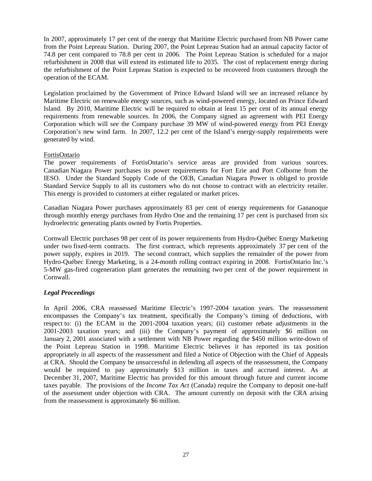In 2007, approximately 17 per cent of the energy that Maritime Electric purchased from NB Power came from the Point Lepreau Station. During 2007, the Point Lepreau Station had an annual capacity factor of 74.8 per cent compared to 78.8 per cent in 2006. The Point Lepreau Station is scheduled for a major refurbishment in 2008 that will extend its estimated life to 2035. The cost of replacement energy during the refurbishment of the Point Lepreau Station is expected to be recovered from customers through the operation of the ECAM.

Legislation proclaimed by the Government of Prince Edward Island will see an increased reliance by Maritime Electric on renewable energy sources, such as wind-powered energy, located on Prince Edward Island. By 2010, Maritime Electric will be required to obtain at least 15 per cent of its annual energy requirements from renewable sources. In 2006, the Company signed an agreement with PEI Energy Corporation which will see the Company purchase 39 MW of wind-powered energy from PEI Energy Corporation's new wind farm. In 2007, 12.2 per cent of the Island's energy-supply requirements were generated by wind.

## FortisOntario

The power requirements of FortisOntario's service areas are provided from various sources. Canadian Niagara Power purchases its power requirements for Fort Erie and Port Colborne from the IESO. Under the Standard Supply Code of the OEB, Canadian Niagara Power is obliged to provide Standard Service Supply to all its customers who do not choose to contract with an electricity retailer. This energy is provided to customers at either regulated or market prices.

Canadian Niagara Power purchases approximately 83 per cent of energy requirements for Gananoque through monthly energy purchases from Hydro One and the remaining 17 per cent is purchased from six hydroelectric generating plants owned by Fortis Properties.

Cornwall Electric purchases 98 per cent of its power requirements from Hydro-Québec Energy Marketing under two fixed-term contracts. The first contract, which represents approximately 37 per cent of the power supply, expires in 2019. The second contract, which supplies the remainder of the power from Hydro-Québec Energy Marketing, is a 24-month rolling contract expiring in 2008. FortisOntario Inc.'s 5-MW gas-fired cogeneration plant generates the remaining two per cent of the power requirement in Cornwall.

# *Legal Proceedings*

In April 2006, CRA reassessed Maritime Electric's 1997-2004 taxation years. The reassessment encompasses the Company's tax treatment, specifically the Company's timing of deductions, with respect to: (i) the ECAM in the 2001-2004 taxation years; (ii) customer rebate adjustments in the 2001-2003 taxation years; and (iii) the Company's payment of approximately \$6 million on January 2, 2001 associated with a settlement with NB Power regarding the \$450 million write-down of the Point Lepreau Station in 1998. Maritime Electric believes it has reported its tax position appropriately in all aspects of the reassessment and filed a Notice of Objection with the Chief of Appeals at CRA. Should the Company be unsuccessful in defending all aspects of the reassessment, the Company would be required to pay approximately \$13 million in taxes and accrued interest. As at December 31, 2007, Maritime Electric has provided for this amount through future and current income taxes payable. The provisions of the *Income Tax Act* (Canada) require the Company to deposit one-half of the assessment under objection with CRA. The amount currently on deposit with the CRA arising from the reassessment is approximately \$6 million.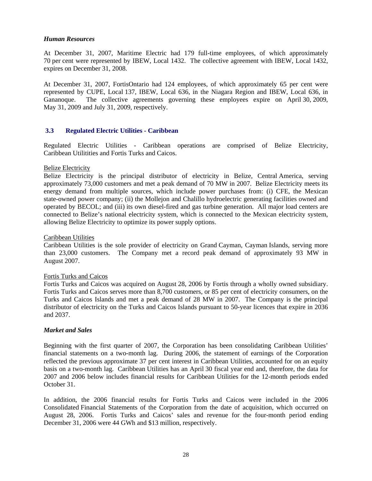#### *Human Resources*

At December 31, 2007, Maritime Electric had 179 full-time employees, of which approximately 70 per cent were represented by IBEW, Local 1432. The collective agreement with IBEW, Local 1432, expires on December 31, 2008.

At December 31, 2007, FortisOntario had 124 employees, of which approximately 65 per cent were represented by CUPE, Local 137, IBEW, Local 636, in the Niagara Region and IBEW, Local 636, in Gananoque. The collective agreements governing these employees expire on April 30, 2009, May 31, 2009 and July 31, 2009, respectively.

## **3.3 Regulated Electric Utilities - Caribbean**

Regulated Electric Utilities - Caribbean operations are comprised of Belize Electricity, Caribbean Utilitities and Fortis Turks and Caicos.

## Belize Electricity

Belize Electricity is the principal distributor of electricity in Belize, Central America, serving approximately 73,000 customers and met a peak demand of 70 MW in 2007. Belize Electricity meets its energy demand from multiple sources, which include power purchases from: (i) CFE, the Mexican state-owned power company; (ii) the Mollejon and Chalillo hydroelectric generating facilities owned and operated by BECOL; and (iii) its own diesel-fired and gas turbine generation. All major load centers are connected to Belize's national electricity system, which is connected to the Mexican electricity system, allowing Belize Electricity to optimize its power supply options.

#### Caribbean Utilities

Caribbean Utilities is the sole provider of electricity on Grand Cayman, Cayman Islands, serving more than 23,000 customers. The Company met a record peak demand of approximately 93 MW in August 2007.

#### Fortis Turks and Caicos

Fortis Turks and Caicos was acquired on August 28, 2006 by Fortis through a wholly owned subsidiary. Fortis Turks and Caicos serves more than 8,700 customers, or 85 per cent of electricity consumers, on the Turks and Caicos Islands and met a peak demand of 28 MW in 2007. The Company is the principal distributor of electricity on the Turks and Caicos Islands pursuant to 50-year licences that expire in 2036 and 2037.

## *Market and Sales*

Beginning with the first quarter of 2007, the Corporation has been consolidating Caribbean Utilities' financial statements on a two-month lag. During 2006, the statement of earnings of the Corporation reflected the previous approximate 37 per cent interest in Caribbean Utilities, accounted for on an equity basis on a two-month lag. Caribbean Utilities has an April 30 fiscal year end and, therefore, the data for 2007 and 2006 below includes financial results for Caribbean Utilities for the 12-month periods ended October 31.

In addition, the 2006 financial results for Fortis Turks and Caicos were included in the 2006 Consolidated Financial Statements of the Corporation from the date of acquisition, which occurred on August 28, 2006. Fortis Turks and Caicos' sales and revenue for the four-month period ending December 31, 2006 were 44 GWh and \$13 million, respectively.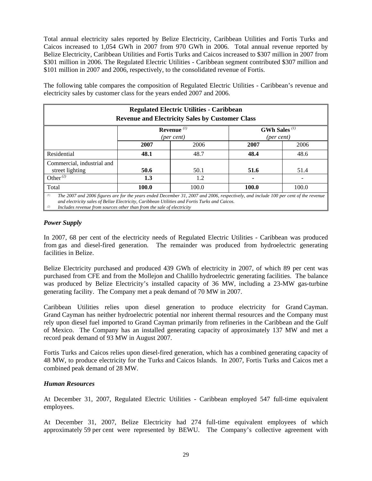Total annual electricity sales reported by Belize Electricity, Caribbean Utilities and Fortis Turks and Caicos increased to 1,054 GWh in 2007 from 970 GWh in 2006. Total annual revenue reported by Belize Electricity, Caribbean Utilities and Fortis Turks and Caicos increased to \$307 million in 2007 from \$301 million in 2006. The Regulated Electric Utilities - Caribbean segment contributed \$307 million and \$101 million in 2007 and 2006, respectively, to the consolidated revenue of Fortis.

The following table compares the composition of Regulated Electric Utilities - Caribbean's revenue and electricity sales by customer class for the years ended 2007 and 2006.

| <b>Regulated Electric Utilities - Caribbean</b><br><b>Revenue and Electricity Sales by Customer Class</b>                                                                                                                                                                                                                   |                                                  |            |      |            |  |  |  |
|-----------------------------------------------------------------------------------------------------------------------------------------------------------------------------------------------------------------------------------------------------------------------------------------------------------------------------|--------------------------------------------------|------------|------|------------|--|--|--|
|                                                                                                                                                                                                                                                                                                                             | <b>GWh Sales</b> <sup>(1)</sup><br>Revenue $(1)$ |            |      |            |  |  |  |
|                                                                                                                                                                                                                                                                                                                             |                                                  | (per cent) |      | (per cent) |  |  |  |
| 2006<br>2006<br>2007<br>2007                                                                                                                                                                                                                                                                                                |                                                  |            |      |            |  |  |  |
| Residential                                                                                                                                                                                                                                                                                                                 | 48.1                                             | 48.7       | 48.4 | 48.6       |  |  |  |
| Commercial, industrial and                                                                                                                                                                                                                                                                                                  |                                                  |            |      |            |  |  |  |
| street lighting                                                                                                                                                                                                                                                                                                             | 50.6                                             | 50.1       | 51.6 | 51.4       |  |  |  |
| Other $(2)$                                                                                                                                                                                                                                                                                                                 | 1.3                                              | 1.2        |      |            |  |  |  |
| Total<br>100.0<br>100.0<br>100.0<br>100.0                                                                                                                                                                                                                                                                                   |                                                  |            |      |            |  |  |  |
| (1)<br>The 2007 and 2006 figures are for the years ended December 31, 2007 and 2006, respectively, and include 100 per cent of the revenue<br>and electricity sales of Belize Electricity, Caribbean Utilities and Fortis Turks and Caicos.<br>(2)<br>Includes revenue from sources other than from the sale of electricity |                                                  |            |      |            |  |  |  |

## *Power Supply*

In 2007, 68 per cent of the electricity needs of Regulated Electric Utilities - Caribbean was produced from gas and diesel-fired generation. The remainder was produced from hydroelectric generating facilities in Belize.

Belize Electricity purchased and produced 439 GWh of electricity in 2007, of which 89 per cent was purchased from CFE and from the Mollejon and Chalillo hydroelectric generating facilities. The balance was produced by Belize Electricity's installed capacity of 36 MW, including a 23-MW gas-turbine generating facility. The Company met a peak demand of 70 MW in 2007.

Caribbean Utilities relies upon diesel generation to produce electricity for Grand Cayman. Grand Cayman has neither hydroelectric potential nor inherent thermal resources and the Company must rely upon diesel fuel imported to Grand Cayman primarily from refineries in the Caribbean and the Gulf of Mexico. The Company has an installed generating capacity of approximately 137 MW and met a record peak demand of 93 MW in August 2007.

Fortis Turks and Caicos relies upon diesel-fired generation, which has a combined generating capacity of 48 MW, to produce electricity for the Turks and Caicos Islands. In 2007, Fortis Turks and Caicos met a combined peak demand of 28 MW.

## *Human Resources*

At December 31, 2007, Regulated Electric Utilities - Caribbean employed 547 full-time equivalent employees.

At December 31, 2007, Belize Electricity had 274 full-time equivalent employees of which approximately 59 per cent were represented by BEWU. The Company's collective agreement with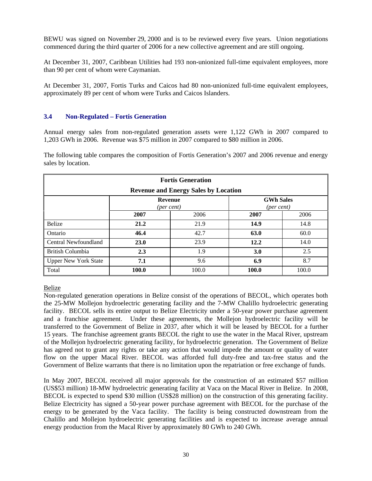BEWU was signed on November 29, 2000 and is to be reviewed every five years. Union negotiations commenced during the third quarter of 2006 for a new collective agreement and are still ongoing.

At December 31, 2007, Caribbean Utilities had 193 non-unionized full-time equivalent employees, more than 90 per cent of whom were Caymanian.

At December 31, 2007, Fortis Turks and Caicos had 80 non-unionized full-time equivalent employees, approximately 89 per cent of whom were Turks and Caicos Islanders.

# **3.4 Non-Regulated – Fortis Generation**

Annual energy sales from non-regulated generation assets were 1,122 GWh in 2007 compared to 1,203 GWh in 2006. Revenue was \$75 million in 2007 compared to \$80 million in 2006.

The following table compares the composition of Fortis Generation's 2007 and 2006 revenue and energy sales by location.

| <b>Fortis Generation</b>                                                                                                 |       |       |            |       |  |
|--------------------------------------------------------------------------------------------------------------------------|-------|-------|------------|-------|--|
| <b>Revenue and Energy Sales by Location</b><br><b>GWh Sales</b><br><b>Revenue</b><br>(per cent)<br>${\rm (per \, cent)}$ |       |       |            |       |  |
|                                                                                                                          | 2007  | 2006  | 2007       | 2006  |  |
| <b>Belize</b>                                                                                                            | 21.2  | 21.9  | 14.9       | 14.8  |  |
| Ontario                                                                                                                  | 46.4  | 42.7  | 63.0       | 60.0  |  |
| Central Newfoundland                                                                                                     | 23.0  | 23.9  | 12.2       | 14.0  |  |
| British Columbia                                                                                                         | 2.3   | 1.9   | <b>3.0</b> | 2.5   |  |
| <b>Upper New York State</b>                                                                                              | 7.1   | 9.6   | 6.9        | 8.7   |  |
| Total                                                                                                                    | 100.0 | 100.0 | 100.0      | 100.0 |  |

Belize

Non-regulated generation operations in Belize consist of the operations of BECOL, which operates both the 25-MW Mollejon hydroelectric generating facility and the 7-MW Chalillo hydroelectric generating facility. BECOL sells its entire output to Belize Electricity under a 50-year power purchase agreement and a franchise agreement. Under these agreements, the Mollejon hydroelectric facility will be transferred to the Government of Belize in 2037, after which it will be leased by BECOL for a further 15 years. The franchise agreement grants BECOL the right to use the water in the Macal River, upstream of the Mollejon hydroelectric generating facility, for hydroelectric generation. The Government of Belize has agreed not to grant any rights or take any action that would impede the amount or quality of water flow on the upper Macal River. BECOL was afforded full duty-free and tax-free status and the Government of Belize warrants that there is no limitation upon the repatriation or free exchange of funds.

In May 2007, BECOL received all major approvals for the construction of an estimated \$57 million (US\$53 million) 18-MW hydroelectric generating facility at Vaca on the Macal River in Belize. In 2008, BECOL is expected to spend \$30 million (US\$28 million) on the construction of this generating facility. Belize Electricity has signed a 50-year power purchase agreement with BECOL for the purchase of the energy to be generated by the Vaca facility. The facility is being constructed downstream from the Chalillo and Mollejon hydroelectric generating facilities and is expected to increase average annual energy production from the Macal River by approximately 80 GWh to 240 GWh.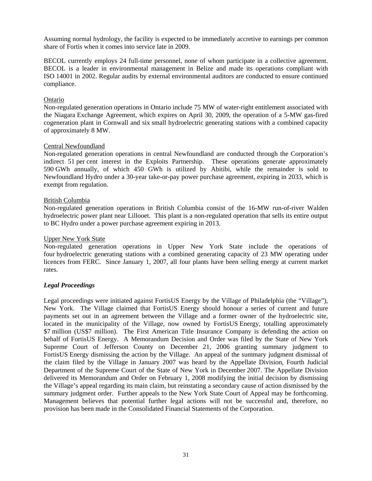Assuming normal hydrology, the facility is expected to be immediately accretive to earnings per common share of Fortis when it comes into service late in 2009.

BECOL currently employs 24 full-time personnel, none of whom participate in a collective agreement. BECOL is a leader in environmental management in Belize and made its operations compliant with ISO 14001 in 2002. Regular audits by external environmental auditors are conducted to ensure continued compliance.

## Ontario

Non-regulated generation operations in Ontario include 75 MW of water-right entitlement associated with the Niagara Exchange Agreement, which expires on April 30, 2009, the operation of a 5-MW gas-fired cogeneration plant in Cornwall and six small hydroelectric generating stations with a combined capacity of approximately 8 MW.

#### Central Newfoundland

Non-regulated generation operations in central Newfoundland are conducted through the Corporation's indirect 51 per cent interest in the Exploits Partnership. These operations generate approximately 590 GWh annually, of which 450 GWh is utilized by Abitibi, while the remainder is sold to Newfoundland Hydro under a 30-year take-or-pay power purchase agreement, expiring in 2033, which is exempt from regulation.

#### British Columbia

Non-regulated generation operations in British Columbia consist of the 16-MW run-of-river Walden hydroelectric power plant near Lillooet. This plant is a non-regulated operation that sells its entire output to BC Hydro under a power purchase agreement expiring in 2013.

#### Upper New York State

Non-regulated generation operations in Upper New York State include the operations of four hydroelectric generating stations with a combined generating capacity of 23 MW operating under licences from FERC. Since January 1, 2007, all four plants have been selling energy at current market rates.

## *Legal Proceedings*

Legal proceedings were initiated against FortisUS Energy by the Village of Philadelphia (the "Village"), New York. The Village claimed that FortisUS Energy should honour a series of current and future payments set out in an agreement between the Village and a former owner of the hydroelectric site, located in the municipality of the Village, now owned by FortisUS Energy, totalling approximately \$7 million (US\$7 million). The First American Title Insurance Company is defending the action on behalf of FortisUS Energy. A Memorandum Decision and Order was filed by the State of New York Supreme Court of Jefferson County on December 21, 2006 granting summary judgment to FortisUS Energy dismissing the action by the Village. An appeal of the summary judgment dismissal of the claim filed by the Village in January 2007 was heard by the Appellate Division, Fourth Judicial Department of the Supreme Court of the State of New York in December 2007. The Appellate Division delivered its Memorandum and Order on February 1, 2008 modifying the initial decision by dismissing the Village's appeal regarding its main claim, but reinstating a secondary cause of action dismissed by the summary judgment order. Further appeals to the New York State Court of Appeal may be forthcoming. Management believes that potential further legal actions will not be successful and, therefore, no provision has been made in the Consolidated Financial Statements of the Corporation.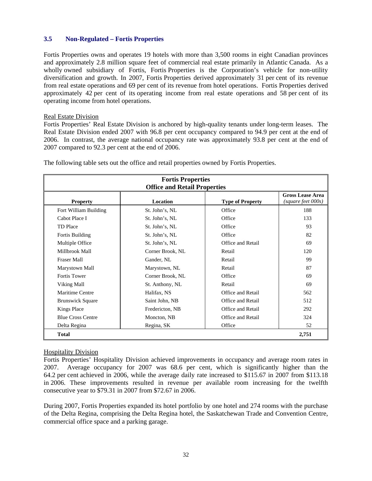## **3.5 Non-Regulated – Fortis Properties**

Fortis Properties owns and operates 19 hotels with more than 3,500 rooms in eight Canadian provinces and approximately 2.8 million square feet of commercial real estate primarily in Atlantic Canada. As a wholly owned subsidiary of Fortis, Fortis Properties is the Corporation's vehicle for non-utility diversification and growth. In 2007, Fortis Properties derived approximately 31 per cent of its revenue from real estate operations and 69 per cent of its revenue from hotel operations. Fortis Properties derived approximately 42 per cent of its operating income from real estate operations and 58 per cent of its operating income from hotel operations.

#### Real Estate Division

Fortis Properties' Real Estate Division is anchored by high-quality tenants under long-term leases. The Real Estate Division ended 2007 with 96.8 per cent occupancy compared to 94.9 per cent at the end of 2006. In contrast, the average national occupancy rate was approximately 93.8 per cent at the end of 2007 compared to 92.3 per cent at the end of 2006.

| <b>Fortis Properties</b><br><b>Office and Retail Properties</b> |                  |                         |                                                   |  |
|-----------------------------------------------------------------|------------------|-------------------------|---------------------------------------------------|--|
| <b>Property</b>                                                 | <b>Location</b>  | <b>Type of Property</b> | <b>Gross Lease Area</b><br>$(square$ feet $000s)$ |  |
| Fort William Building                                           | St. John's, NL   | Office                  | 188                                               |  |
| Cabot Place I                                                   | St. John's, NL   | Office                  | 133                                               |  |
| <b>TD</b> Place                                                 | St. John's, NL   | Office                  | 93                                                |  |
| Fortis Building                                                 | St. John's, NL   | Office                  | 82                                                |  |
| Multiple Office                                                 | St. John's, NL   | Office and Retail       | 69                                                |  |
| Millbrook Mall                                                  | Corner Brook, NL | Retail                  | 120                                               |  |
| Fraser Mall                                                     | Gander, NL       | Retail                  | 99                                                |  |
| Marystown Mall                                                  | Marystown, NL    | Retail                  | 87                                                |  |
| Fortis Tower                                                    | Corner Brook, NL | Office                  | 69                                                |  |
| Viking Mall                                                     | St. Anthony, NL  | Retail                  | 69                                                |  |
| Maritime Centre                                                 | Halifax, NS      | Office and Retail       | 562                                               |  |
| <b>Brunswick Square</b>                                         | Saint John, NB   | Office and Retail       | 512                                               |  |
| Kings Place                                                     | Fredericton, NB  | Office and Retail       | 292                                               |  |
| <b>Blue Cross Centre</b>                                        | Moncton, NB      | Office and Retail       | 324                                               |  |
| Delta Regina                                                    | Regina, SK       | Office                  | 52                                                |  |
| <b>Total</b>                                                    |                  |                         | 2,751                                             |  |

The following table sets out the office and retail properties owned by Fortis Properties.

## Hospitality Division

Fortis Properties' Hospitality Division achieved improvements in occupancy and average room rates in 2007. Average occupancy for 2007 was 68.6 per cent, which is significantly higher than the 64.2 per cent achieved in 2006, while the average daily rate increased to \$115.67 in 2007 from \$113.18 in 2006. These improvements resulted in revenue per available room increasing for the twelfth consecutive year to \$79.31 in 2007 from \$72.67 in 2006.

During 2007, Fortis Properties expanded its hotel portfolio by one hotel and 274 rooms with the purchase of the Delta Regina, comprising the Delta Regina hotel, the Saskatchewan Trade and Convention Centre, commercial office space and a parking garage.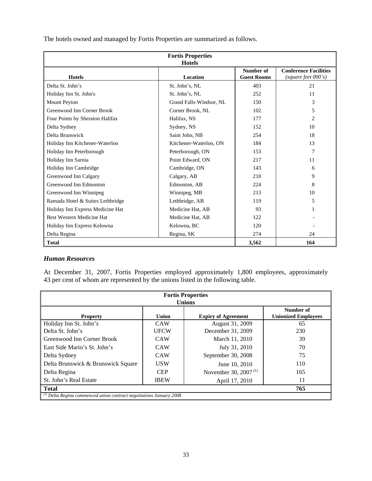| <b>Fortis Properties</b>         |                         |                                 |                                                     |  |  |
|----------------------------------|-------------------------|---------------------------------|-----------------------------------------------------|--|--|
| <b>Hotels</b>                    |                         |                                 |                                                     |  |  |
| <b>Hotels</b>                    | <b>Location</b>         | Number of<br><b>Guest Rooms</b> | <b>Conference Facilities</b><br>(square feet 000's) |  |  |
| Delta St. John's                 | St. John's, NL          | 403                             | 21                                                  |  |  |
| Holiday Inn St. John's           | St. John's, NL          | 252                             | 11                                                  |  |  |
| Mount Peyton                     | Grand Falls-Windsor, NL | 150                             | 3                                                   |  |  |
| Greenwood Inn Corner Brook       | Corner Brook, NL        | 102                             | 5                                                   |  |  |
| Four Points by Sheraton Halifax  | Halifax, NS             | 177                             | $\overline{c}$                                      |  |  |
| Delta Sydney                     | Sydney, NS              | 152                             | 10                                                  |  |  |
| Delta Brunswick                  | Saint John, NB          | 254                             | 18                                                  |  |  |
| Holiday Inn Kitchener-Waterloo   | Kitchener-Waterloo, ON  | 184                             | 13                                                  |  |  |
| Holiday Inn Peterborough         | Peterborough, ON        | 153                             | 7                                                   |  |  |
| Holiday Inn Sarnia               | Point Edward, ON        | 217                             | 11                                                  |  |  |
| Holiday Inn Cambridge            | Cambridge, ON           | 143                             | 6                                                   |  |  |
| Greenwood Inn Calgary            | Calgary, AB             | 210                             | 9                                                   |  |  |
| Greenwood Inn Edmonton           | Edmonton, AB            | 224                             | 8                                                   |  |  |
| Greenwood Inn Winnipeg           | Winnipeg, MB            | 213                             | 10                                                  |  |  |
| Ramada Hotel & Suites Lethbridge | Lethbridge, AB          | 119                             | 5                                                   |  |  |
| Holiday Inn Express Medicine Hat | Medicine Hat, AB        | 93                              |                                                     |  |  |
| Best Western Medicine Hat        | Medicine Hat, AB        | 122                             |                                                     |  |  |
| Holiday Inn Express Kelowna      | Kelowna, BC             | 120                             |                                                     |  |  |
| Delta Regina                     | Regina, SK              | 274                             | 24                                                  |  |  |
| <b>Total</b>                     |                         | 3,562                           | 164                                                 |  |  |

The hotels owned and managed by Fortis Properties are summarized as follows.

# *Human Resources*

At December 31, 2007, Fortis Properties employed approximately 1,800 employees, approximately 43 per cent of whom are represented by the unions listed in the following table.

| <b>Fortis Properties</b>                                        |             |                            |                                         |  |
|-----------------------------------------------------------------|-------------|----------------------------|-----------------------------------------|--|
|                                                                 |             | <b>Unions</b>              |                                         |  |
| <b>Property</b>                                                 | Union       | <b>Expiry of Agreement</b> | Number of<br><b>Unionized Employees</b> |  |
| Holiday Inn St. John's                                          | <b>CAW</b>  | August 31, 2009            | 65                                      |  |
| Delta St. John's                                                | <b>UFCW</b> | December 31, 2009          | 230                                     |  |
| Greenwood Inn Corner Brook                                      | <b>CAW</b>  | March 11, 2010             | 39                                      |  |
| East Side Mario's St. John's                                    | <b>CAW</b>  | July 31, 2010              | 70                                      |  |
| Delta Sydney                                                    | <b>CAW</b>  | September 30, 2008         | 75                                      |  |
| Delta Brunswick & Brunswick Square                              | <b>USW</b>  | June 10, 2010              | 110                                     |  |
| Delta Regina                                                    | <b>CEP</b>  | November 30, 2007 $^{(1)}$ | 165                                     |  |
| St. John's Real Estate                                          | <b>IBEW</b> | April 17, 2010             | 11                                      |  |
| <b>Total</b><br>765                                             |             |                            |                                         |  |
| Delta Regina commenced union contract negotiations January 2008 |             |                            |                                         |  |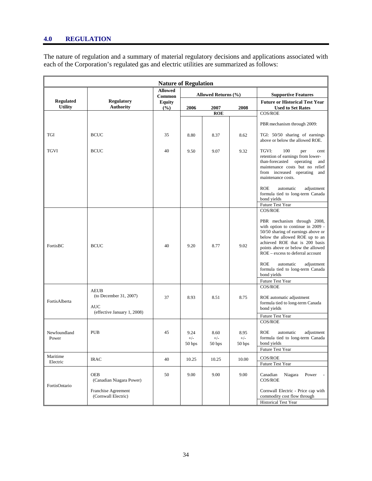# **4.0 REGULATION**

The nature of regulation and a summary of material regulatory decisions and applications associated with each of the Corporation's regulated gas and electric utilities are summarized as follows:

| <b>Nature of Regulation</b> |                                                                                    |                          |                         |                                    |                                    |                                                                                                                                                                                                                                                                                       |
|-----------------------------|------------------------------------------------------------------------------------|--------------------------|-------------------------|------------------------------------|------------------------------------|---------------------------------------------------------------------------------------------------------------------------------------------------------------------------------------------------------------------------------------------------------------------------------------|
|                             |                                                                                    | <b>Allowed</b><br>Common | Allowed Returns (%)     |                                    |                                    | <b>Supportive Features</b>                                                                                                                                                                                                                                                            |
| <b>Regulated</b>            | <b>Regulatory</b>                                                                  | <b>Equity</b>            |                         |                                    |                                    | <b>Future or Historical Test Year</b>                                                                                                                                                                                                                                                 |
| <b>Utility</b>              | <b>Authority</b>                                                                   | (%)                      | 2006                    | 2007<br><b>ROE</b>                 | 2008                               | <b>Used to Set Rates</b><br>COS/ROE                                                                                                                                                                                                                                                   |
|                             |                                                                                    |                          |                         |                                    |                                    |                                                                                                                                                                                                                                                                                       |
|                             |                                                                                    |                          |                         |                                    |                                    | PBR mechanism through 2009:                                                                                                                                                                                                                                                           |
| TGI                         | <b>BCUC</b>                                                                        | 35                       | 8.80                    | 8.37                               | 8.62                               | TGI: 50/50 sharing of earnings<br>above or below the allowed ROE.                                                                                                                                                                                                                     |
| <b>TGVI</b>                 | <b>BCUC</b>                                                                        | 40                       | 9.50                    | 9.07                               | 9.32                               | TGVI:<br>100<br>per<br>cent<br>retention of earnings from lower-<br>than-forecasted<br>operating<br>and<br>maintenance costs but no relief<br>from increased operating<br>and<br>maintenance costs.                                                                                   |
|                             |                                                                                    |                          |                         |                                    |                                    | ROE<br>automatic<br>adjustment<br>formula tied to long-term Canada<br>bond yields                                                                                                                                                                                                     |
|                             |                                                                                    |                          |                         |                                    |                                    | Future Test Year<br>COS/ROE                                                                                                                                                                                                                                                           |
| FortisBC                    | <b>BCUC</b>                                                                        | 40                       | 9.20                    | 8.77                               | 9.02                               | PBR mechanism through 2008,<br>with option to continue in 2009 -<br>50/50 sharing of earnings above or<br>below the allowed ROE up to an<br>achieved ROE that is 200 basis<br>points above or below the allowed<br>ROE - excess to deferral account<br>ROE<br>automatic<br>adjustment |
|                             |                                                                                    |                          |                         |                                    |                                    | formula tied to long-term Canada<br>bond yields                                                                                                                                                                                                                                       |
|                             |                                                                                    |                          |                         |                                    |                                    | Future Test Year                                                                                                                                                                                                                                                                      |
| FortisAlberta               | <b>AEUB</b><br>(to December 31, 2007)<br><b>AUC</b><br>(effective January 1, 2008) | 37                       | 8.93                    | 8.51                               | 8.75                               | COS/ROE<br>ROE automatic adjustment<br>formula tied to long-term Canada<br>bond yields<br>Future Test Year                                                                                                                                                                            |
|                             |                                                                                    |                          |                         |                                    |                                    | COS/ROE                                                                                                                                                                                                                                                                               |
| Newfoundland<br>Power       | <b>PUB</b>                                                                         | 45                       | 9.24<br>$+/-$<br>50 bps | 8.60<br>$+/-$<br>50 <sub>bps</sub> | 8.95<br>$+/-$<br>50 <sub>bps</sub> | ROE<br>adjustment<br>automatic<br>formula tied to long-term Canada<br>bond yields<br>Future Test Year                                                                                                                                                                                 |
| Maritime                    |                                                                                    |                          |                         |                                    |                                    | COS/ROE                                                                                                                                                                                                                                                                               |
| Electric                    | <b>IRAC</b>                                                                        | 40                       | 10.25                   | 10.25                              | 10.00                              | Future Test Year                                                                                                                                                                                                                                                                      |
| FortisOntario               | <b>OEB</b><br>(Canadian Niagara Power)                                             | 50                       | 9.00                    | 9.00                               | 9.00                               | Canadian<br>Power<br>Niagara<br>COS/ROE                                                                                                                                                                                                                                               |
|                             | Franchise Agreement<br>(Cornwall Electric)                                         |                          |                         |                                    |                                    | Cornwall Electric - Price cap with<br>commodity cost flow through<br><b>Historical Test Year</b>                                                                                                                                                                                      |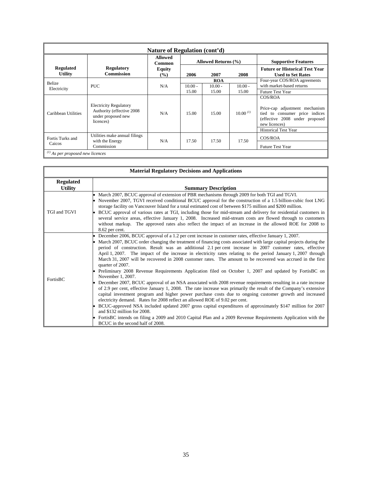| Nature of Regulation (cont'd)         |                                                                                                |                   |           |                     |               |                                                                                                                                                               |
|---------------------------------------|------------------------------------------------------------------------------------------------|-------------------|-----------|---------------------|---------------|---------------------------------------------------------------------------------------------------------------------------------------------------------------|
|                                       |                                                                                                | Allowed<br>Common |           | Allowed Returns (%) |               | <b>Supportive Features</b>                                                                                                                                    |
| <b>Regulated</b>                      | <b>Regulatory</b>                                                                              | Equity            |           |                     |               | <b>Future or Historical Test Year</b>                                                                                                                         |
| <b>Utility</b>                        | <b>Commission</b>                                                                              | $\frac{9}{6}$     | 2006      | 2007                | 2008          | <b>Used to Set Rates</b>                                                                                                                                      |
| Belize                                |                                                                                                |                   |           | <b>ROA</b>          |               | Four-year COS/ROA agreements                                                                                                                                  |
| Electricity                           | <b>PUC</b>                                                                                     | N/A               | $10.00 -$ | $10.00 -$           | $10.00 -$     | with market-based returns                                                                                                                                     |
|                                       |                                                                                                |                   | 15.00     | 15.00               | 15.00         | <b>Future Test Year</b>                                                                                                                                       |
| Caribbean Utilities                   | <b>Electricity Regulatory</b><br>Authority (effective 2008)<br>under proposed new<br>licences) | N/A               | 15.00     | 15.00               | $10.00^{(1)}$ | COS/ROA<br>Price-cap adjustment mechanism<br>tied to consumer price indices<br>(effective 2008 under proposed<br>new licences)<br><b>Historical Test Year</b> |
| Fortis Turks and<br>Caicos            | Utilities make annual filings<br>with the Energy<br>Commission                                 | N/A               | 17.50     | 17.50               | 17.50         | COS/ROA<br><b>Future Test Year</b>                                                                                                                            |
| $^{(1)}$ As per proposed new licences |                                                                                                |                   |           |                     |               |                                                                                                                                                               |

| <b>Material Regulatory Decisions and Applications</b> |                                                                                                                                                                                                                                                                                                                                                                                                                                                                                                                                                                                                                                                                                                                                                                                                                                                                                                                                                                                                                                                                                                                                                                                                                                                                                                                                                                                                                                                                     |  |  |
|-------------------------------------------------------|---------------------------------------------------------------------------------------------------------------------------------------------------------------------------------------------------------------------------------------------------------------------------------------------------------------------------------------------------------------------------------------------------------------------------------------------------------------------------------------------------------------------------------------------------------------------------------------------------------------------------------------------------------------------------------------------------------------------------------------------------------------------------------------------------------------------------------------------------------------------------------------------------------------------------------------------------------------------------------------------------------------------------------------------------------------------------------------------------------------------------------------------------------------------------------------------------------------------------------------------------------------------------------------------------------------------------------------------------------------------------------------------------------------------------------------------------------------------|--|--|
| <b>Regulated</b><br><b>Utility</b>                    | <b>Summary Description</b>                                                                                                                                                                                                                                                                                                                                                                                                                                                                                                                                                                                                                                                                                                                                                                                                                                                                                                                                                                                                                                                                                                                                                                                                                                                                                                                                                                                                                                          |  |  |
| TGI and TGVI                                          | • March 2007, BCUC approval of extension of PBR mechanisms through 2009 for both TGI and TGVI.<br>• November 2007, TGVI received conditional BCUC approval for the construction of a 1.5 billion-cubic foot LNG<br>storage facility on Vancouver Island for a total estimated cost of between \$175 million and \$200 million.<br>BCUC approval of various rates at TGI, including those for mid-stream and delivery for residential customers in<br>several service areas, effective January 1, 2008. Increased mid-stream costs are flowed through to customers<br>without markup. The approved rates also reflect the impact of an increase in the allowed ROE for 2008 to<br>8.62 per cent.                                                                                                                                                                                                                                                                                                                                                                                                                                                                                                                                                                                                                                                                                                                                                                     |  |  |
| FortisBC                                              | • December 2006, BCUC approval of a 1.2 per cent increase in customer rates, effective January 1, 2007.<br>March 2007, BCUC order changing the treatment of financing costs associated with large capital projects during the<br>period of construction. Result was an additional 2.1 per cent increase in 2007 customer rates, effective<br>April 1, 2007. The impact of the increase in electricity rates relating to the period January 1, 2007 through<br>March 31, 2007 will be recovered in 2008 customer rates. The amount to be recovered was accrued in the first<br>quarter of 2007.<br>Preliminary 2008 Revenue Requirements Application filed on October 1, 2007 and updated by FortisBC on<br>November 1, 2007.<br>• December 2007, BCUC approval of an NSA associated with 2008 revenue requirements resulting in a rate increase<br>of 2.9 per cent, effective January 1, 2008. The rate increase was primarily the result of the Company's extensive<br>capital investment program and higher power purchase costs due to ongoing customer growth and increased<br>electricity demand. Rates for 2008 reflect an allowed ROE of 9.02 per cent.<br>• BCUC-approved NSA included updated 2007 gross capital expenditures of approximately \$147 million for 2007<br>and \$132 million for 2008.<br>• FortisBC intends on filing a 2009 and 2010 Capital Plan and a 2009 Revenue Requirements Application with the<br>BCUC in the second half of 2008. |  |  |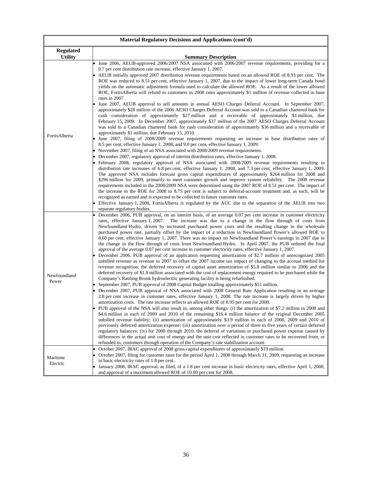| Material Regulatory Decisions and Applications (cont'd) |                                                                                                                                                                                                                                                                                                                                                                                                                                                                                                                                                                                                                                                                                                                                                                                                                                                                                                                                                                                                                                                                                                                                                                                                                                                                                                                                                                                                                                                                                                                                                                                                                                                                                                                                                                                                                                                                                                                                                                                                                                                                                                                                                                                                                                                                                                                                                                                                                                                                                                                                                                                                                      |  |  |
|---------------------------------------------------------|----------------------------------------------------------------------------------------------------------------------------------------------------------------------------------------------------------------------------------------------------------------------------------------------------------------------------------------------------------------------------------------------------------------------------------------------------------------------------------------------------------------------------------------------------------------------------------------------------------------------------------------------------------------------------------------------------------------------------------------------------------------------------------------------------------------------------------------------------------------------------------------------------------------------------------------------------------------------------------------------------------------------------------------------------------------------------------------------------------------------------------------------------------------------------------------------------------------------------------------------------------------------------------------------------------------------------------------------------------------------------------------------------------------------------------------------------------------------------------------------------------------------------------------------------------------------------------------------------------------------------------------------------------------------------------------------------------------------------------------------------------------------------------------------------------------------------------------------------------------------------------------------------------------------------------------------------------------------------------------------------------------------------------------------------------------------------------------------------------------------------------------------------------------------------------------------------------------------------------------------------------------------------------------------------------------------------------------------------------------------------------------------------------------------------------------------------------------------------------------------------------------------------------------------------------------------------------------------------------------------|--|--|
| <b>Regulated</b><br><b>Utility</b>                      | <b>Summary Description</b>                                                                                                                                                                                                                                                                                                                                                                                                                                                                                                                                                                                                                                                                                                                                                                                                                                                                                                                                                                                                                                                                                                                                                                                                                                                                                                                                                                                                                                                                                                                                                                                                                                                                                                                                                                                                                                                                                                                                                                                                                                                                                                                                                                                                                                                                                                                                                                                                                                                                                                                                                                                           |  |  |
| FortisAlberta                                           | June 2006, AEUB-approved 2006/2007 NSA associated with 2006/2007 revenue requirements, providing for a<br>0.7 per cent distribution rate increase, effective January 1, 2007.<br>AEUB initially approved 2007 distribution revenue requirements based on an allowed ROE of 8.93 per cent. The<br>ROE was reduced to 8.51 per cent, effective January 1, 2007, due to the impact of lower long-term Canada bond<br>yields on the automatic adjustment formula used to calculate the allowed ROE. As a result of the lower allowed<br>ROE, FortisAlberta will refund to customers in 2008 rates approximately \$1 million of revenue collected in base<br>rates in 2007.<br>June 2007, AEUB approval to sell amounts in annual AESO Charges Deferral Account. In September 2007,<br>approximately \$28 million of the 2006 AESO Charges Deferral Account was sold to a Canadian chartered bank for<br>cash consideration of approximately \$27 million and a receivable of approximately \$1 million, due<br>February 15, 2009. In December 2007, approximately \$37 million of the 2007 AESO Charges Deferral Account<br>was sold to a Canadian chartered bank for cash consideration of approximately \$36 million and a receivable of<br>approximately \$1 million, due February 15, 2010.<br>June 2007, filing of 2008/2009 revenue requirements requesting an increase in base distribution rates of<br>8.5 per cent, effective January 1, 2008, and 9.0 per cent, effective January 1, 2009.<br>November 2007, filing of an NSA associated with 2008/2009 revenue requirements.<br>December 2007, regulatory approval of interim distribution rates, effective January 1, 2008.<br>February 2008, regulatory approval of NSA associated with 2008/2009 revenue requirements resulting in<br>distribution rate increases of 6.8 per cent, effective January 1, 2008, and 7.3 per cent, effective January 1, 2009.<br>The approved NSA includes forecast gross capital expenditures of approximately \$264 million for 2008 and<br>\$296 million for 2009, primarily to meet customer growth and improve system reliability. The 2008 revenue<br>requirements included in the 2008/2009 NSA were determined using the 2007 ROE of 8.51 per cent. The impact of<br>the increase in the ROE for 2008 to 8.75 per cent is subject to deferral-account treatment and, as such, will be<br>recognized as earned and is expected to be collected in future customer rates.<br>Effective January 1, 2008, FortisAlberta is regulated by the AUC due to the separation of the AEUB into two<br>separate regulatory bodies. |  |  |
| Newfoundland<br>Power                                   | December 2006, PUB approval, on an interim basis, of an average 0.07 per cent increase in customer electricity<br>rates, effective January 1, 2007. The increase was due to a change in the flow through of costs from<br>Newfoundland Hydro, driven by increased purchased power costs and the resulting change in the wholesale<br>purchased power rate, partially offset by the impact of a reduction in Newfoundland Power's allowed ROE to<br>8.60 per cent, effective January 1, 2007. There was no impact on Newfoundland Power's earnings in 2007 due to<br>the change in the flow through of costs from Newfoundland Hydro. In April 2007, the PUB ordered the final<br>approval of the average 0.07 per cent increase in customer electricity rates, effective January 1, 2007.<br>December 2006, PUB approval of an application requesting amortization of \$2.7 million of unrecognized 2005<br>unbilled revenue as revenue in 2007 to offset the 2007 income tax impact of changing to the accrual method for<br>revenue recognition, the deferred recovery of capital asset amortization of \$5.8 million similar to 2006 and the<br>deferred recovery of \$1.8 million associated with the cost of replacement energy required to be purchased while the<br>Company's Rattling Brook hydroelectric generating facility is being refurbished.<br>September 2007, PUB approval of 2008 Capital Budget totalling approximately \$51 million.<br>December 2007, PUB approval of NSA associated with 2008 General Rate Application resulting in an average<br>2.8 per cent increase in customer rates, effective January 1, 2008. The rate increase is largely driven by higher<br>amortization costs. The rate increase reflects an allowed ROE of 8.95 per cent for 2008.<br>PUB approval of the NSA will also result in, among other things: (i) the amortization of \$7.2 million in 2008 and<br>\$4.6 million in each of 2009 and 2010 of the remaining \$16.4 million balance of the original December 2005<br>unbilled revenue liability; (ii) amortization of approximately \$3.9 million in each of 2008, 2009 and 2010 of<br>previously deferred amortization expense; (iii) amortization over a period of three to five years of certain deferred<br>regulatory balances; (iv) for 2008 through 2010, the deferral of variations in purchased power expense caused by<br>differences in the actual unit cost of energy and the unit cost reflected in customer rates to be recovered from, or<br>refunded to, customers through operation of the Company's rate stabilization account.          |  |  |
| Maritime<br>Electric                                    | October 2007, IRAC approval of 2008 gross capital expenditures of approximately \$19 million.<br>October 2007, filing for customer rates for the period April 1, 2008 through March 31, 2009, requesting an increase<br>in basic electricity rates of 1.8 per cent.<br>January 2008, IRAC approval, as filed, of a 1.8 per cent increase in basic electricity rates, effective April 1, 2008,<br>and approval of a maximum allowed ROE of 10.00 per cent for 2008.                                                                                                                                                                                                                                                                                                                                                                                                                                                                                                                                                                                                                                                                                                                                                                                                                                                                                                                                                                                                                                                                                                                                                                                                                                                                                                                                                                                                                                                                                                                                                                                                                                                                                                                                                                                                                                                                                                                                                                                                                                                                                                                                                   |  |  |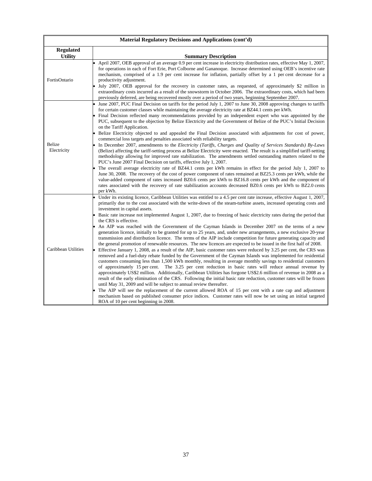| Material Regulatory Decisions and Applications (cont'd) |                                                                                                                                                                                                                                                                                                                                                                                                                                                                                                                                                                                                                                                                                                                                                                                                                                                                                                                                                                                                                                                                                                                                                                                                                                                                                                                                                                                                                                                                                                                                                                                                                                                                                                                                                                                                                                                                                                                                                                               |  |  |  |
|---------------------------------------------------------|-------------------------------------------------------------------------------------------------------------------------------------------------------------------------------------------------------------------------------------------------------------------------------------------------------------------------------------------------------------------------------------------------------------------------------------------------------------------------------------------------------------------------------------------------------------------------------------------------------------------------------------------------------------------------------------------------------------------------------------------------------------------------------------------------------------------------------------------------------------------------------------------------------------------------------------------------------------------------------------------------------------------------------------------------------------------------------------------------------------------------------------------------------------------------------------------------------------------------------------------------------------------------------------------------------------------------------------------------------------------------------------------------------------------------------------------------------------------------------------------------------------------------------------------------------------------------------------------------------------------------------------------------------------------------------------------------------------------------------------------------------------------------------------------------------------------------------------------------------------------------------------------------------------------------------------------------------------------------------|--|--|--|
| <b>Regulated</b><br><b>Utility</b>                      | <b>Summary Description</b>                                                                                                                                                                                                                                                                                                                                                                                                                                                                                                                                                                                                                                                                                                                                                                                                                                                                                                                                                                                                                                                                                                                                                                                                                                                                                                                                                                                                                                                                                                                                                                                                                                                                                                                                                                                                                                                                                                                                                    |  |  |  |
| FortisOntario                                           | April 2007, OEB approval of an average 0.9 per cent increase in electricity distribution rates, effective May 1, 2007,<br>for operations in each of Fort Erie, Port Colborne and Gananoque. Increase determined using OEB's incentive rate<br>mechanism, comprised of a 1.9 per cent increase for inflation, partially offset by a 1 per cent decrease for a<br>productivity adjustment.<br>July 2007, OEB approval for the recovery in customer rates, as requested, of approximately \$2 million in<br>extraordinary costs incurred as a result of the snowstorm in October 2006. The extraordinary costs, which had been<br>previously deferred, are being recovered mostly over a period of two years, beginning September 2007.                                                                                                                                                                                                                                                                                                                                                                                                                                                                                                                                                                                                                                                                                                                                                                                                                                                                                                                                                                                                                                                                                                                                                                                                                                          |  |  |  |
| Belize<br>Electricity                                   | June 2007, PUC Final Decision on tariffs for the period July 1, 2007 to June 30, 2008 approving changes to tariffs<br>for certain customer classes while maintaining the average electricity rate at BZ44.1 cents per kWh.<br>Final Decision reflected many recommendations provided by an independent expert who was appointed by the<br>PUC, subsequent to the objection by Belize Electricity and the Government of Belize of the PUC's Initial Decision<br>on the Tariff Application.<br>Belize Electricity objected to and appealed the Final Decision associated with adjustments for cost of power,<br>commercial loss targets and penalties associated with reliability targets.<br>In December 2007, amendments to the Electricity (Tariffs, Charges and Quality of Services Standards) By-Laws<br>(Belize) affecting the tariff-setting process at Belize Electricity were enacted. The result is a simplified tariff-setting<br>methodology allowing for improved rate stabilization. The amendments settled outstanding matters related to the<br>PUC's June 2007 Final Decision on tariffs, effective July 1, 2007.<br>The overall average electricity rate of BZ44.1 cents per kWh remains in effect for the period July 1, 2007 to<br>June 30, 2008. The recovery of the cost of power component of rates remained at BZ25.3 cents per kWh, while the<br>value-added component of rates increased BZ0.6 cents per kWh to BZ16.8 cents per kWh and the component of<br>rates associated with the recovery of rate stabilization accounts decreased BZ0.6 cents per kWh to BZ2.0 cents<br>per kWh.                                                                                                                                                                                                                                                                                                                                                               |  |  |  |
| Caribbean Utilities                                     | Under its existing licence, Caribbean Utilities was entitled to a 4.5 per cent rate increase, effective August 1, 2007,<br>primarily due to the cost associated with the write-down of the steam-turbine assets, increased operating costs and<br>investment in capital assets.<br>Basic rate increase not implemented August 1, 2007, due to freezing of basic electricity rates during the period that<br>the CRS is effective.<br>An AIP was reached with the Government of the Cayman Islands in December 2007 on the terms of a new<br>generation licence, initially to be granted for up to 25 years, and, under new arrangements, a new exclusive 20-year<br>transmission and distribution licence. The terms of the AIP include competition for future generating capacity and<br>the general promotion of renewable resources. The new licences are expected to be issued in the first half of 2008.<br>Effective January 1, 2008, as a result of the AIP, basic customer rates were reduced by 3.25 per cent, the CRS was<br>removed and a fuel-duty rebate funded by the Government of the Cayman Islands was implemented for residential<br>customers consuming less than 1,500 kWh monthly, resulting in average monthly savings to residential customers<br>of approximately 15 per cent. The 3.25 per cent reduction in basic rates will reduce annual revenue by<br>approximately US\$2 million. Additionally, Caribbean Utilities has forgone US\$2.6 million of revenue in 2008 as a<br>result of the early elimination of the CRS. Following the initial basic rate reduction, customer rates will be frozen<br>until May 31, 2009 and will be subject to annual review thereafter.<br>The AIP will see the replacement of the current allowed ROA of 15 per cent with a rate cap and adjustment<br>mechanism based on published consumer price indices. Customer rates will now be set using an initial targeted<br>ROA of 10 per cent beginning in 2008. |  |  |  |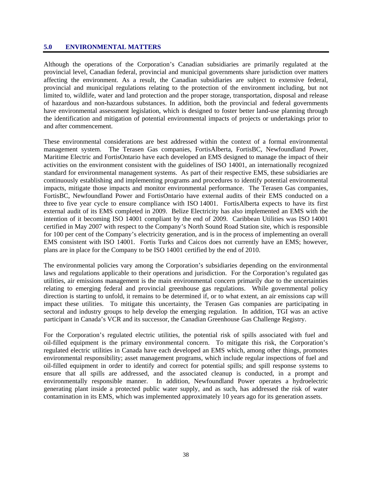# **5.0 ENVIRONMENTAL MATTERS**

Although the operations of the Corporation's Canadian subsidiaries are primarily regulated at the provincial level, Canadian federal, provincial and municipal governments share jurisdiction over matters affecting the environment. As a result, the Canadian subsidiaries are subject to extensive federal, provincial and municipal regulations relating to the protection of the environment including, but not limited to, wildlife, water and land protection and the proper storage, transportation, disposal and release of hazardous and non-hazardous substances. In addition, both the provincial and federal governments have environmental assessment legislation, which is designed to foster better land-use planning through the identification and mitigation of potential environmental impacts of projects or undertakings prior to and after commencement.

These environmental considerations are best addressed within the context of a formal environmental management system. The Terasen Gas companies, FortisAlberta, FortisBC, Newfoundland Power, Maritime Electric and FortisOntario have each developed an EMS designed to manage the impact of their activities on the environment consistent with the guidelines of ISO 14001, an internationally recognized standard for environmental management systems. As part of their respective EMS, these subsidiaries are continuously establishing and implementing programs and procedures to identify potential environmental impacts, mitigate those impacts and monitor environmental performance. The Terasen Gas companies, FortisBC, Newfoundland Power and FortisOntario have external audits of their EMS conducted on a three to five year cycle to ensure compliance with ISO 14001. FortisAlberta expects to have its first external audit of its EMS completed in 2009. Belize Electricity has also implemented an EMS with the intention of it becoming ISO 14001 compliant by the end of 2009. Caribbean Utilities was ISO 14001 certified in May 2007 with respect to the Company's North Sound Road Station site, which is responsible for 100 per cent of the Company's electricity generation, and is in the process of implementing an overall EMS consistent with ISO 14001. Fortis Turks and Caicos does not currently have an EMS; however, plans are in place for the Company to be ISO 14001 certified by the end of 2010.

The environmental policies vary among the Corporation's subsidiaries depending on the environmental laws and regulations applicable to their operations and jurisdiction. For the Corporation's regulated gas utilities, air emissions management is the main environmental concern primarily due to the uncertainties relating to emerging federal and provincial greenhouse gas regulations. While governmental policy direction is starting to unfold, it remains to be determined if, or to what extent, an air emissions cap will impact these utilities. To mitigate this uncertainty, the Terasen Gas companies are participating in sectoral and industry groups to help develop the emerging regulation. In addition, TGI was an active participant in Canada's VCR and its successor, the Canadian Greenhouse Gas Challenge Registry.

For the Corporation's regulated electric utilities, the potential risk of spills associated with fuel and oil-filled equipment is the primary environmental concern. To mitigate this risk, the Corporation's regulated electric utilities in Canada have each developed an EMS which, among other things, promotes environmental responsibility; asset management programs, which include regular inspections of fuel and oil-filled equipment in order to identify and correct for potential spills; and spill response systems to ensure that all spills are addressed, and the associated cleanup is conducted, in a prompt and environmentally responsible manner. In addition, Newfoundland Power operates a hydroelectric generating plant inside a protected public water supply, and as such, has addressed the risk of water contamination in its EMS, which was implemented approximately 10 years ago for its generation assets.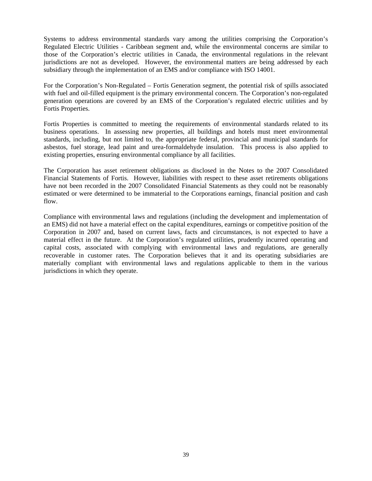Systems to address environmental standards vary among the utilities comprising the Corporation's Regulated Electric Utilities - Caribbean segment and, while the environmental concerns are similar to those of the Corporation's electric utilities in Canada, the environmental regulations in the relevant jurisdictions are not as developed. However, the environmental matters are being addressed by each subsidiary through the implementation of an EMS and/or compliance with ISO 14001.

For the Corporation's Non-Regulated – Fortis Generation segment, the potential risk of spills associated with fuel and oil-filled equipment is the primary environmental concern. The Corporation's non-regulated generation operations are covered by an EMS of the Corporation's regulated electric utilities and by Fortis Properties.

Fortis Properties is committed to meeting the requirements of environmental standards related to its business operations. In assessing new properties, all buildings and hotels must meet environmental standards, including, but not limited to, the appropriate federal, provincial and municipal standards for asbestos, fuel storage, lead paint and urea-formaldehyde insulation. This process is also applied to existing properties, ensuring environmental compliance by all facilities.

The Corporation has asset retirement obligations as disclosed in the Notes to the 2007 Consolidated Financial Statements of Fortis. However, liabilities with respect to these asset retirements obligations have not been recorded in the 2007 Consolidated Financial Statements as they could not be reasonably estimated or were determined to be immaterial to the Corporations earnings, financial position and cash flow.

Compliance with environmental laws and regulations (including the development and implementation of an EMS) did not have a material effect on the capital expenditures, earnings or competitive position of the Corporation in 2007 and, based on current laws, facts and circumstances, is not expected to have a material effect in the future. At the Corporation's regulated utilities, prudently incurred operating and capital costs, associated with complying with environmental laws and regulations, are generally recoverable in customer rates. The Corporation believes that it and its operating subsidiaries are materially compliant with environmental laws and regulations applicable to them in the various jurisdictions in which they operate.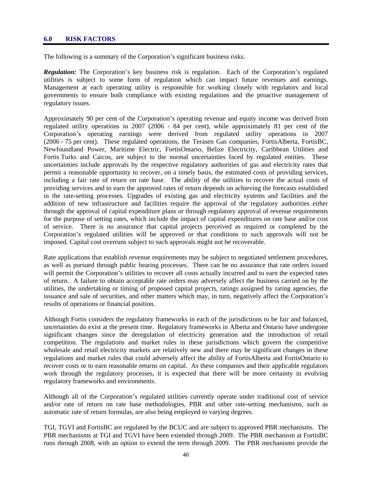#### **6.0 RISK FACTORS**

The following is a summary of the Corporation's significant business risks.

*Regulation:* The Corporation's key business risk is regulation. Each of the Corporation's regulated utilities is subject to some form of regulation which can impact future revenues and earnings. Management at each operating utility is responsible for working closely with regulators and local governments to ensure both compliance with existing regulations and the proactive management of regulatory issues.

Approximately 90 per cent of the Corporation's operating revenue and equity income was derived from regulated utility operations in 2007 (2006 - 84 per cent), while approximately 81 per cent of the Corporation's operating earnings were derived from regulated utility operations in 2007 (2006 - 75 per cent). These regulated operations, the Terasen Gas companies, FortisAlberta, FortisBC, Newfoundland Power, Maritime Electric, FortisOntario, Belize Electricity, Caribbean Utilities and Fortis Turks and Caicos, are subject to the normal uncertainties faced by regulated entities. These uncertainties include approvals by the respective regulatory authorities of gas and electricity rates that permit a reasonable opportunity to recover, on a timely basis, the estimated costs of providing services, including a fair rate of return on rate base. The ability of the utilities to recover the actual costs of providing services and to earn the approved rates of return depends on achieving the forecasts established in the rate-setting processes. Upgrades of existing gas and electricity systems and facilities and the addition of new infrastructure and facilities require the approval of the regulatory authorities either through the approval of capital expenditure plans or through regulatory approval of revenue requirements for the purpose of setting rates, which include the impact of capital expenditures on rate base and/or cost of service. There is no assurance that capital projects perceived as required or completed by the Corporation's regulated utilities will be approved or that conditions to such approvals will not be imposed. Capital cost overruns subject to such approvals might not be recoverable.

Rate applications that establish revenue requirements may be subject to negotiated settlement procedures, as well as pursued through public hearing processes. There can be no assurance that rate orders issued will permit the Corporation's utilities to recover all costs actually incurred and to earn the expected rates of return. A failure to obtain acceptable rate orders may adversely affect the business carried on by the utilities, the undertaking or timing of proposed capital projects, ratings assigned by rating agencies, the issuance and sale of securities, and other matters which may, in turn, negatively affect the Corporation's results of operations or financial position.

Although Fortis considers the regulatory frameworks in each of the jurisdictions to be fair and balanced, uncertainties do exist at the present time. Regulatory frameworks in Alberta and Ontario have undergone significant changes since the deregulation of electricity generation and the introduction of retail competition. The regulations and market rules in these jurisdictions which govern the competitive wholesale and retail electricity markets are relatively new and there may be significant changes in these regulations and market rules that could adversely affect the ability of FortisAlberta and FortisOntario to recover costs or to earn reasonable returns on capital. As these companies and their applicable regulators work through the regulatory processes, it is expected that there will be more certainty in evolving regulatory frameworks and environments.

Although all of the Corporation's regulated utilities currently operate under traditional cost of service and/or rate of return on rate base methodologies, PBR and other rate-setting mechanisms, such as automatic rate of return formulas, are also being employed to varying degrees.

TGI, TGVI and FortisBC are regulated by the BCUC and are subject to approved PBR mechanisms. The PBR mechanisms at TGI and TGVI have been extended through 2009. The PBR mechanism at FortisBC runs through 2008, with an option to extend the term through 2009. The PBR mechanisms provide the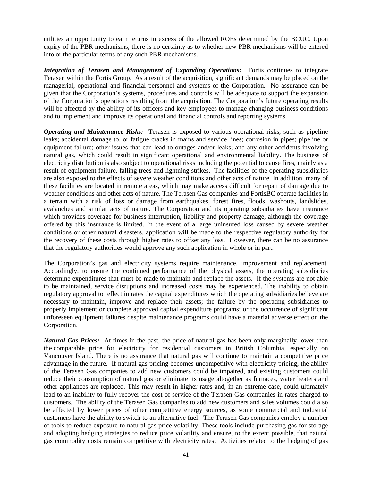utilities an opportunity to earn returns in excess of the allowed ROEs determined by the BCUC. Upon expiry of the PBR mechanisms, there is no certainty as to whether new PBR mechanisms will be entered into or the particular terms of any such PBR mechanisms.

*Integration of Terasen and Management of Expanding Operations:* Fortis continues to integrate Terasen within the Fortis Group. As a result of the acquisition, significant demands may be placed on the managerial, operational and financial personnel and systems of the Corporation. No assurance can be given that the Corporation's systems, procedures and controls will be adequate to support the expansion of the Corporation's operations resulting from the acquisition. The Corporation's future operating results will be affected by the ability of its officers and key employees to manage changing business conditions and to implement and improve its operational and financial controls and reporting systems.

*Operating and Maintenance Risks:* Terasen is exposed to various operational risks, such as pipeline leaks; accidental damage to, or fatigue cracks in mains and service lines; corrosion in pipes; pipeline or equipment failure; other issues that can lead to outages and/or leaks; and any other accidents involving natural gas, which could result in significant operational and environmental liability. The business of electricity distribution is also subject to operational risks including the potential to cause fires, mainly as a result of equipment failure, falling trees and lightning strikes. The facilities of the operating subsidiaries are also exposed to the effects of severe weather conditions and other acts of nature. In addition, many of these facilities are located in remote areas, which may make access difficult for repair of damage due to weather conditions and other acts of nature. The Terasen Gas companies and FortisBC operate facilities in a terrain with a risk of loss or damage from earthquakes, forest fires, floods, washouts, landslides, avalanches and similar acts of nature. The Corporation and its operating subsidiaries have insurance which provides coverage for business interruption, liability and property damage, although the coverage offered by this insurance is limited. In the event of a large uninsured loss caused by severe weather conditions or other natural disasters, application will be made to the respective regulatory authority for the recovery of these costs through higher rates to offset any loss. However, there can be no assurance that the regulatory authorities would approve any such application in whole or in part.

The Corporation's gas and electricity systems require maintenance, improvement and replacement. Accordingly, to ensure the continued performance of the physical assets, the operating subsidiaries determine expenditures that must be made to maintain and replace the assets. If the systems are not able to be maintained, service disruptions and increased costs may be experienced. The inability to obtain regulatory approval to reflect in rates the capital expenditures which the operating subsidiaries believe are necessary to maintain, improve and replace their assets; the failure by the operating subsidiaries to properly implement or complete approved capital expenditure programs; or the occurrence of significant unforeseen equipment failures despite maintenance programs could have a material adverse effect on the Corporation.

*Natural Gas Prices:* At times in the past, the price of natural gas has been only marginally lower than the comparable price for electricity for residential customers in British Columbia, especially on Vancouver Island. There is no assurance that natural gas will continue to maintain a competitive price advantage in the future. If natural gas pricing becomes uncompetitive with electricity pricing, the ability of the Terasen Gas companies to add new customers could be impaired, and existing customers could reduce their consumption of natural gas or eliminate its usage altogether as furnaces, water heaters and other appliances are replaced. This may result in higher rates and, in an extreme case, could ultimately lead to an inability to fully recover the cost of service of the Terasen Gas companies in rates charged to customers. The ability of the Terasen Gas companies to add new customers and sales volumes could also be affected by lower prices of other competitive energy sources, as some commercial and industrial customers have the ability to switch to an alternative fuel. The Terasen Gas companies employ a number of tools to reduce exposure to natural gas price volatility. These tools include purchasing gas for storage and adopting hedging strategies to reduce price volatility and ensure, to the extent possible, that natural gas commodity costs remain competitive with electricity rates. Activities related to the hedging of gas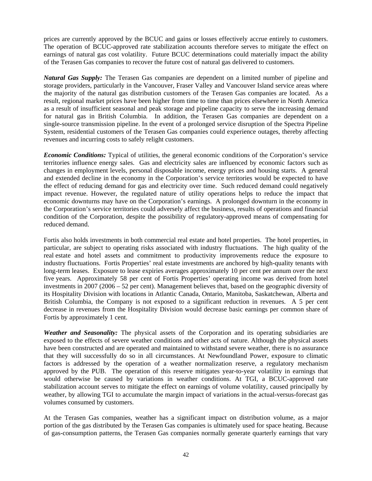prices are currently approved by the BCUC and gains or losses effectively accrue entirely to customers. The operation of BCUC-approved rate stabilization accounts therefore serves to mitigate the effect on earnings of natural gas cost volatility. Future BCUC determinations could materially impact the ability of the Terasen Gas companies to recover the future cost of natural gas delivered to customers.

*Natural Gas Supply:* The Terasen Gas companies are dependent on a limited number of pipeline and storage providers, particularly in the Vancouver, Fraser Valley and Vancouver Island service areas where the majority of the natural gas distribution customers of the Terasen Gas companies are located. As a result, regional market prices have been higher from time to time than prices elsewhere in North America as a result of insufficient seasonal and peak storage and pipeline capacity to serve the increasing demand for natural gas in British Columbia. In addition, the Terasen Gas companies are dependent on a single-source transmission pipeline. In the event of a prolonged service disruption of the Spectra Pipeline System, residential customers of the Terasen Gas companies could experience outages, thereby affecting revenues and incurring costs to safely relight customers.

*Economic Conditions:* Typical of utilities, the general economic conditions of the Corporation's service territories influence energy sales. Gas and electricity sales are influenced by economic factors such as changes in employment levels, personal disposable income, energy prices and housing starts. A general and extended decline in the economy in the Corporation's service territories would be expected to have the effect of reducing demand for gas and electricity over time. Such reduced demand could negatively impact revenue. However, the regulated nature of utility operations helps to reduce the impact that economic downturns may have on the Corporation's earnings. A prolonged downturn in the economy in the Corporation's service territories could adversely affect the business, results of operations and financial condition of the Corporation, despite the possibility of regulatory-approved means of compensating for reduced demand.

Fortis also holds investments in both commercial real estate and hotel properties. The hotel properties, in particular, are subject to operating risks associated with industry fluctuations. The high quality of the real estate and hotel assets and commitment to productivity improvements reduce the exposure to industry fluctuations. Fortis Properties' real estate investments are anchored by high-quality tenants with long-term leases. Exposure to lease expiries averages approximately 10 per cent per annum over the next five years. Approximately 58 per cent of Fortis Properties' operating income was derived from hotel investments in 2007 (2006 – 52 per cent). Management believes that, based on the geographic diversity of its Hospitality Division with locations in Atlantic Canada, Ontario, Manitoba, Saskatchewan, Alberta and British Columbia, the Company is not exposed to a significant reduction in revenues. A 5 per cent decrease in revenues from the Hospitality Division would decrease basic earnings per common share of Fortis by approximately 1 cent.

*Weather and Seasonality:* The physical assets of the Corporation and its operating subsidiaries are exposed to the effects of severe weather conditions and other acts of nature. Although the physical assets have been constructed and are operated and maintained to withstand severe weather, there is no assurance that they will successfully do so in all circumstances. At Newfoundland Power, exposure to climatic factors is addressed by the operation of a weather normalization reserve, a regulatory mechanism approved by the PUB. The operation of this reserve mitigates year-to-year volatility in earnings that would otherwise be caused by variations in weather conditions. At TGI, a BCUC-approved rate stabilization account serves to mitigate the effect on earnings of volume volatility, caused principally by weather, by allowing TGI to accumulate the margin impact of variations in the actual-versus-forecast gas volumes consumed by customers.

At the Terasen Gas companies, weather has a significant impact on distribution volume, as a major portion of the gas distributed by the Terasen Gas companies is ultimately used for space heating. Because of gas-consumption patterns, the Terasen Gas companies normally generate quarterly earnings that vary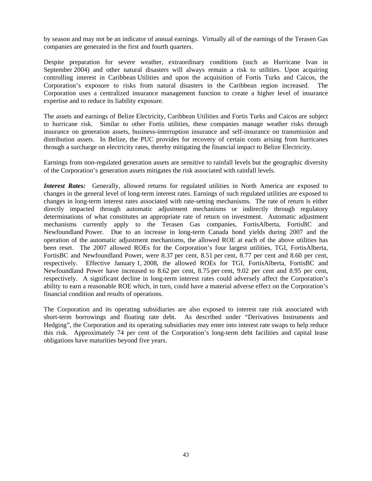by season and may not be an indicator of annual earnings. Virtually all of the earnings of the Terasen Gas companies are generated in the first and fourth quarters.

Despite preparation for severe weather, extraordinary conditions (such as Hurricane Ivan in September 2004) and other natural disasters will always remain a risk to utilities. Upon acquiring controlling interest in Caribbean Utilities and upon the acquisition of Fortis Turks and Caicos, the Corporation's exposure to risks from natural disasters in the Caribbean region increased. The Corporation uses a centralized insurance management function to create a higher level of insurance expertise and to reduce its liability exposure.

The assets and earnings of Belize Electricity, Caribbean Utilities and Fortis Turks and Caicos are subject to hurricane risk. Similar to other Fortis utilities, these companies manage weather risks through insurance on generation assets, business-interruption insurance and self-insurance on transmission and distribution assets. In Belize, the PUC provides for recovery of certain costs arising from hurricanes through a surcharge on electricity rates, thereby mitigating the financial impact to Belize Electricity.

Earnings from non-regulated generation assets are sensitive to rainfall levels but the geographic diversity of the Corporation's generation assets mitigates the risk associated with rainfall levels.

*Interest Rates:* Generally, allowed returns for regulated utilities in North America are exposed to changes in the general level of long-term interest rates. Earnings of such regulated utilities are exposed to changes in long-term interest rates associated with rate-setting mechanisms. The rate of return is either directly impacted through automatic adjustment mechanisms or indirectly through regulatory determinations of what constitutes an appropriate rate of return on investment. Automatic adjustment mechanisms currently apply to the Terasen Gas companies, FortisAlberta, FortisBC and Newfoundland Power. Due to an increase in long-term Canada bond yields during 2007 and the operation of the automatic adjustment mechanisms, the allowed ROE at each of the above utilities has been reset. The 2007 allowed ROEs for the Corporation's four largest utilities, TGI, FortisAlberta, FortisBC and Newfoundland Power, were 8.37 per cent, 8.51 per cent, 8.77 per cent and 8.60 per cent, respectively. Effective January 1, 2008, the allowed ROEs for TGI, FortisAlberta, FortisBC and Newfoundland Power have increased to 8.62 per cent, 8.75 per cent, 9.02 per cent and 8.95 per cent, respectively. A significant decline in long-term interest rates could adversely affect the Corporation's ability to earn a reasonable ROE which, in turn, could have a material adverse effect on the Corporation's financial condition and results of operations.

The Corporation and its operating subsidiaries are also exposed to interest rate risk associated with short-term borrowings and floating rate debt. As described under "Derivatives Instruments and Hedging", the Corporation and its operating subsidiaries may enter into interest rate swaps to help reduce this risk. Approximately 74 per cent of the Corporation's long-term debt facilities and capital lease obligations have maturities beyond five years.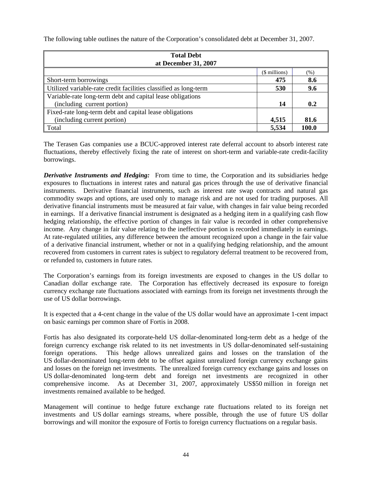The following table outlines the nature of the Corporation's consolidated debt at December 31, 2007.

| <b>Total Debt</b>                                                |               |       |  |
|------------------------------------------------------------------|---------------|-------|--|
| at December 31, 2007                                             |               |       |  |
|                                                                  | (\$ millions) | (%)   |  |
| Short-term borrowings                                            | 475           | 8.6   |  |
| Utilized variable-rate credit facilities classified as long-term | 530           | 9.6   |  |
| Variable-rate long-term debt and capital lease obligations       |               |       |  |
| (including current portion)                                      | 14            | 0.2   |  |
| Fixed-rate long-term debt and capital lease obligations          |               |       |  |
| (including current portion)                                      | 4,515         | 81.6  |  |
| Total                                                            | 5,534         | 100.0 |  |

The Terasen Gas companies use a BCUC-approved interest rate deferral account to absorb interest rate fluctuations, thereby effectively fixing the rate of interest on short-term and variable-rate credit-facility borrowings.

*Derivative Instruments and Hedging:* From time to time, the Corporation and its subsidiaries hedge exposures to fluctuations in interest rates and natural gas prices through the use of derivative financial instruments. Derivative financial instruments, such as interest rate swap contracts and natural gas commodity swaps and options, are used only to manage risk and are not used for trading purposes. All derivative financial instruments must be measured at fair value, with changes in fair value being recorded in earnings. If a derivative financial instrument is designated as a hedging item in a qualifying cash flow hedging relationship, the effective portion of changes in fair value is recorded in other comprehensive income. Any change in fair value relating to the ineffective portion is recorded immediately in earnings. At rate-regulated utilities, any difference between the amount recognized upon a change in the fair value of a derivative financial instrument, whether or not in a qualifying hedging relationship, and the amount recovered from customers in current rates is subject to regulatory deferral treatment to be recovered from, or refunded to, customers in future rates.

The Corporation's earnings from its foreign investments are exposed to changes in the US dollar to Canadian dollar exchange rate. The Corporation has effectively decreased its exposure to foreign currency exchange rate fluctuations associated with earnings from its foreign net investments through the use of US dollar borrowings.

It is expected that a 4-cent change in the value of the US dollar would have an approximate 1-cent impact on basic earnings per common share of Fortis in 2008.

Fortis has also designated its corporate-held US dollar-denominated long-term debt as a hedge of the foreign currency exchange risk related to its net investments in US dollar-denominated self-sustaining foreign operations. This hedge allows unrealized gains and losses on the translation of the US dollar-denominated long-term debt to be offset against unrealized foreign currency exchange gains and losses on the foreign net investments. The unrealized foreign currency exchange gains and losses on US dollar-denominated long-term debt and foreign net investments are recognized in other comprehensive income. As at December 31, 2007, approximately US\$50 million in foreign net investments remained available to be hedged.

Management will continue to hedge future exchange rate fluctuations related to its foreign net investments and US dollar earnings streams, where possible, through the use of future US dollar borrowings and will monitor the exposure of Fortis to foreign currency fluctuations on a regular basis.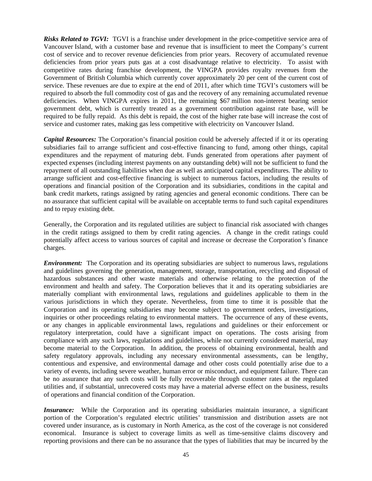*Risks Related to TGVI:* TGVI is a franchise under development in the price-competitive service area of Vancouver Island, with a customer base and revenue that is insufficient to meet the Company's current cost of service and to recover revenue deficiencies from prior years. Recovery of accumulated revenue deficiencies from prior years puts gas at a cost disadvantage relative to electricity. To assist with competitive rates during franchise development, the VINGPA provides royalty revenues from the Government of British Columbia which currently cover approximately 20 per cent of the current cost of service. These revenues are due to expire at the end of 2011, after which time TGVI's customers will be required to absorb the full commodity cost of gas and the recovery of any remaining accumulated revenue deficiencies. When VINGPA expires in 2011, the remaining \$67 million non-interest bearing senior government debt, which is currently treated as a government contribution against rate base, will be required to be fully repaid. As this debt is repaid, the cost of the higher rate base will increase the cost of service and customer rates, making gas less competitive with electricity on Vancouver Island.

*Capital Resources:* The Corporation's financial position could be adversely affected if it or its operating subsidiaries fail to arrange sufficient and cost-effective financing to fund, among other things, capital expenditures and the repayment of maturing debt. Funds generated from operations after payment of expected expenses (including interest payments on any outstanding debt) will not be sufficient to fund the repayment of all outstanding liabilities when due as well as anticipated capital expenditures. The ability to arrange sufficient and cost-effective financing is subject to numerous factors, including the results of operations and financial position of the Corporation and its subsidiaries, conditions in the capital and bank credit markets, ratings assigned by rating agencies and general economic conditions. There can be no assurance that sufficient capital will be available on acceptable terms to fund such capital expenditures and to repay existing debt.

Generally, the Corporation and its regulated utilities are subject to financial risk associated with changes in the credit ratings assigned to them by credit rating agencies. A change in the credit ratings could potentially affect access to various sources of capital and increase or decrease the Corporation's finance charges.

*Environment:* The Corporation and its operating subsidiaries are subject to numerous laws, regulations and guidelines governing the generation, management, storage, transportation, recycling and disposal of hazardous substances and other waste materials and otherwise relating to the protection of the environment and health and safety. The Corporation believes that it and its operating subsidiaries are materially compliant with environmental laws, regulations and guidelines applicable to them in the various jurisdictions in which they operate. Nevertheless, from time to time it is possible that the Corporation and its operating subsidiaries may become subject to government orders, investigations, inquiries or other proceedings relating to environmental matters. The occurrence of any of these events, or any changes in applicable environmental laws, regulations and guidelines or their enforcement or regulatory interpretation, could have a significant impact on operations. The costs arising from compliance with any such laws, regulations and guidelines, while not currently considered material, may become material to the Corporation. In addition, the process of obtaining environmental, health and safety regulatory approvals, including any necessary environmental assessments, can be lengthy, contentious and expensive, and environmental damage and other costs could potentially arise due to a variety of events, including severe weather, human error or misconduct, and equipment failure. There can be no assurance that any such costs will be fully recoverable through customer rates at the regulated utilities and, if substantial, unrecovered costs may have a material adverse effect on the business, results of operations and financial condition of the Corporation.

*Insurance:* While the Corporation and its operating subsidiaries maintain insurance, a significant portion of the Corporation's regulated electric utilities' transmission and distribution assets are not covered under insurance, as is customary in North America, as the cost of the coverage is not considered economical. Insurance is subject to coverage limits as well as time-sensitive claims discovery and reporting provisions and there can be no assurance that the types of liabilities that may be incurred by the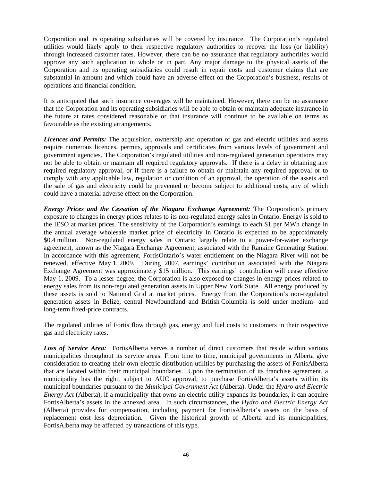Corporation and its operating subsidiaries will be covered by insurance. The Corporation's regulated utilities would likely apply to their respective regulatory authorities to recover the loss (or liability) through increased customer rates. However, there can be no assurance that regulatory authorities would approve any such application in whole or in part. Any major damage to the physical assets of the Corporation and its operating subsidiaries could result in repair costs and customer claims that are substantial in amount and which could have an adverse effect on the Corporation's business, results of operations and financial condition.

It is anticipated that such insurance coverages will be maintained. However, there can be no assurance that the Corporation and its operating subsidiaries will be able to obtain or maintain adequate insurance in the future at rates considered reasonable or that insurance will continue to be available on terms as favourable as the existing arrangements.

*Licences and Permits:* The acquisition, ownership and operation of gas and electric utilities and assets require numerous licences, permits, approvals and certificates from various levels of government and government agencies. The Corporation's regulated utilities and non-regulated generation operations may not be able to obtain or maintain all required regulatory approvals. If there is a delay in obtaining any required regulatory approval, or if there is a failure to obtain or maintain any required approval or to comply with any applicable law, regulation or condition of an approval, the operation of the assets and the sale of gas and electricity could be prevented or become subject to additional costs, any of which could have a material adverse effect on the Corporation.

*Energy Prices and the Cessation of the Niagara Exchange Agreement:* The Corporation's primary exposure to changes in energy prices relates to its non-regulated energy sales in Ontario. Energy is sold to the IESO at market prices. The sensitivity of the Corporation's earnings to each \$1 per MWh change in the annual average wholesale market price of electricity in Ontario is expected to be approximately \$0.4 million. Non-regulated energy sales in Ontario largely relate to a power-for-water exchange agreement, known as the Niagara Exchange Agreement, associated with the Rankine Generating Station. In accordance with this agreement, FortisOntario's water entitlement on the Niagara River will not be renewed, effective May 1, 2009. During 2007, earnings' contribution associated with the Niagara Exchange Agreement was approximately \$15 million. This earnings' contribution will cease effective May 1, 2009. To a lesser degree, the Corporation is also exposed to changes in energy prices related to energy sales from its non-regulated generation assets in Upper New York State. All energy produced by these assets is sold to National Grid at market prices. Energy from the Corporation's non-regulated generation assets in Belize, central Newfoundland and British Columbia is sold under medium- and long-term fixed-price contracts.

The regulated utilities of Fortis flow through gas, energy and fuel costs to customers in their respective gas and electricity rates.

*Loss of Service Area:* FortisAlberta serves a number of direct customers that reside within various municipalities throughout its service areas. From time to time, municipal governments in Alberta give consideration to creating their own electric distribution utilities by purchasing the assets of FortisAlberta that are located within their municipal boundaries. Upon the termination of its franchise agreement, a municipality has the right, subject to AUC approval, to purchase FortisAlberta's assets within its municipal boundaries pursuant to the *Municipal Government Act* (Alberta). Under the *Hydro and Electric Energy Act* (Alberta), if a municipality that owns an electric utility expands its boundaries, it can acquire FortisAlberta's assets in the annexed area. In such circumstances, the *Hydro and Electric Energy Act* (Alberta) provides for compensation, including payment for FortisAlberta's assets on the basis of replacement cost less depreciation. Given the historical growth of Alberta and its municipalities, FortisAlberta may be affected by transactions of this type.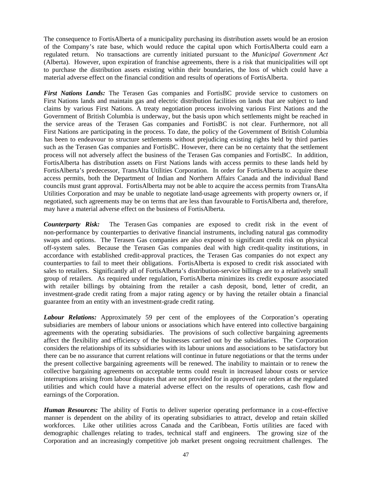The consequence to FortisAlberta of a municipality purchasing its distribution assets would be an erosion of the Company's rate base, which would reduce the capital upon which FortisAlberta could earn a regulated return. No transactions are currently initiated pursuant to the *Municipal Government Act* (Alberta). However, upon expiration of franchise agreements, there is a risk that municipalities will opt to purchase the distribution assets existing within their boundaries, the loss of which could have a material adverse effect on the financial condition and results of operations of FortisAlberta.

*First Nations Lands:* The Terasen Gas companies and FortisBC provide service to customers on First Nations lands and maintain gas and electric distribution facilities on lands that are subject to land claims by various First Nations. A treaty negotiation process involving various First Nations and the Government of British Columbia is underway, but the basis upon which settlements might be reached in the service areas of the Terasen Gas companies and FortisBC is not clear. Furthermore, not all First Nations are participating in the process. To date, the policy of the Government of British Columbia has been to endeavour to structure settlements without prejudicing existing rights held by third parties such as the Terasen Gas companies and FortisBC. However, there can be no certainty that the settlement process will not adversely affect the business of the Terasen Gas companies and FortisBC. In addition, FortisAlberta has distribution assets on First Nations lands with access permits to these lands held by FortisAlberta's predecessor, TransAlta Utilities Corporation. In order for FortisAlberta to acquire these access permits, both the Department of Indian and Northern Affairs Canada and the individual Band councils must grant approval. FortisAlberta may not be able to acquire the access permits from TransAlta Utilities Corporation and may be unable to negotiate land-usage agreements with property owners or, if negotiated, such agreements may be on terms that are less than favourable to FortisAlberta and, therefore, may have a material adverse effect on the business of FortisAlberta.

*Counterparty Risk:* The Terasen Gas companies are exposed to credit risk in the event of non-performance by counterparties to derivative financial instruments, including natural gas commodity swaps and options. The Terasen Gas companies are also exposed to significant credit risk on physical off-system sales. Because the Terasen Gas companies deal with high credit-quality institutions, in accordance with established credit-approval practices, the Terasen Gas companies do not expect any counterparties to fail to meet their obligations. FortisAlberta is exposed to credit risk associated with sales to retailers. Significantly all of FortisAlberta's distribution-service billings are to a relatively small group of retailers. As required under regulation, FortisAlberta minimizes its credit exposure associated with retailer billings by obtaining from the retailer a cash deposit, bond, letter of credit, an investment-grade credit rating from a major rating agency or by having the retailer obtain a financial guarantee from an entity with an investment-grade credit rating.

*Labour Relations:* Approximately 59 per cent of the employees of the Corporation's operating subsidiaries are members of labour unions or associations which have entered into collective bargaining agreements with the operating subsidiaries. The provisions of such collective bargaining agreements affect the flexibility and efficiency of the businesses carried out by the subsidiaries. The Corporation considers the relationships of its subsidiaries with its labour unions and associations to be satisfactory but there can be no assurance that current relations will continue in future negotiations or that the terms under the present collective bargaining agreements will be renewed. The inability to maintain or to renew the collective bargaining agreements on acceptable terms could result in increased labour costs or service interruptions arising from labour disputes that are not provided for in approved rate orders at the regulated utilities and which could have a material adverse effect on the results of operations, cash flow and earnings of the Corporation.

*Human Resources:* The ability of Fortis to deliver superior operating performance in a cost-effective manner is dependent on the ability of its operating subsidiaries to attract, develop and retain skilled workforces. Like other utilities across Canada and the Caribbean, Fortis utilities are faced with demographic challenges relating to trades, technical staff and engineers. The growing size of the Corporation and an increasingly competitive job market present ongoing recruitment challenges. The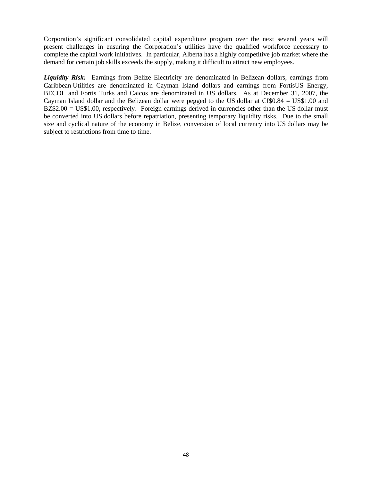Corporation's significant consolidated capital expenditure program over the next several years will present challenges in ensuring the Corporation's utilities have the qualified workforce necessary to complete the capital work initiatives. In particular, Alberta has a highly competitive job market where the demand for certain job skills exceeds the supply, making it difficult to attract new employees.

*Liquidity Risk:* Earnings from Belize Electricity are denominated in Belizean dollars, earnings from Caribbean Utilities are denominated in Cayman Island dollars and earnings from FortisUS Energy, BECOL and Fortis Turks and Caicos are denominated in US dollars. As at December 31, 2007, the Cayman Island dollar and the Belizean dollar were pegged to the US dollar at CI\$0.84 = US\$1.00 and  $BZ$2.00 = US$1.00$ , respectively. Foreign earnings derived in currencies other than the US dollar must be converted into US dollars before repatriation, presenting temporary liquidity risks. Due to the small size and cyclical nature of the economy in Belize, conversion of local currency into US dollars may be subject to restrictions from time to time.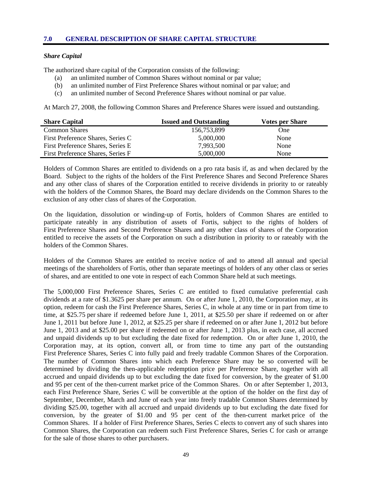## *Share Capital*

The authorized share capital of the Corporation consists of the following:

- (a) an unlimited number of Common Shares without nominal or par value;
- (b) an unlimited number of First Preference Shares without nominal or par value; and
- (c) an unlimited number of Second Preference Shares without nominal or par value.

At March 27, 2008, the following Common Shares and Preference Shares were issued and outstanding.

| <b>Share Capital</b>              | <b>Issued and Outstanding</b> | <b>Votes per Share</b> |
|-----------------------------------|-------------------------------|------------------------|
| <b>Common Shares</b>              | 156,753,899                   | One                    |
| First Preference Shares, Series C | 5,000,000                     | None                   |
| First Preference Shares, Series E | 7,993,500                     | None                   |
| First Preference Shares, Series F | 5,000,000                     | None                   |

Holders of Common Shares are entitled to dividends on a pro rata basis if, as and when declared by the Board. Subject to the rights of the holders of the First Preference Shares and Second Preference Shares and any other class of shares of the Corporation entitled to receive dividends in priority to or rateably with the holders of the Common Shares, the Board may declare dividends on the Common Shares to the exclusion of any other class of shares of the Corporation.

On the liquidation, dissolution or winding-up of Fortis, holders of Common Shares are entitled to participate rateably in any distribution of assets of Fortis, subject to the rights of holders of First Preference Shares and Second Preference Shares and any other class of shares of the Corporation entitled to receive the assets of the Corporation on such a distribution in priority to or rateably with the holders of the Common Shares.

Holders of the Common Shares are entitled to receive notice of and to attend all annual and special meetings of the shareholders of Fortis, other than separate meetings of holders of any other class or series of shares, and are entitled to one vote in respect of each Common Share held at such meetings.

The 5,000,000 First Preference Shares, Series C are entitled to fixed cumulative preferential cash dividends at a rate of \$1.3625 per share per annum. On or after June 1, 2010, the Corporation may, at its option, redeem for cash the First Preference Shares, Series C, in whole at any time or in part from time to time, at \$25.75 per share if redeemed before June 1, 2011, at \$25.50 per share if redeemed on or after June 1, 2011 but before June 1, 2012, at \$25.25 per share if redeemed on or after June 1, 2012 but before June 1, 2013 and at \$25.00 per share if redeemed on or after June 1, 2013 plus, in each case, all accrued and unpaid dividends up to but excluding the date fixed for redemption. On or after June 1, 2010, the Corporation may, at its option, convert all, or from time to time any part of the outstanding First Preference Shares, Series C into fully paid and freely tradable Common Shares of the Corporation. The number of Common Shares into which each Preference Share may be so converted will be determined by dividing the then-applicable redemption price per Preference Share, together with all accrued and unpaid dividends up to but excluding the date fixed for conversion, by the greater of \$1.00 and 95 per cent of the then-current market price of the Common Shares. On or after September 1, 2013, each First Preference Share, Series C will be convertible at the option of the holder on the first day of September, December, March and June of each year into freely tradable Common Shares determined by dividing \$25.00, together with all accrued and unpaid dividends up to but excluding the date fixed for conversion, by the greater of \$1.00 and 95 per cent of the then-current market price of the Common Shares. If a holder of First Preference Shares, Series C elects to convert any of such shares into Common Shares, the Corporation can redeem such First Preference Shares, Series C for cash or arrange for the sale of those shares to other purchasers.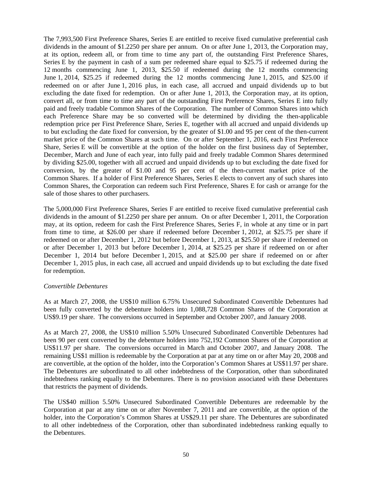The 7,993,500 First Preference Shares, Series E are entitled to receive fixed cumulative preferential cash dividends in the amount of \$1.2250 per share per annum. On or after June 1, 2013, the Corporation may, at its option, redeem all, or from time to time any part of, the outstanding First Preference Shares, Series E by the payment in cash of a sum per redeemed share equal to \$25.75 if redeemed during the 12 months commencing June 1, 2013, \$25.50 if redeemed during the 12 months commencing June 1, 2014, \$25.25 if redeemed during the 12 months commencing June 1, 2015, and \$25.00 if redeemed on or after June 1, 2016 plus, in each case, all accrued and unpaid dividends up to but excluding the date fixed for redemption. On or after June 1, 2013, the Corporation may, at its option, convert all, or from time to time any part of the outstanding First Preference Shares, Series E into fully paid and freely tradable Common Shares of the Corporation. The number of Common Shares into which each Preference Share may be so converted will be determined by dividing the then-applicable redemption price per First Preference Share, Series E, together with all accrued and unpaid dividends up to but excluding the date fixed for conversion, by the greater of \$1.00 and 95 per cent of the then-current market price of the Common Shares at such time. On or after September 1, 2016, each First Preference Share, Series E will be convertible at the option of the holder on the first business day of September, December, March and June of each year, into fully paid and freely tradable Common Shares determined by dividing \$25.00, together with all accrued and unpaid dividends up to but excluding the date fixed for conversion, by the greater of \$1.00 and 95 per cent of the then-current market price of the Common Shares. If a holder of First Preference Shares, Series E elects to convert any of such shares into Common Shares, the Corporation can redeem such First Preference, Shares E for cash or arrange for the sale of those shares to other purchasers.

The 5,000,000 First Preference Shares, Series F are entitled to receive fixed cumulative preferential cash dividends in the amount of \$1.2250 per share per annum. On or after December 1, 2011, the Corporation may, at its option, redeem for cash the First Preference Shares, Series F, in whole at any time or in part from time to time, at \$26.00 per share if redeemed before December 1, 2012, at \$25.75 per share if redeemed on or after December 1, 2012 but before December 1, 2013, at \$25.50 per share if redeemed on or after December 1, 2013 but before December 1, 2014, at \$25.25 per share if redeemed on or after December 1, 2014 but before December 1, 2015, and at \$25.00 per share if redeemed on or after December 1, 2015 plus, in each case, all accrued and unpaid dividends up to but excluding the date fixed for redemption.

#### *Convertible Debentures*

As at March 27, 2008, the US\$10 million 6.75% Unsecured Subordinated Convertible Debentures had been fully converted by the debenture holders into 1,088,728 Common Shares of the Corporation at US\$9.19 per share. The conversions occurred in September and October 2007, and January 2008.

As at March 27, 2008, the US\$10 million 5.50% Unsecured Subordinated Convertible Debentures had been 90 per cent converted by the debenture holders into 752,192 Common Shares of the Corporation at US\$11.97 per share. The conversions occurred in March and October 2007, and January 2008. The remaining US\$1 million is redeemable by the Corporation at par at any time on or after May 20, 2008 and are convertible, at the option of the holder, into the Corporation's Common Shares at US\$11.97 per share. The Debentures are subordinated to all other indebtedness of the Corporation, other than subordinated indebtedness ranking equally to the Debentures. There is no provision associated with these Debentures that restricts the payment of dividends.

The US\$40 million 5.50% Unsecured Subordinated Convertible Debentures are redeemable by the Corporation at par at any time on or after November 7, 2011 and are convertible, at the option of the holder, into the Corporation's Common Shares at US\$29.11 per share. The Debentures are subordinated to all other indebtedness of the Corporation, other than subordinated indebtedness ranking equally to the Debentures.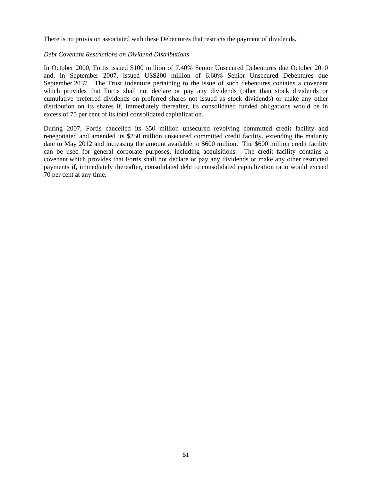There is no provision associated with these Debentures that restricts the payment of dividends.

#### *Debt Covenant Restrictions on Dividend Distributions*

In October 2000, Fortis issued \$100 million of 7.40% Senior Unsecured Debentures due October 2010 and, in September 2007, issued US\$200 million of 6.60% Senior Unsecured Debentures due September 2037. The Trust Indenture pertaining to the issue of such debentures contains a covenant which provides that Fortis shall not declare or pay any dividends (other than stock dividends or cumulative preferred dividends on preferred shares not issued as stock dividends) or make any other distribution on its shares if, immediately thereafter, its consolidated funded obligations would be in excess of 75 per cent of its total consolidated capitalization.

During 2007, Fortis cancelled its \$50 million unsecured revolving committed credit facility and renegotiated and amended its \$250 million unsecured committed credit facility, extending the maturity date to May 2012 and increasing the amount available to \$600 million. The \$600 million credit facility can be used for general corporate purposes, including acquisitions. The credit facility contains a covenant which provides that Fortis shall not declare or pay any dividends or make any other restricted payments if, immediately thereafter, consolidated debt to consolidated capitalization ratio would exceed 70 per cent at any time.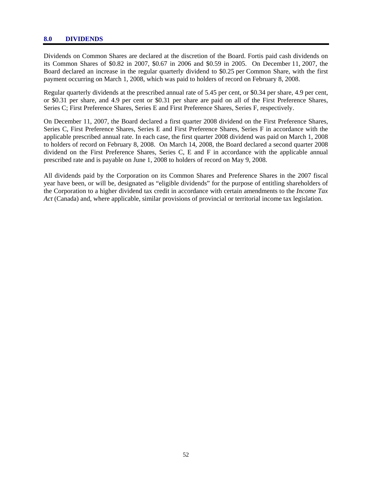#### **8.0 DIVIDENDS**

Dividends on Common Shares are declared at the discretion of the Board. Fortis paid cash dividends on its Common Shares of \$0.82 in 2007, \$0.67 in 2006 and \$0.59 in 2005. On December 11, 2007, the Board declared an increase in the regular quarterly dividend to \$0.25 per Common Share, with the first payment occurring on March 1, 2008, which was paid to holders of record on February 8, 2008.

Regular quarterly dividends at the prescribed annual rate of 5.45 per cent, or \$0.34 per share, 4.9 per cent, or \$0.31 per share, and 4.9 per cent or \$0.31 per share are paid on all of the First Preference Shares, Series C; First Preference Shares, Series E and First Preference Shares, Series F, respectively.

On December 11, 2007, the Board declared a first quarter 2008 dividend on the First Preference Shares, Series C, First Preference Shares, Series E and First Preference Shares, Series F in accordance with the applicable prescribed annual rate. In each case, the first quarter 2008 dividend was paid on March 1, 2008 to holders of record on February 8, 2008. On March 14, 2008, the Board declared a second quarter 2008 dividend on the First Preference Shares, Series C, E and F in accordance with the applicable annual prescribed rate and is payable on June 1, 2008 to holders of record on May 9, 2008.

All dividends paid by the Corporation on its Common Shares and Preference Shares in the 2007 fiscal year have been, or will be, designated as "eligible dividends" for the purpose of entitling shareholders of the Corporation to a higher dividend tax credit in accordance with certain amendments to the *Income Tax Act* (Canada) and, where applicable, similar provisions of provincial or territorial income tax legislation.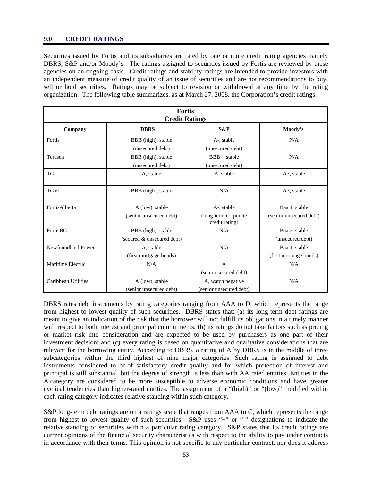#### **9.0 CREDIT RATINGS**

Securities issued by Fortis and its subsidiaries are rated by one or more credit rating agencies namely DBRS, S&P and/or Moody's. The ratings assigned to securities issued by Fortis are reviewed by these agencies on an ongoing basis. Credit ratings and stability ratings are intended to provide investors with an independent measure of credit quality of an issue of securities and are not recommendations to buy, sell or hold securities. Ratings may be subject to revision or withdrawal at any time by the rating organization. The following table summarizes, as at March 27, 2008, the Corporation's credit ratings.

| <b>Fortis</b><br><b>Credit Ratings</b>   |                                        |                                        |                         |  |  |  |
|------------------------------------------|----------------------------------------|----------------------------------------|-------------------------|--|--|--|
| <b>DBRS</b><br>S&P<br>Company<br>Moody's |                                        |                                        |                         |  |  |  |
| Fortis                                   | BBB (high), stable<br>(unsecured debt) | A-, stable<br>(unsecured debt)         | N/A                     |  |  |  |
| Terasen                                  | BBB (high), stable<br>(unsecured debt) | BBB+, stable<br>(unsecured debt)       | N/A                     |  |  |  |
| <b>TGI</b>                               | A, stable                              | A, stable                              | A3, stable              |  |  |  |
| <b>TGVI</b>                              | BBB (high), stable                     | N/A                                    | A3, stable              |  |  |  |
| FortisAlberta                            | A (low), stable                        | A-, stable                             | Baa 1, stable           |  |  |  |
|                                          | (senior unsecured debt)                | (long-term corporate<br>credit rating) | (senior unsecured debt) |  |  |  |
| FortisBC                                 | BBB (high), stable                     | N/A                                    | Baa 2, stable           |  |  |  |
|                                          | (secured & unsecured debt)             |                                        | (unsecured debt)        |  |  |  |
| Newfoundland Power                       | A, stable                              | N/A                                    | Baa 1, stable           |  |  |  |
|                                          | (first mortgage bonds)                 |                                        | (first mortgage bonds)  |  |  |  |
| Maritime Electric                        | N/A                                    | $\mathbf{A}$                           | N/A                     |  |  |  |
|                                          |                                        | (senior secured debt)                  |                         |  |  |  |
| Caribbean Utilities                      | A (low), stable                        | A, watch negative                      | N/A                     |  |  |  |
|                                          | (senior unsecured debt)                | (senior unsecured debt)                |                         |  |  |  |

DBRS rates debt instruments by rating categories ranging from AAA to D, which represents the range from highest to lowest quality of such securities. DBRS states that: (a) its long-term debt ratings are meant to give an indication of the risk that the borrower will not fulfill its obligations in a timely manner with respect to both interest and principal commitments; (b) its ratings do not take factors such as pricing or market risk into consideration and are expected to be used by purchasers as one part of their investment decision; and (c) every rating is based on quantitative and qualitative considerations that are relevant for the borrowing entity. According to DBRS, a rating of A by DBRS is in the middle of three subcategories within the third highest of nine major categories. Such rating is assigned to debt instruments considered to be of satisfactory credit quality and for which protection of interest and principal is still substantial, but the degree of strength is less than with AA rated entities. Entities in the A category are considered to be more susceptible to adverse economic conditions and have greater cyclical tendencies than higher-rated entities. The assignment of a "(high)" or "(low)" modified within each rating category indicates relative standing within such category.

S&P long-term debt ratings are on a ratings scale that ranges from AAA to C, which represents the range from highest to lowest quality of such securities. S&P uses "+" or "-" designations to indicate the relative standing of securities within a particular rating category. S&P states that its credit ratings are current opinions of the financial security characteristics with respect to the ability to pay under contracts in accordance with their terms. This opinion is not specific to any particular contract, nor does it address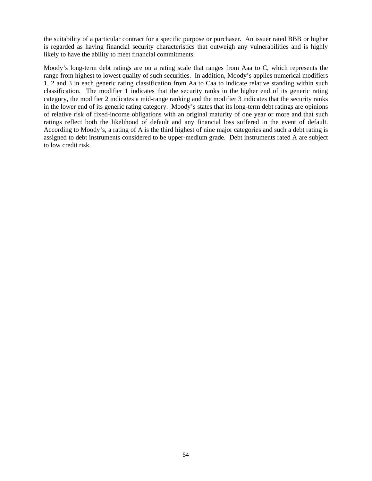the suitability of a particular contract for a specific purpose or purchaser. An issuer rated BBB or higher is regarded as having financial security characteristics that outweigh any vulnerabilities and is highly likely to have the ability to meet financial commitments.

Moody's long-term debt ratings are on a rating scale that ranges from Aaa to C, which represents the range from highest to lowest quality of such securities. In addition, Moody's applies numerical modifiers 1, 2 and 3 in each generic rating classification from Aa to Caa to indicate relative standing within such classification. The modifier 1 indicates that the security ranks in the higher end of its generic rating category, the modifier 2 indicates a mid-range ranking and the modifier 3 indicates that the security ranks in the lower end of its generic rating category. Moody's states that its long-term debt ratings are opinions of relative risk of fixed-income obligations with an original maturity of one year or more and that such ratings reflect both the likelihood of default and any financial loss suffered in the event of default. According to Moody's, a rating of A is the third highest of nine major categories and such a debt rating is assigned to debt instruments considered to be upper-medium grade. Debt instruments rated A are subject to low credit risk.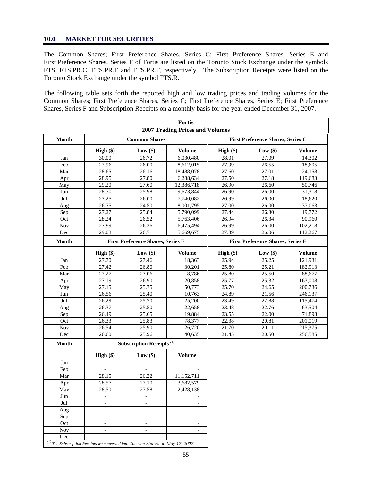#### **10.0 MARKET FOR SECURITIES**

The Common Shares; First Preference Shares, Series C; First Preference Shares, Series E and First Preference Shares, Series F of Fortis are listed on the Toronto Stock Exchange under the symbols FTS, FTS.PR.C, FTS.PR.E and FTS.PR.F, respectively. The Subscription Receipts were listed on the Toronto Stock Exchange under the symbol FTS.R.

The following table sets forth the reported high and low trading prices and trading volumes for the Common Shares; First Preference Shares, Series C; First Preference Shares, Series E; First Preference Shares, Series F and Subscription Receipts on a monthly basis for the year ended December 31, 2007.

|              |                                                                                              |                                             | Fortis<br><b>2007 Trading Prices and Volumes</b> |             |         |               |
|--------------|----------------------------------------------------------------------------------------------|---------------------------------------------|--------------------------------------------------|-------------|---------|---------------|
| <b>Month</b> | <b>Common Shares</b>                                                                         |                                             | <b>First Preference Shares, Series C</b>         |             |         |               |
|              | High $(\$)$                                                                                  | Low $(\$)$                                  | <b>Volume</b>                                    | High $(\$)$ | Low(\$) | Volume        |
| Jan          | 30.00                                                                                        | 26.72                                       | 6,030,480                                        | 28.01       | 27.09   | 14,302        |
| Feb          | 27.96                                                                                        | 26.00                                       | 8,612,015                                        | 27.99       | 26.55   | 18,605        |
| Mar          | 28.65                                                                                        | 26.16                                       | 18,488,078                                       | 27.60       | 27.01   | 24,158        |
| Apr          | 28.95                                                                                        | 27.80                                       | 6,288,634                                        | 27.50       | 27.18   | 119,683       |
| May          | 29.20                                                                                        | 27.60                                       | 12,386,718                                       | 26.90       | 26.60   | 50,746        |
| Jun          | 28.30                                                                                        | 25.98                                       | 9,673,844                                        | 26.90       | 26.00   | 31,318        |
| Jul          | 27.25                                                                                        | 26.00                                       | 7,740,082                                        | 26.99       | 26.00   | 18,620        |
| Aug          | 26.75                                                                                        | 24.50                                       | 8,001,795                                        | 27.00       | 26.00   | 37,063        |
| Sep          | 27.27                                                                                        | 25.84                                       | 5,790,099                                        | 27.44       | 26.30   | 19,772        |
| Oct          | 28.24                                                                                        | 26.52                                       | 5,763,406                                        | 26.94       | 26.34   | 90,960        |
| Nov          | 27.99                                                                                        | 26.36                                       | 6,475,494                                        | 26.99       | 26.00   | 102,218       |
| Dec          | 29.08                                                                                        | 26.71                                       | 5,669,675                                        | 27.39       | 26.06   | 112,267       |
| <b>Month</b> | <b>First Preference Shares, Series E</b>                                                     |                                             | <b>First Preference Shares, Series F</b>         |             |         |               |
|              | High $(\$)$                                                                                  | Low(\$)                                     | <b>Volume</b>                                    | High $(\$)$ | Low(\$) | <b>Volume</b> |
| Jan          | 27.70                                                                                        | 27.46                                       | 18,363                                           | 25.94       | 25.25   | 121,931       |
| Feb          | 27.42                                                                                        | 26.80                                       | 30,201                                           | 25.80       | 25.21   | 182,913       |
| Mar          | 27.27                                                                                        | 27.06                                       | 8,786                                            | 25.80       | 25.50   | 88,677        |
| Apr          | 27.19                                                                                        | 26.90                                       | 20,858                                           | 25.77       | 25.32   | 163,008       |
| May          | 27.15                                                                                        | 25.75                                       | 50,773                                           | 25.70       | 24.65   | 200,736       |
| Jun          | 26.56                                                                                        | 25.40                                       | 10,763                                           | 24.89       | 21.56   | 246,137       |
| Jul          | 26.29                                                                                        | 25.70                                       | 25,200                                           | 23.49       | 22.88   | 115,474       |
| Aug          | 26.37                                                                                        | 25.50                                       | 22,658                                           | 23.48       | 22.76   | 63,504        |
| Sep          | 26.49                                                                                        | 25.65                                       | 19,884                                           | 23.55       | 22.00   | 71,898        |
| Oct          | 26.33                                                                                        | 25.83                                       | 78,377                                           | 22.38       | 20.81   | 201,019       |
| <b>Nov</b>   | 26.54                                                                                        | 25.90                                       | 26,720                                           | 21.70       | 20.11   | 215,375       |
| Dec          | 26.60                                                                                        | 25.96                                       | 40,635                                           | 21.45       | 20.50   | 256,585       |
| <b>Month</b> |                                                                                              | <b>Subscription Receipts</b> <sup>(1)</sup> |                                                  |             |         |               |
|              | $High (\$)$                                                                                  | Low(\$)                                     | <b>Volume</b>                                    |             |         |               |
| Jan          |                                                                                              | $\qquad \qquad -$                           |                                                  |             |         |               |
| Feb          |                                                                                              |                                             |                                                  |             |         |               |
| Mar          | 28.15                                                                                        | 26.22                                       | 11,152,711                                       |             |         |               |
| Apr          | 28.57                                                                                        | 27.10                                       | 3,682,579                                        |             |         |               |
| May          | 28.50                                                                                        | 27.58                                       | 2,428,138                                        |             |         |               |
| Jun          | $\overline{\phantom{0}}$                                                                     |                                             | $\overline{\phantom{a}}$                         |             |         |               |
| Jul          | $\overline{\phantom{0}}$                                                                     |                                             |                                                  |             |         |               |
| Aug          |                                                                                              |                                             |                                                  |             |         |               |
| Sep          | $\overline{\phantom{a}}$                                                                     | $\overline{\phantom{a}}$                    |                                                  |             |         |               |
| Oct          | $\overline{\phantom{a}}$                                                                     |                                             |                                                  |             |         |               |
| Nov          |                                                                                              |                                             |                                                  |             |         |               |
| Dec          | $\overline{\phantom{a}}$                                                                     | $\overline{a}$                              | $\overline{a}$                                   |             |         |               |
|              | $\frac{(1)}{(1)}$ The Subscription Receipts we converted into Common Shares on May 17, 2007. |                                             |                                                  |             |         |               |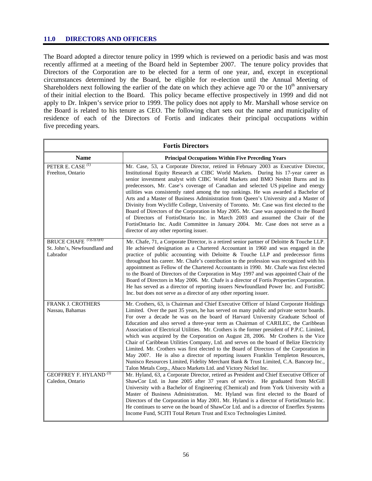#### **11.0 DIRECTORS AND OFFICERS**

The Board adopted a director tenure policy in 1999 which is reviewed on a periodic basis and was most recently affirmed at a meeting of the Board held in September 2007. The tenure policy provides that Directors of the Corporation are to be elected for a term of one year, and, except in exceptional circumstances determined by the Board, be eligible for re-election until the Annual Meeting of Shareholders next following the earlier of the date on which they achieve age 70 or the  $10<sup>th</sup>$  anniversary of their initial election to the Board. This policy became effective prospectively in 1999 and did not apply to Dr. Inkpen's service prior to 1999. The policy does not apply to Mr. Marshall whose service on the Board is related to his tenure as CEO. The following chart sets out the name and municipality of residence of each of the Directors of Fortis and indicates their principal occupations within five preceding years.

| <b>Fortis Directors</b>                                                |                                                                                                                                                                                                                                                                                                                                                                                                                                                                                                                                                                                                                                                                                                                                                                                                                                                                                                                                                                                        |  |  |  |
|------------------------------------------------------------------------|----------------------------------------------------------------------------------------------------------------------------------------------------------------------------------------------------------------------------------------------------------------------------------------------------------------------------------------------------------------------------------------------------------------------------------------------------------------------------------------------------------------------------------------------------------------------------------------------------------------------------------------------------------------------------------------------------------------------------------------------------------------------------------------------------------------------------------------------------------------------------------------------------------------------------------------------------------------------------------------|--|--|--|
| <b>Name</b>                                                            | <b>Principal Occupations Within Five Preceding Years</b>                                                                                                                                                                                                                                                                                                                                                                                                                                                                                                                                                                                                                                                                                                                                                                                                                                                                                                                               |  |  |  |
| PETER E. CASE <sup>(1)</sup><br>Freelton, Ontario                      | Mr. Case, 53, a Corporate Director, retired in February 2003 as Executive Director,<br>Institutional Equity Research at CIBC World Markets. During his 17-year career as<br>senior investment analyst with CIBC World Markets and BMO Nesbitt Burns and its<br>predecessors, Mr. Case's coverage of Canadian and selected US pipeline and energy<br>utilities was consistently rated among the top rankings. He was awarded a Bachelor of<br>Arts and a Master of Business Administration from Queen's University and a Master of<br>Divinity from Wycliffe College, University of Toronto. Mr. Case was first elected to the<br>Board of Directors of the Corporation in May 2005. Mr. Case was appointed to the Board<br>of Directors of FortisOntario Inc. in March 2003 and assumed the Chair of the<br>FortisOntario Inc. Audit Committee in January 2004. Mr. Case does not serve as a<br>director of any other reporting issuer.                                                |  |  |  |
| BRUCE CHAFE $(1)(2)(3)(4)$<br>St. John's, Newfoundland and<br>Labrador | Mr. Chafe, 71, a Corporate Director, is a retired senior partner of Deloitte & Touche LLP.<br>He achieved designation as a Chartered Accountant in 1960 and was engaged in the<br>practice of public accounting with Deloitte $\&$ Touche LLP and predecessor firms<br>throughout his career. Mr. Chafe's contribution to the profession was recognized with his<br>appointment as Fellow of the Chartered Accountants in 1990. Mr. Chafe was first elected<br>to the Board of Directors of the Corporation in May 1997 and was appointed Chair of the<br>Board of Directors in May 2006. Mr. Chafe is a director of Fortis Properties Corporation.<br>He has served as a director of reporting issuers Newfoundland Power Inc. and FortisBC<br>Inc. but does not serve as a director of any other reporting issuer.                                                                                                                                                                   |  |  |  |
| FRANK J. CROTHERS<br>Nassau, Bahamas                                   | Mr. Crothers, 63, is Chairman and Chief Executive Officer of Island Corporate Holdings<br>Limited. Over the past 35 years, he has served on many public and private sector boards.<br>For over a decade he was on the board of Harvard University Graduate School of<br>Education and also served a three-year term as Chairman of CARILEC, the Caribbean<br>Association of Electrical Utilities. Mr. Crothers is the former president of P.P.C. Limited,<br>which was acquired by the Corporation on August 28, 2006. Mr Crothers is the Vice<br>Chair of Caribbean Utilities Company, Ltd. and serves on the board of Belize Electricity<br>Limited. Mr. Crothers was first elected to the Board of Directors of the Corporation in<br>May 2007. He is also a director of reporting issuers Franklin Templeton Resources,<br>Nunisco Resources Limited, Fidelity Merchant Bank & Trust Limited, C.A. Bancorp Inc.,<br>Talon Metals Corp., Abaco Markets Ltd. and Victory Nickel Inc. |  |  |  |
| <b>GEOFFREY F. HYLAND</b> <sup>(3)</sup><br>Caledon, Ontario           | Mr. Hyland, 63, a Corporate Director, retired as President and Chief Executive Officer of<br>ShawCor Ltd. in June 2005 after 37 years of service. He graduated from McGill<br>University with a Bachelor of Engineering (Chemical) and from York University with a<br>Master of Business Administration. Mr. Hyland was first elected to the Board of<br>Directors of the Corporation in May 2001. Mr. Hyland is a director of FortisOntario Inc.<br>He continues to serve on the board of ShawCor Ltd. and is a director of Enerflex Systems<br>Income Fund, SCITI Total Return Trust and Exco Technologies Limited.                                                                                                                                                                                                                                                                                                                                                                  |  |  |  |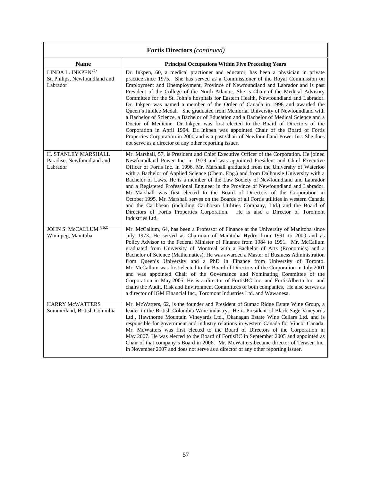| <b>Fortis Directors</b> (continued)                                         |                                                                                                                                                                                                                                                                                                                                                                                                                                                                                                                                                                                                                                                                                                                                                                                                                                                                                                                                                                                                                                        |  |  |
|-----------------------------------------------------------------------------|----------------------------------------------------------------------------------------------------------------------------------------------------------------------------------------------------------------------------------------------------------------------------------------------------------------------------------------------------------------------------------------------------------------------------------------------------------------------------------------------------------------------------------------------------------------------------------------------------------------------------------------------------------------------------------------------------------------------------------------------------------------------------------------------------------------------------------------------------------------------------------------------------------------------------------------------------------------------------------------------------------------------------------------|--|--|
| <b>Name</b>                                                                 | <b>Principal Occupations Within Five Preceding Years</b>                                                                                                                                                                                                                                                                                                                                                                                                                                                                                                                                                                                                                                                                                                                                                                                                                                                                                                                                                                               |  |  |
| LINDA L. INKPEN <sup>(2)</sup><br>St. Philips, Newfoundland and<br>Labrador | Dr. Inkpen, 60, a medical practioner and educator, has been a physician in private<br>practice since 1975. She has served as a Commissioner of the Royal Commission on<br>Employment and Unemployment, Province of Newfoundland and Labrador and is past<br>President of the College of the North Atlantic. She is Chair of the Medical Advisory<br>Committee for the St. John's hospitals for Eastern Health, Newfoundland and Labrador.<br>Dr. Inkpen was named a member of the Order of Canada in 1998 and awarded the<br>Queen's Jubilee Medal. She graduated from Memorial University of Newfoundland with<br>a Bachelor of Science, a Bachelor of Education and a Bachelor of Medical Science and a<br>Doctor of Medicine. Dr. Inkpen was first elected to the Board of Directors of the<br>Corporation in April 1994. Dr. Inkpen was appointed Chair of the Board of Fortis<br>Properties Corporation in 2000 and is a past Chair of Newfoundland Power Inc. She does<br>not serve as a director of any other reporting issuer. |  |  |
| H. STANLEY MARSHALL<br>Paradise, Newfoundland and<br>Labrador               | Mr. Marshall, 57, is President and Chief Executive Officer of the Corporation. He joined<br>Newfoundland Power Inc. in 1979 and was appointed President and Chief Executive<br>Officer of Fortis Inc. in 1996. Mr. Marshall graduated from the University of Waterloo<br>with a Bachelor of Applied Science (Chem. Eng.) and from Dalhousie University with a<br>Bachelor of Laws. He is a member of the Law Society of Newfoundland and Labrador<br>and a Registered Professional Engineer in the Province of Newfoundland and Labrador.<br>Mr. Marshall was first elected to the Board of Directors of the Corporation in<br>October 1995. Mr. Marshall serves on the Boards of all Fortis utilities in western Canada<br>and the Caribbean (including Caribbean Utilities Company, Ltd.) and the Board of<br>Directors of Fortis Properties Corporation. He is also a Director of Toromont<br>Industries Ltd.                                                                                                                       |  |  |
| JOHN S. McCALLUM <sup>(1)(2)</sup><br>Winnipeg, Manitoba                    | Mr. McCallum, 64, has been a Professor of Finance at the University of Manitoba since<br>July 1973. He served as Chairman of Manitoba Hydro from 1991 to 2000 and as<br>Policy Advisor to the Federal Minister of Finance from 1984 to 1991. Mr. McCallum<br>graduated from University of Montreal with a Bachelor of Arts (Economics) and a<br>Bachelor of Science (Mathematics). He was awarded a Master of Business Administration<br>from Queen's University and a PhD in Finance from University of Toronto.<br>Mr. McCallum was first elected to the Board of Directors of the Corporation in July 2001<br>and was appointed Chair of the Governance and Nominating Committee of the<br>Corporation in May 2005. He is a director of FortisBC Inc. and FortisAlberta Inc. and<br>chairs the Audit, Risk and Environment Committees of both companies. He also serves as<br>a director of IGM Financial Inc., Toromont Industries Ltd. and Wawanesa.                                                                              |  |  |
| <b>HARRY McWATTERS</b><br>Summerland, British Columbia                      | Mr. McWatters, 62, is the founder and President of Sumac Ridge Estate Wine Group, a<br>leader in the British Columbia Wine industry. He is President of Black Sage Vineyards<br>Ltd., Hawthorne Mountain Vineyards Ltd., Okanagan Estate Wine Cellars Ltd. and is<br>responsible for government and industry relations in western Canada for Vincor Canada.<br>Mr. McWatters was first elected to the Board of Directors of the Corporation in<br>May 2007. He was elected to the Board of FortisBC in September 2005 and appointed as<br>Chair of that company's Board in 2006. Mr. McWatters became director of Terasen Inc.<br>in November 2007 and does not serve as a director of any other reporting issuer.                                                                                                                                                                                                                                                                                                                     |  |  |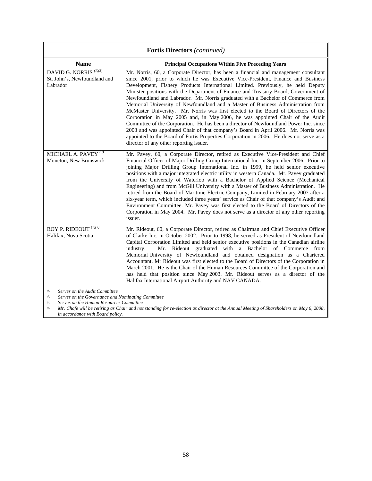| <b>Fortis Directors (continued)</b>                                                                                                                       |                                                                                                                                                                                                                                                                                                                                                                                                                                                                                                                                                                                                                                                                                                                                                                                                                                                                                                                                                                                                                        |  |
|-----------------------------------------------------------------------------------------------------------------------------------------------------------|------------------------------------------------------------------------------------------------------------------------------------------------------------------------------------------------------------------------------------------------------------------------------------------------------------------------------------------------------------------------------------------------------------------------------------------------------------------------------------------------------------------------------------------------------------------------------------------------------------------------------------------------------------------------------------------------------------------------------------------------------------------------------------------------------------------------------------------------------------------------------------------------------------------------------------------------------------------------------------------------------------------------|--|
| <b>Name</b>                                                                                                                                               | <b>Principal Occupations Within Five Preceding Years</b>                                                                                                                                                                                                                                                                                                                                                                                                                                                                                                                                                                                                                                                                                                                                                                                                                                                                                                                                                               |  |
| DAVID G. NORRIS <sup>(1)(3)</sup><br>St. John's, Newfoundland and<br>Labrador                                                                             | Mr. Norris, 60, a Corporate Director, has been a financial and management consultant<br>since 2001, prior to which he was Executive Vice-President, Finance and Business<br>Development, Fishery Products International Limited. Previously, he held Deputy<br>Minister positions with the Department of Finance and Treasury Board, Government of<br>Newfoundland and Labrador. Mr. Norris graduated with a Bachelor of Commerce from<br>Memorial University of Newfoundland and a Master of Business Administration from<br>McMaster University. Mr. Norris was first elected to the Board of Directors of the<br>Corporation in May 2005 and, in May 2006, he was appointed Chair of the Audit<br>Committee of the Corporation. He has been a director of Newfoundland Power Inc. since<br>2003 and was appointed Chair of that company's Board in April 2006. Mr. Norris was<br>appointed to the Board of Fortis Properties Corporation in 2006. He does not serve as a<br>director of any other reporting issuer. |  |
| MICHAEL A. PAVEY <sup>(3)</sup><br>Moncton, New Brunswick                                                                                                 | Mr. Pavey, 60, a Corporate Director, retired as Executive Vice-President and Chief<br>Financial Officer of Major Drilling Group International Inc. in September 2006. Prior to<br>joining Major Drilling Group International Inc. in 1999, he held senior executive<br>positions with a major integrated electric utility in western Canada. Mr. Pavey graduated<br>from the University of Waterloo with a Bachelor of Applied Science (Mechanical<br>Engineering) and from McGill University with a Master of Business Administration. He<br>retired from the Board of Maritime Electric Company, Limited in February 2007 after a<br>six-year term, which included three years' service as Chair of that company's Audit and<br>Environment Committee. Mr. Pavey was first elected to the Board of Directors of the<br>Corporation in May 2004. Mr. Pavey does not serve as a director of any other reporting<br>issuer.                                                                                             |  |
| ROY P. RIDEOUT <sup>(2)(3)</sup><br>Halifax, Nova Scotia                                                                                                  | Mr. Rideout, 60, a Corporate Director, retired as Chairman and Chief Executive Officer<br>of Clarke Inc. in October 2002. Prior to 1998, he served as President of Newfoundland<br>Capital Corporation Limited and held senior executive positions in the Canadian airline<br>Mr. Rideout graduated with a Bachelor of Commerce from<br>industry.<br>Memorial University of Newfoundland and obtained designation as a Chartered<br>Accountant. Mr Rideout was first elected to the Board of Directors of the Corporation in<br>March 2001. He is the Chair of the Human Resources Committee of the Corporation and<br>has held that position since May 2003. Mr. Rideout serves as a director of the<br>Halifax International Airport Authority and NAV CANADA.                                                                                                                                                                                                                                                       |  |
| (1)<br>Serves on the Audit Committee<br>Serves on the Governance and Nominating Committee<br>(2)<br>(3)<br>Serves on the Human Resources Committee<br>(4) | Mr. Chafe will be retiring as Chair and not standing for re-election as director at the Annual Meeting of Shareholders on May 6, 2008,                                                                                                                                                                                                                                                                                                                                                                                                                                                                                                                                                                                                                                                                                                                                                                                                                                                                                 |  |

*in accordance with Board policy.*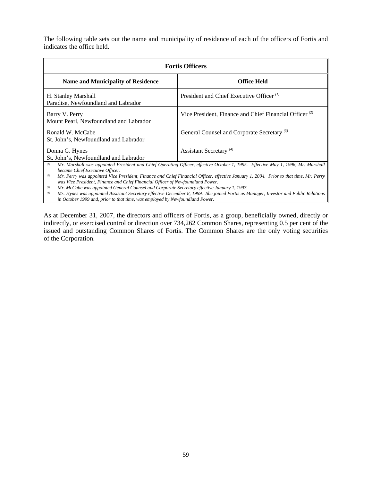The following table sets out the name and municipality of residence of each of the officers of Fortis and indicates the office held.

| <b>Fortis Officers</b>                                                                                                                                                                                                                                                                                                                                                                                                                                                                                             |                                                                    |  |  |
|--------------------------------------------------------------------------------------------------------------------------------------------------------------------------------------------------------------------------------------------------------------------------------------------------------------------------------------------------------------------------------------------------------------------------------------------------------------------------------------------------------------------|--------------------------------------------------------------------|--|--|
| <b>Name and Municipality of Residence</b>                                                                                                                                                                                                                                                                                                                                                                                                                                                                          | <b>Office Held</b>                                                 |  |  |
| H. Stanley Marshall<br>Paradise, Newfoundland and Labrador                                                                                                                                                                                                                                                                                                                                                                                                                                                         | President and Chief Executive Officer <sup>(1)</sup>               |  |  |
| Barry V. Perry<br>Mount Pearl, Newfoundland and Labrador                                                                                                                                                                                                                                                                                                                                                                                                                                                           | Vice President, Finance and Chief Financial Officer <sup>(2)</sup> |  |  |
| Ronald W. McCabe<br>St. John's, Newfoundland and Labrador                                                                                                                                                                                                                                                                                                                                                                                                                                                          | General Counsel and Corporate Secretary <sup>(3)</sup>             |  |  |
| Donna G. Hynes<br>St. John's, Newfoundland and Labrador                                                                                                                                                                                                                                                                                                                                                                                                                                                            | Assistant Secretary <sup>(4)</sup>                                 |  |  |
| (1)<br>Mr. Marshall was appointed President and Chief Operating Officer, effective October 1, 1995. Effective May 1, 1996, Mr. Marshall<br>became Chief Executive Officer.<br>(2)<br>Mr. Perry was appointed Vice President, Finance and Chief Financial Officer, effective January 1, 2004. Prior to that time, Mr. Perry<br>was Vice President, Finance and Chief Financial Officer of Newfoundland Power.<br>Mr. McCabe was appointed General Counsel and Corporate Secretary effective January 1, 1997.<br>(3) |                                                                    |  |  |

*(4) Ms. Hynes was appointed Assistant Secretary effective December 8, 1999. She joined Fortis as Manager, Investor and Public Relations in October 1999 and, prior to that time, was employed by Newfoundland Power.* 

As at December 31, 2007, the directors and officers of Fortis, as a group, beneficially owned, directly or indirectly, or exercised control or direction over 734,262 Common Shares, representing 0.5 per cent of the issued and outstanding Common Shares of Fortis. The Common Shares are the only voting securities of the Corporation.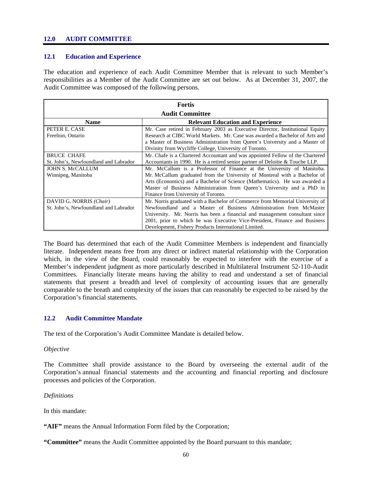#### **12.0 AUDIT COMMITTEE**

#### **12.1 Education and Experience**

The education and experience of each Audit Committee Member that is relevant to such Member's responsibilities as a Member of the Audit Committee are set out below. As at December 31, 2007, the Audit Committee was composed of the following persons.

| <b>Fortis</b>                         |                                                                               |  |  |  |
|---------------------------------------|-------------------------------------------------------------------------------|--|--|--|
| <b>Audit Committee</b>                |                                                                               |  |  |  |
| <b>Name</b>                           | <b>Relevant Education and Experience</b>                                      |  |  |  |
| PETER E. CASE                         | Mr. Case retired in February 2003 as Executive Director, Institutional Equity |  |  |  |
| Freelton, Ontario                     | Research at CIBC World Markets. Mr. Case was awarded a Bachelor of Arts and   |  |  |  |
|                                       | a Master of Business Administration from Queen's University and a Master of   |  |  |  |
|                                       | Divinity from Wycliffe College, University of Toronto.                        |  |  |  |
| <b>BRUCE CHAFE</b>                    | Mr. Chafe is a Chartered Accountant and was appointed Fellow of the Chartered |  |  |  |
| St. John's, Newfoundland and Labrador | Accountants in 1990. He is a retired senior partner of Deloitte & Touche LLP. |  |  |  |
| <b>JOHN S. McCALLUM</b>               | Mr. McCallum is a Professor of Finance at the University of Manitoba.         |  |  |  |
| Winnipeg, Manitoba                    | Mr. McCallum graduated from the University of Montreal with a Bachelor of     |  |  |  |
|                                       | Arts (Economics) and a Bachelor of Science (Mathematics). He was awarded a    |  |  |  |
|                                       | Master of Business Administration from Queen's University and a PhD in        |  |  |  |
|                                       | Finance from University of Toronto.                                           |  |  |  |
| DAVID G. NORRIS (Chair)               | Mr. Norris graduated with a Bachelor of Commerce from Memorial University of  |  |  |  |
| St. John's, Newfoundland and Labrador | Newfoundland and a Master of Business Administration from McMaster            |  |  |  |
|                                       | University. Mr. Norris has been a financial and management consultant since   |  |  |  |
|                                       | 2001, prior to which he was Executive Vice-President, Finance and Business    |  |  |  |
|                                       | Development, Fishery Products International Limited.                          |  |  |  |

The Board has determined that each of the Audit Committee Members is independent and financially literate. Independent means free from any direct or indirect material relationship with the Corporation which, in the view of the Board, could reasonably be expected to interfere with the exercise of a Member's independent judgment as more particularly described in Multilateral Instrument 52-110-Audit Committees. Financially literate means having the ability to read and understand a set of financial statements that present a breadth and level of complexity of accounting issues that are generally comparable to the breath and complexity of the issues that can reasonably be expected to be raised by the Corporation's financial statements.

## **12.2 Audit Committee Mandate**

The text of the Corporation's Audit Committee Mandate is detailed below.

#### *Objective*

The Committee shall provide assistance to the Board by overseeing the external audit of the Corporation's annual financial statements and the accounting and financial reporting and disclosure processes and policies of the Corporation.

*Definitions* 

In this mandate:

**"AIF"** means the Annual Information Form filed by the Corporation;

**"Committee"** means the Audit Committee appointed by the Board pursuant to this mandate;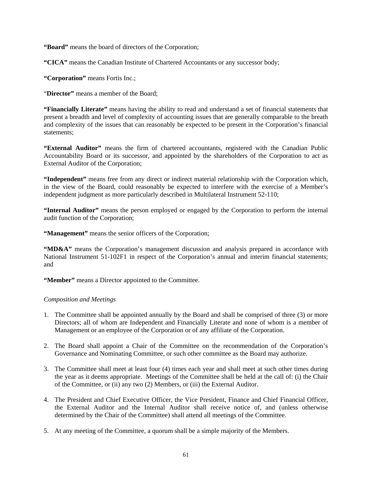**"Board"** means the board of directors of the Corporation;

**"CICA"** means the Canadian Institute of Chartered Accountants or any successor body;

**"Corporation"** means Fortis Inc.;

"**Director"** means a member of the Board;

**"Financially Literate"** means having the ability to read and understand a set of financial statements that present a breadth and level of complexity of accounting issues that are generally comparable to the breath and complexity of the issues that can reasonably be expected to be present in the Corporation's financial statements;

**"External Auditor"** means the firm of chartered accountants, registered with the Canadian Public Accountability Board or its successor, and appointed by the shareholders of the Corporation to act as External Auditor of the Corporation;

**"Independent"** means free from any direct or indirect material relationship with the Corporation which, in the view of the Board, could reasonably be expected to interfere with the exercise of a Member's independent judgment as more particularly described in Multilateral Instrument 52-110;

**"Internal Auditor"** means the person employed or engaged by the Corporation to perform the internal audit function of the Corporation;

 **"Management"** means the senior officers of the Corporation;

"MD&A" means the Corporation's management discussion and analysis prepared in accordance with National Instrument 51-102F1 in respect of the Corporation's annual and interim financial statements; and

 **"Member"** means a Director appointed to the Committee.

## *Composition and Meetings*

- 1. The Committee shall be appointed annually by the Board and shall be comprised of three (3) or more Directors; all of whom are Independent and Financially Literate and none of whom is a member of Management or an employee of the Corporation or of any affiliate of the Corporation.
- 2. The Board shall appoint a Chair of the Committee on the recommendation of the Corporation's Governance and Nominating Committee, or such other committee as the Board may authorize.
- 3. The Committee shall meet at least four (4) times each year and shall meet at such other times during the year as it deems appropriate. Meetings of the Committee shall be held at the call of: (i) the Chair of the Committee, or (ii) any two (2) Members, or (iii) the External Auditor.
- 4. The President and Chief Executive Officer, the Vice President, Finance and Chief Financial Officer, the External Auditor and the Internal Auditor shall receive notice of, and (unless otherwise determined by the Chair of the Committee) shall attend all meetings of the Committee.
- 5. At any meeting of the Committee, a quorum shall be a simple majority of the Members.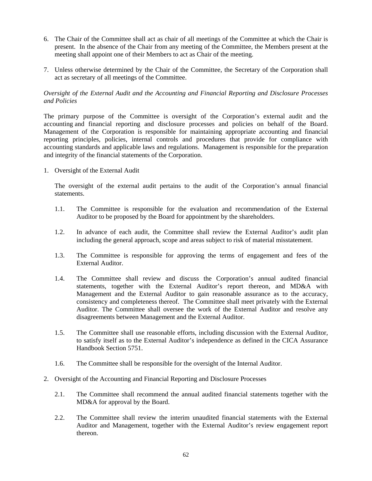- 6. The Chair of the Committee shall act as chair of all meetings of the Committee at which the Chair is present. In the absence of the Chair from any meeting of the Committee, the Members present at the meeting shall appoint one of their Members to act as Chair of the meeting.
- 7. Unless otherwise determined by the Chair of the Committee, the Secretary of the Corporation shall act as secretary of all meetings of the Committee.

## *Oversight of the External Audit and the Accounting and Financial Reporting and Disclosure Processes and Policies*

The primary purpose of the Committee is oversight of the Corporation's external audit and the accounting and financial reporting and disclosure processes and policies on behalf of the Board. Management of the Corporation is responsible for maintaining appropriate accounting and financial reporting principles, policies, internal controls and procedures that provide for compliance with accounting standards and applicable laws and regulations. Management is responsible for the preparation and integrity of the financial statements of the Corporation.

1. Oversight of the External Audit

The oversight of the external audit pertains to the audit of the Corporation's annual financial statements.

- 1.1. The Committee is responsible for the evaluation and recommendation of the External Auditor to be proposed by the Board for appointment by the shareholders.
- 1.2. In advance of each audit, the Committee shall review the External Auditor's audit plan including the general approach, scope and areas subject to risk of material misstatement.
- 1.3. The Committee is responsible for approving the terms of engagement and fees of the External Auditor.
- 1.4. The Committee shall review and discuss the Corporation's annual audited financial statements, together with the External Auditor's report thereon, and MD&A with Management and the External Auditor to gain reasonable assurance as to the accuracy, consistency and completeness thereof. The Committee shall meet privately with the External Auditor. The Committee shall oversee the work of the External Auditor and resolve any disagreements between Management and the External Auditor.
- 1.5. The Committee shall use reasonable efforts, including discussion with the External Auditor, to satisfy itself as to the External Auditor's independence as defined in the CICA Assurance Handbook Section 5751.
- 1.6. The Committee shall be responsible for the oversight of the Internal Auditor.
- 2. Oversight of the Accounting and Financial Reporting and Disclosure Processes
	- 2.1. The Committee shall recommend the annual audited financial statements together with the MD&A for approval by the Board.
	- 2.2. The Committee shall review the interim unaudited financial statements with the External Auditor and Management, together with the External Auditor's review engagement report thereon.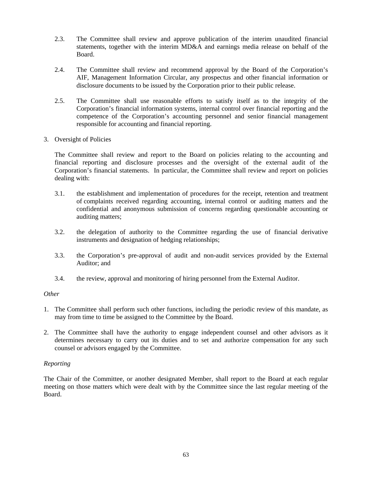- 2.3. The Committee shall review and approve publication of the interim unaudited financial statements, together with the interim MD&A and earnings media release on behalf of the Board.
- 2.4. The Committee shall review and recommend approval by the Board of the Corporation's AIF, Management Information Circular, any prospectus and other financial information or disclosure documents to be issued by the Corporation prior to their public release.
- 2.5. The Committee shall use reasonable efforts to satisfy itself as to the integrity of the Corporation's financial information systems, internal control over financial reporting and the competence of the Corporation's accounting personnel and senior financial management responsible for accounting and financial reporting.
- 3. Oversight of Policies

The Committee shall review and report to the Board on policies relating to the accounting and financial reporting and disclosure processes and the oversight of the external audit of the Corporation's financial statements. In particular, the Committee shall review and report on policies dealing with:

- 3.1. the establishment and implementation of procedures for the receipt, retention and treatment of complaints received regarding accounting, internal control or auditing matters and the confidential and anonymous submission of concerns regarding questionable accounting or auditing matters;
- 3.2. the delegation of authority to the Committee regarding the use of financial derivative instruments and designation of hedging relationships;
- 3.3. the Corporation's pre-approval of audit and non-audit services provided by the External Auditor; and
- 3.4. the review, approval and monitoring of hiring personnel from the External Auditor.

## *Other*

- 1. The Committee shall perform such other functions, including the periodic review of this mandate, as may from time to time be assigned to the Committee by the Board.
- 2. The Committee shall have the authority to engage independent counsel and other advisors as it determines necessary to carry out its duties and to set and authorize compensation for any such counsel or advisors engaged by the Committee.

## *Reporting*

The Chair of the Committee, or another designated Member, shall report to the Board at each regular meeting on those matters which were dealt with by the Committee since the last regular meeting of the Board.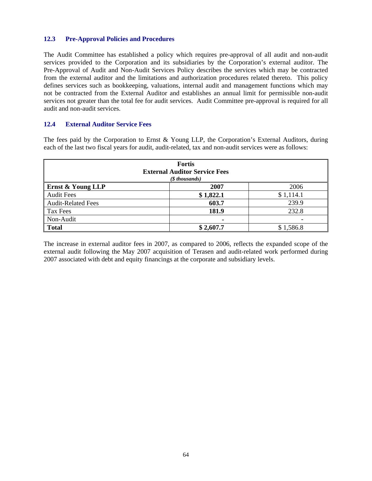#### **12.3 Pre-Approval Policies and Procedures**

The Audit Committee has established a policy which requires pre-approval of all audit and non-audit services provided to the Corporation and its subsidiaries by the Corporation's external auditor. The Pre-Approval of Audit and Non-Audit Services Policy describes the services which may be contracted from the external auditor and the limitations and authorization procedures related thereto. This policy defines services such as bookkeeping, valuations, internal audit and management functions which may not be contracted from the External Auditor and establishes an annual limit for permissible non-audit services not greater than the total fee for audit services. Audit Committee pre-approval is required for all audit and non-audit services.

# **12.4 External Auditor Service Fees**

The fees paid by the Corporation to Ernst & Young LLP, the Corporation's External Auditors, during each of the last two fiscal years for audit, audit-related, tax and non-audit services were as follows:

| <b>Fortis</b><br><b>External Auditor Service Fees</b><br>$(S$ thousands) |           |           |  |  |
|--------------------------------------------------------------------------|-----------|-----------|--|--|
| Ernst & Young LLP                                                        | 2007      | 2006      |  |  |
| <b>Audit Fees</b>                                                        | \$1,822.1 | \$1,114.1 |  |  |
| <b>Audit-Related Fees</b>                                                | 603.7     | 239.9     |  |  |
| Tax Fees                                                                 | 181.9     | 232.8     |  |  |
| Non-Audit                                                                |           |           |  |  |
| <b>Total</b>                                                             | \$2,607.7 | \$1,586.8 |  |  |

The increase in external auditor fees in 2007, as compared to 2006, reflects the expanded scope of the external audit following the May 2007 acquisition of Terasen and audit-related work performed during 2007 associated with debt and equity financings at the corporate and subsidiary levels.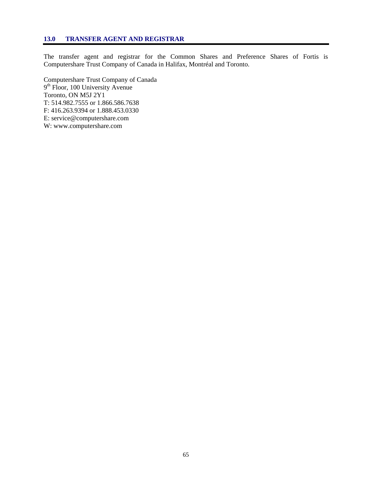# **13.0 TRANSFER AGENT AND REGISTRAR**

The transfer agent and registrar for the Common Shares and Preference Shares of Fortis is Computershare Trust Company of Canada in Halifax, Montréal and Toronto.

Computershare Trust Company of Canada 9<sup>th</sup> Floor, 100 University Avenue Toronto, ON M5J 2Y1 T: 514.982.7555 or 1.866.586.7638 F: 416.263.9394 or 1.888.453.0330 E: service@computershare.com W: www.computershare.com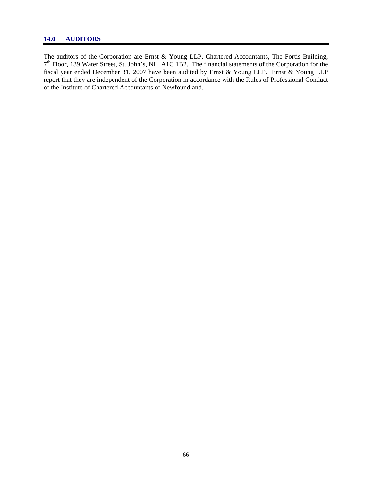#### **14.0 AUDITORS**

The auditors of the Corporation are Ernst & Young LLP, Chartered Accountants, The Fortis Building, 7<sup>th</sup> Floor, 139 Water Street, St. John's, NL A1C 1B2. The financial statements of the Corporation for the fiscal year ended December 31, 2007 have been audited by Ernst & Young LLP. Ernst & Young LLP report that they are independent of the Corporation in accordance with the Rules of Professional Conduct of the Institute of Chartered Accountants of Newfoundland.